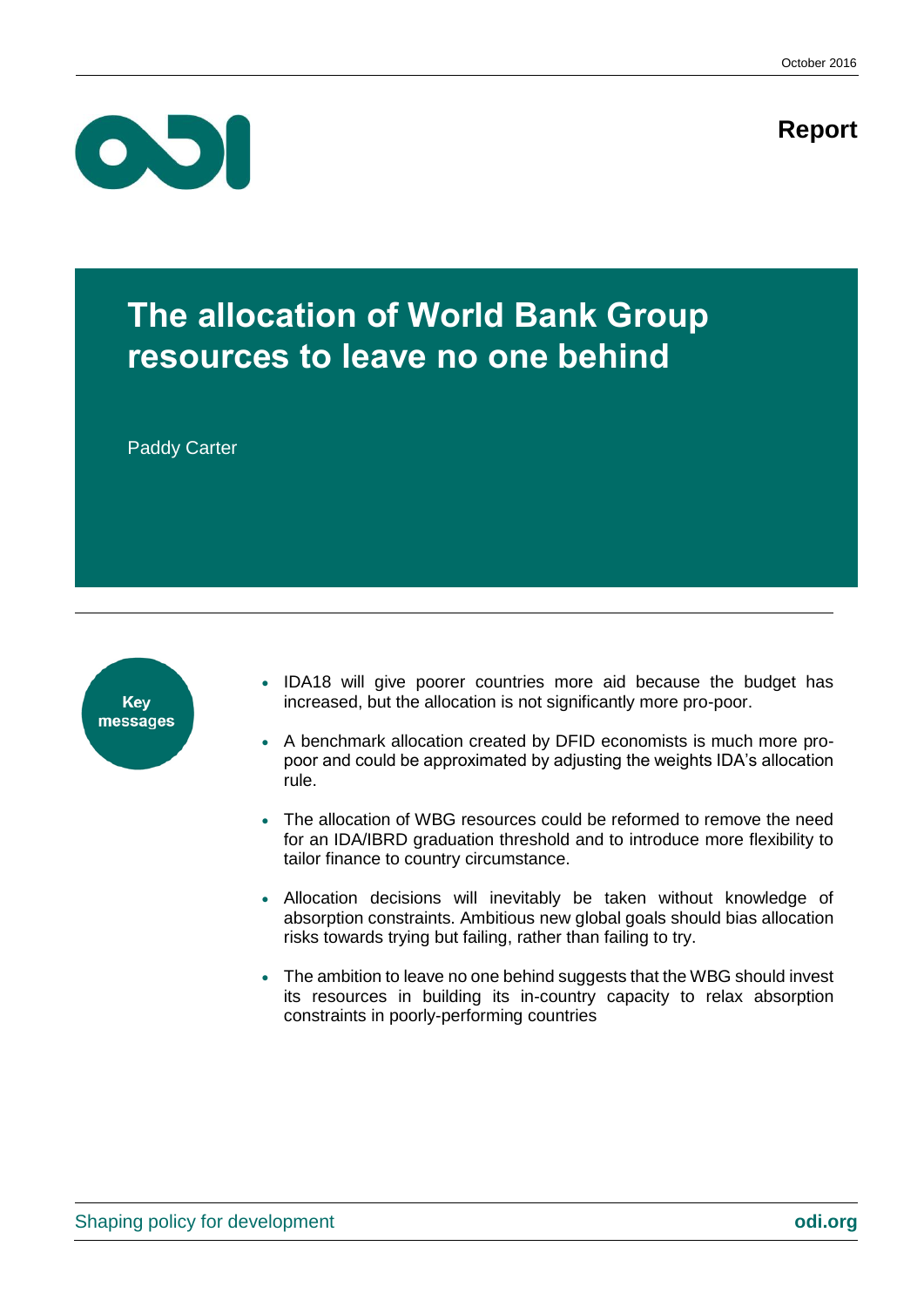**Report**



# **The allocation of World Bank Group resources to leave no one behind**

Paddy Carter



- IDA18 will give poorer countries more aid because the budget has increased, but the allocation is not significantly more pro-poor.
- A benchmark allocation created by DFID economists is much more propoor and could be approximated by adjusting the weights IDA's allocation rule.
- The allocation of WBG resources could be reformed to remove the need for an IDA/IBRD graduation threshold and to introduce more flexibility to tailor finance to country circumstance.
- Allocation decisions will inevitably be taken without knowledge of absorption constraints. Ambitious new global goals should bias allocation risks towards trying but failing, rather than failing to try.
- The ambition to leave no one behind suggests that the WBG should invest its resources in building its in-country capacity to relax absorption constraints in poorly-performing countries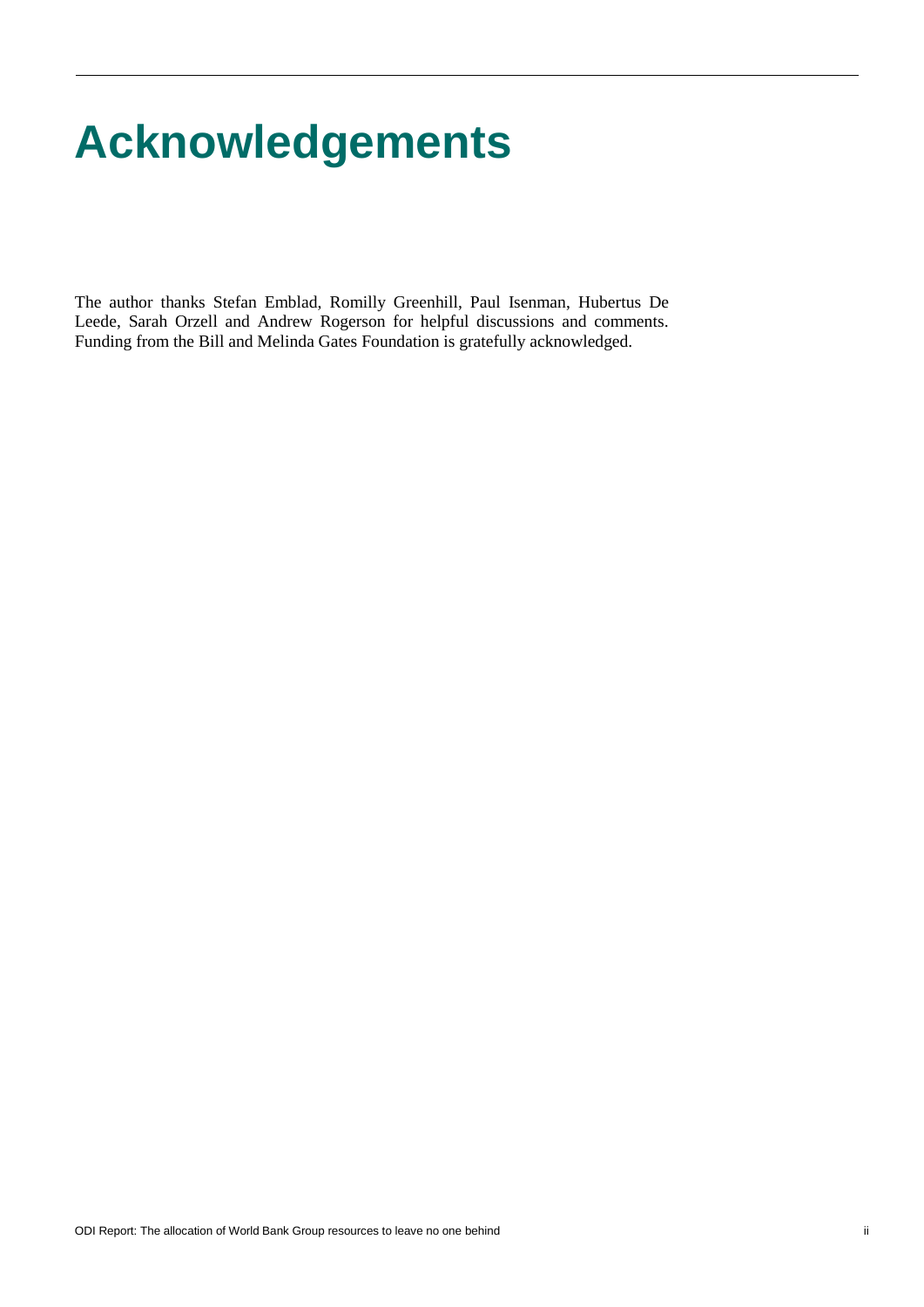# **Acknowledgements**

The author thanks Stefan Emblad, Romilly Greenhill, Paul Isenman, Hubertus De Leede, Sarah Orzell and Andrew Rogerson for helpful discussions and comments. Funding from the Bill and Melinda Gates Foundation is gratefully acknowledged.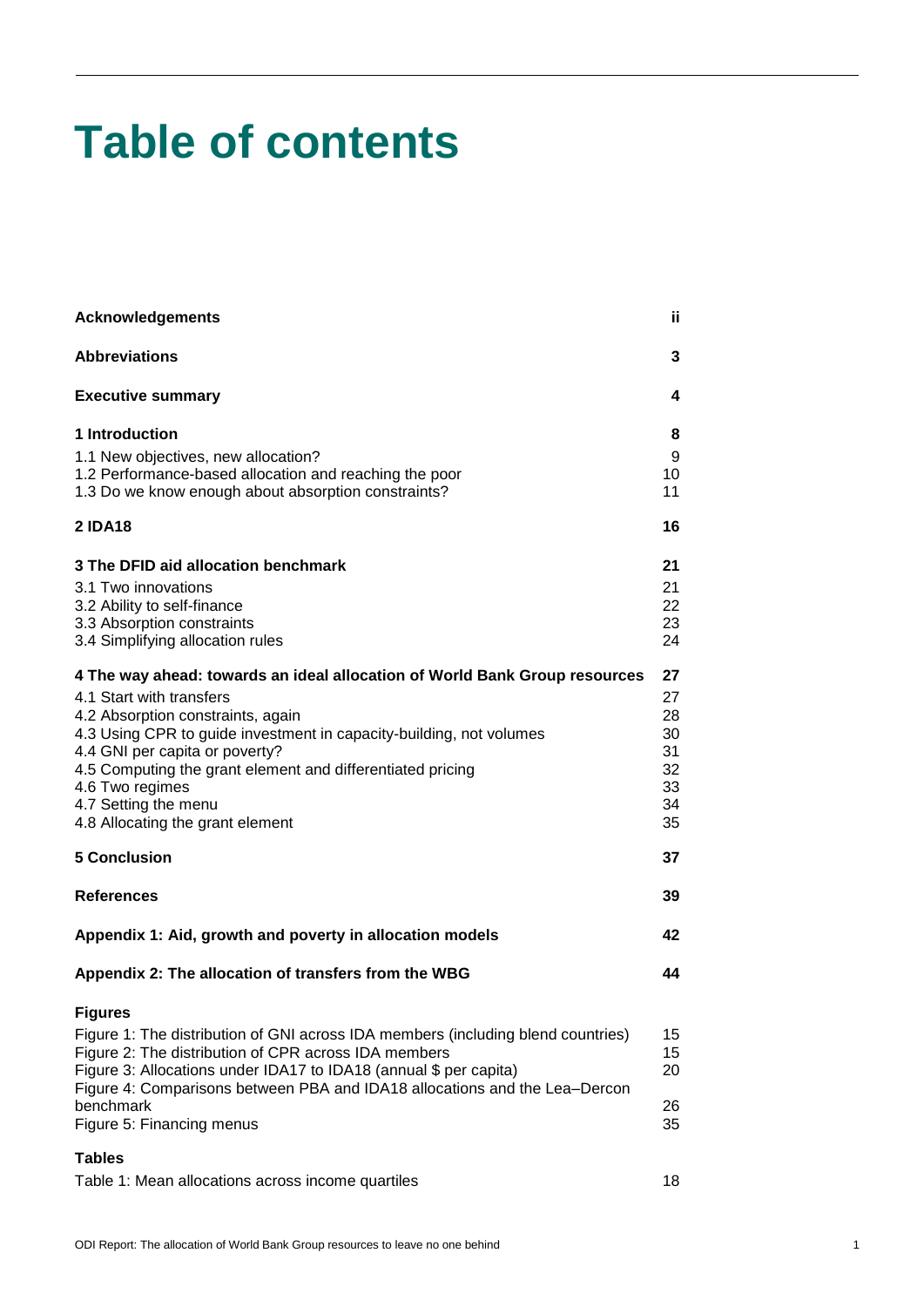# **Table of contents**

| <b>Acknowledgements</b>                                                                                                                                                                                                                                                                                                                                                                           | ii.                                                |
|---------------------------------------------------------------------------------------------------------------------------------------------------------------------------------------------------------------------------------------------------------------------------------------------------------------------------------------------------------------------------------------------------|----------------------------------------------------|
| <b>Abbreviations</b>                                                                                                                                                                                                                                                                                                                                                                              | 3                                                  |
| <b>Executive summary</b>                                                                                                                                                                                                                                                                                                                                                                          | 4                                                  |
| 1 Introduction<br>1.1 New objectives, new allocation?<br>1.2 Performance-based allocation and reaching the poor<br>1.3 Do we know enough about absorption constraints?                                                                                                                                                                                                                            | 8<br>9<br>10<br>11                                 |
| <b>2 IDA18</b>                                                                                                                                                                                                                                                                                                                                                                                    | 16                                                 |
| 3 The DFID aid allocation benchmark<br>3.1 Two innovations<br>3.2 Ability to self-finance<br>3.3 Absorption constraints<br>3.4 Simplifying allocation rules                                                                                                                                                                                                                                       | 21<br>21<br>22<br>23<br>24                         |
| 4 The way ahead: towards an ideal allocation of World Bank Group resources<br>4.1 Start with transfers<br>4.2 Absorption constraints, again<br>4.3 Using CPR to guide investment in capacity-building, not volumes<br>4.4 GNI per capita or poverty?<br>4.5 Computing the grant element and differentiated pricing<br>4.6 Two regimes<br>4.7 Setting the menu<br>4.8 Allocating the grant element | 27<br>27<br>28<br>30<br>31<br>32<br>33<br>34<br>35 |
| <b>5 Conclusion</b>                                                                                                                                                                                                                                                                                                                                                                               | 37                                                 |
| <b>References</b>                                                                                                                                                                                                                                                                                                                                                                                 | 39                                                 |
| Appendix 1: Aid, growth and poverty in allocation models                                                                                                                                                                                                                                                                                                                                          | 42                                                 |
| Appendix 2: The allocation of transfers from the WBG                                                                                                                                                                                                                                                                                                                                              | 44                                                 |
| <b>Figures</b><br>Figure 1: The distribution of GNI across IDA members (including blend countries)<br>Figure 2: The distribution of CPR across IDA members<br>Figure 3: Allocations under IDA17 to IDA18 (annual \$ per capita)<br>Figure 4: Comparisons between PBA and IDA18 allocations and the Lea–Dercon<br>benchmark<br>Figure 5: Financing menus                                           | 15<br>15<br>20<br>26<br>35                         |
| <b>Tables</b>                                                                                                                                                                                                                                                                                                                                                                                     |                                                    |
| Table 1: Mean allocations across income quartiles                                                                                                                                                                                                                                                                                                                                                 | 18                                                 |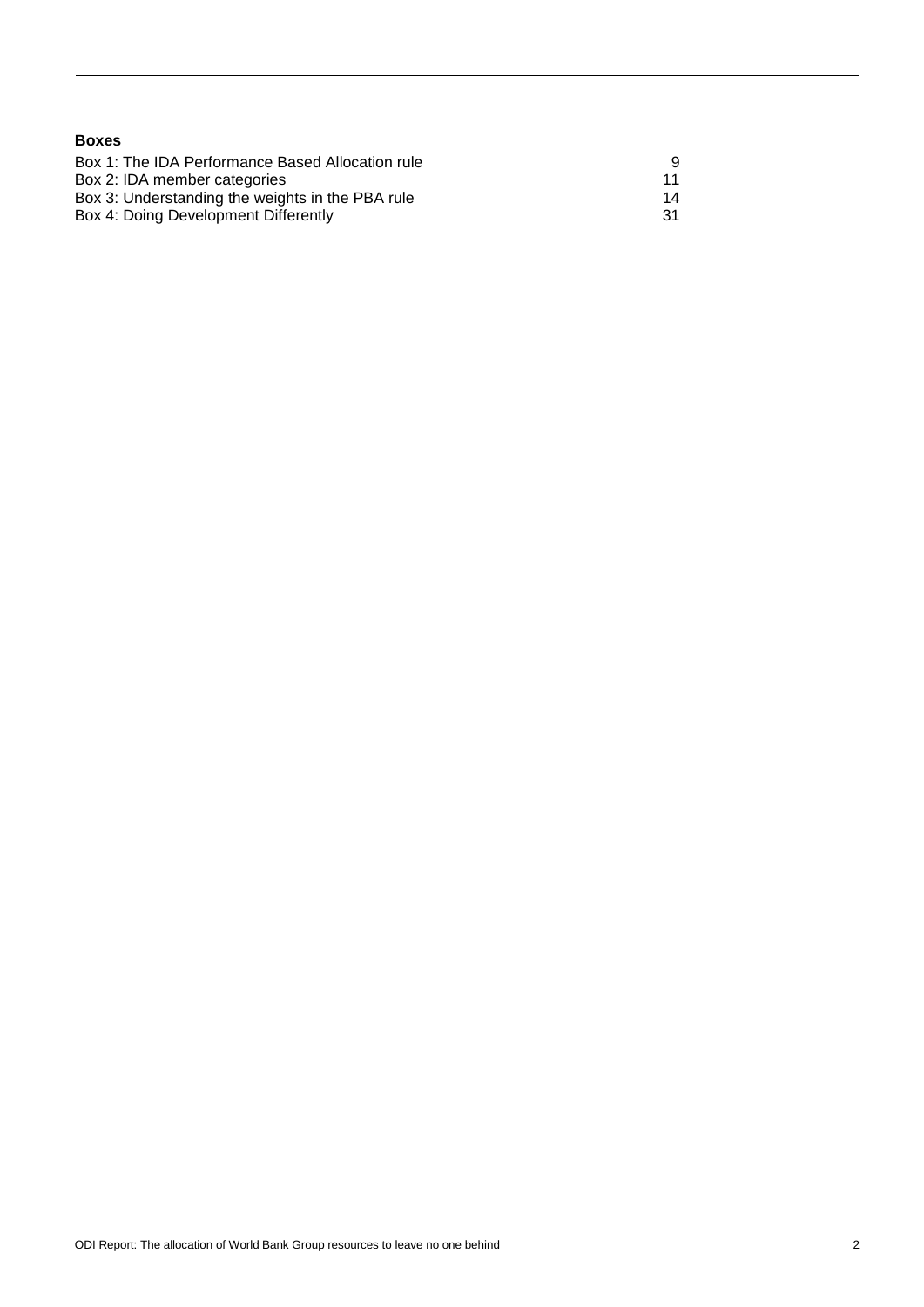| <b>Boxes</b>                                     |    |
|--------------------------------------------------|----|
| Box 1: The IDA Performance Based Allocation rule | 9  |
| Box 2: IDA member categories                     | 11 |
| Box 3: Understanding the weights in the PBA rule | 14 |
| Box 4: Doing Development Differently             | 31 |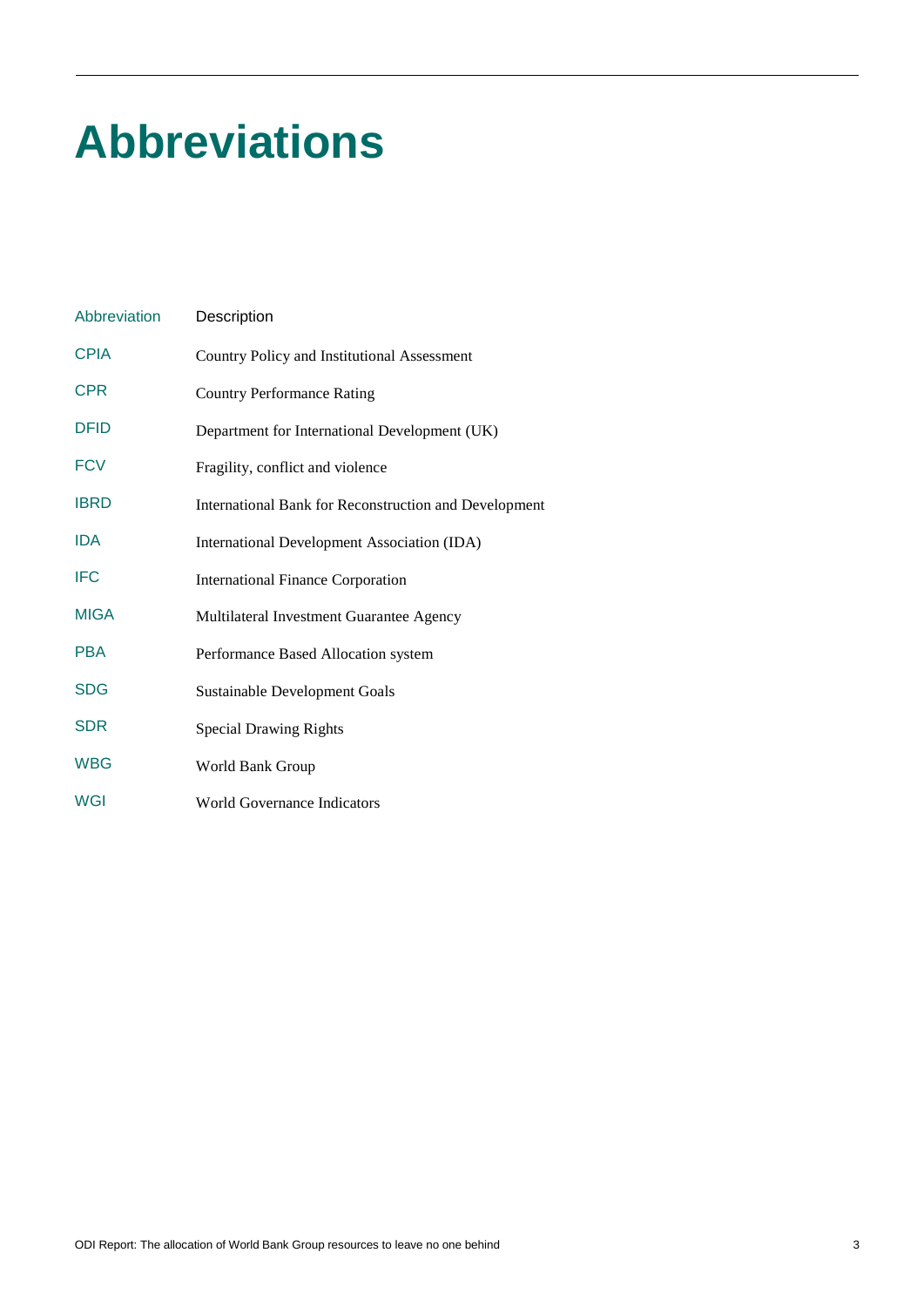# **Abbreviations**

| Abbreviation | Description                                           |
|--------------|-------------------------------------------------------|
| <b>CPIA</b>  | Country Policy and Institutional Assessment           |
| <b>CPR</b>   | <b>Country Performance Rating</b>                     |
| <b>DFID</b>  | Department for International Development (UK)         |
| <b>FCV</b>   | Fragility, conflict and violence                      |
| <b>IBRD</b>  | International Bank for Reconstruction and Development |
| <b>IDA</b>   | International Development Association (IDA)           |
| <b>IFC</b>   | <b>International Finance Corporation</b>              |
| <b>MIGA</b>  | Multilateral Investment Guarantee Agency              |
| <b>PBA</b>   | Performance Based Allocation system                   |
| <b>SDG</b>   | <b>Sustainable Development Goals</b>                  |
| <b>SDR</b>   | <b>Special Drawing Rights</b>                         |
| <b>WBG</b>   | World Bank Group                                      |
| <b>WGI</b>   | <b>World Governance Indicators</b>                    |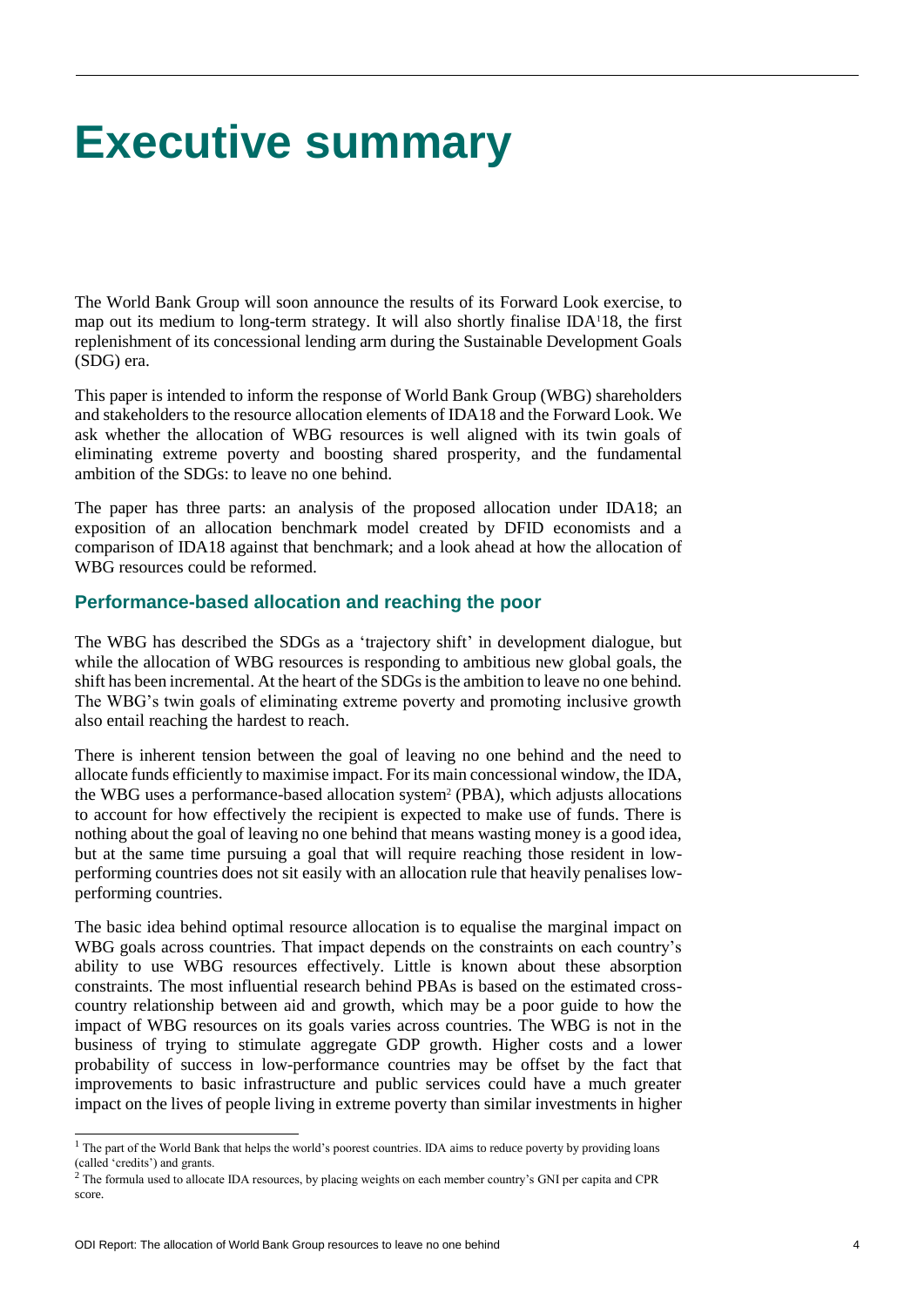# **Executive summary**

The World Bank Group will soon announce the results of its Forward Look exercise, to map out its medium to long-term strategy. It will also shortly finalise IDA118, the first replenishment of its concessional lending arm during the Sustainable Development Goals (SDG) era.

This paper is intended to inform the response of World Bank Group (WBG) shareholders and stakeholders to the resource allocation elements of IDA18 and the Forward Look. We ask whether the allocation of WBG resources is well aligned with its twin goals of eliminating extreme poverty and boosting shared prosperity, and the fundamental ambition of the SDGs: to leave no one behind.

The paper has three parts: an analysis of the proposed allocation under IDA18; an exposition of an allocation benchmark model created by DFID economists and a comparison of IDA18 against that benchmark; and a look ahead at how the allocation of WBG resources could be reformed.

### **Performance-based allocation and reaching the poor**

The WBG has described the SDGs as a 'trajectory shift' in development dialogue, but while the allocation of WBG resources is responding to ambitious new global goals, the shift has been incremental. At the heart of the SDGs is the ambition to leave no one behind. The WBG's twin goals of eliminating extreme poverty and promoting inclusive growth also entail reaching the hardest to reach.

There is inherent tension between the goal of leaving no one behind and the need to allocate funds efficiently to maximise impact. For its main concessional window, the IDA, the WBG uses a performance-based allocation system<sup>2</sup> (PBA), which adjusts allocations to account for how effectively the recipient is expected to make use of funds. There is nothing about the goal of leaving no one behind that means wasting money is a good idea, but at the same time pursuing a goal that will require reaching those resident in lowperforming countries does not sit easily with an allocation rule that heavily penalises lowperforming countries.

The basic idea behind optimal resource allocation is to equalise the marginal impact on WBG goals across countries. That impact depends on the constraints on each country's ability to use WBG resources effectively. Little is known about these absorption constraints. The most influential research behind PBAs is based on the estimated crosscountry relationship between aid and growth, which may be a poor guide to how the impact of WBG resources on its goals varies across countries. The WBG is not in the business of trying to stimulate aggregate GDP growth. Higher costs and a lower probability of success in low-performance countries may be offset by the fact that improvements to basic infrastructure and public services could have a much greater impact on the lives of people living in extreme poverty than similar investments in higher

<sup>&</sup>lt;sup>1</sup> The part of the World Bank that helps the world's poorest countries. IDA aims to reduce poverty by providing loans (called 'credits') and grants.

 $2$  The formula used to allocate IDA resources, by placing weights on each member country's GNI per capita and CPR score.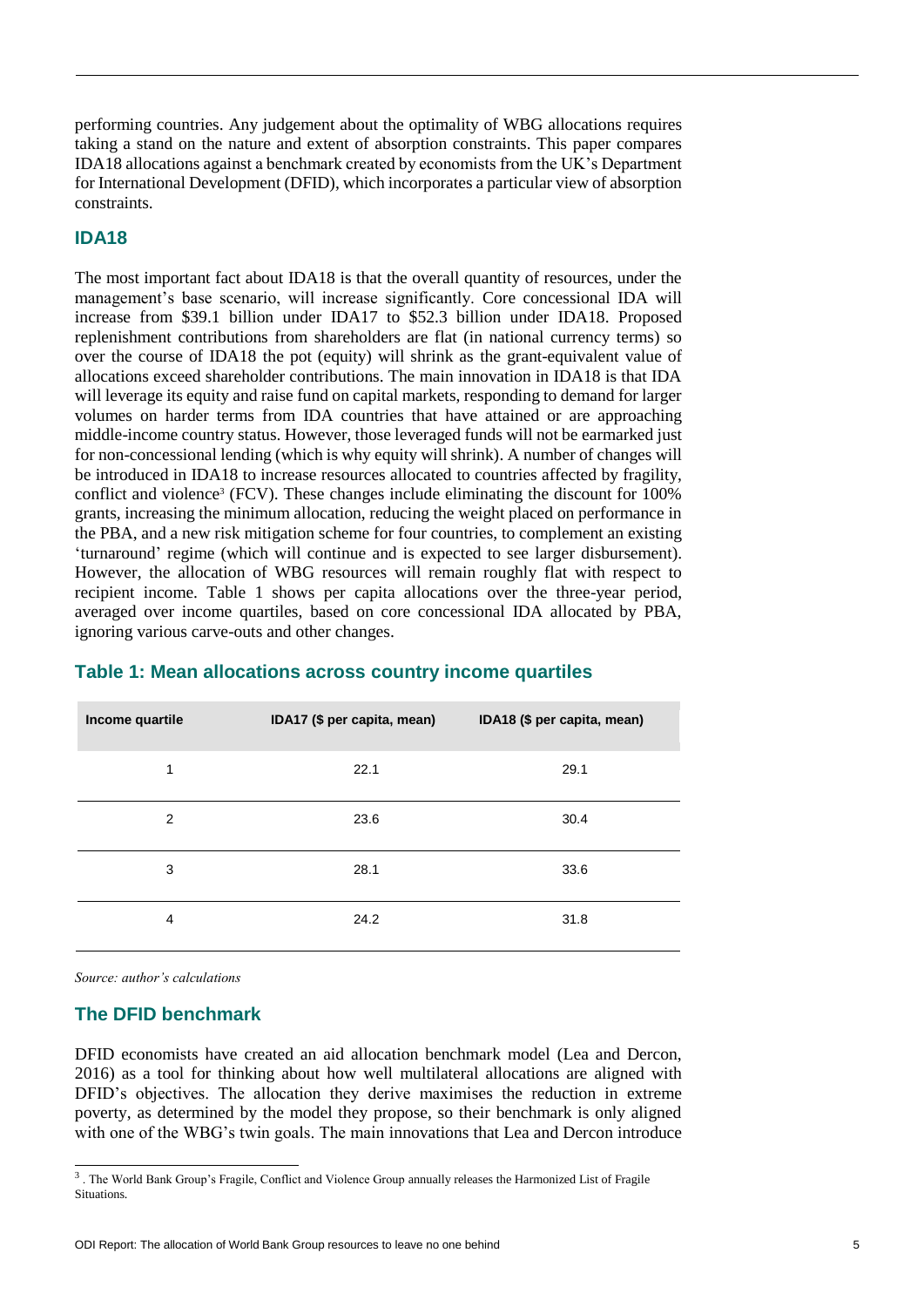performing countries. Any judgement about the optimality of WBG allocations requires taking a stand on the nature and extent of absorption constraints. This paper compares IDA18 allocations against a benchmark created by economists from the UK's Department for International Development (DFID), which incorporates a particular view of absorption constraints.

# **IDA18**

The most important fact about IDA18 is that the overall quantity of resources, under the management's base scenario, will increase significantly. Core concessional IDA will increase from \$39.1 billion under IDA17 to \$52.3 billion under IDA18. Proposed replenishment contributions from shareholders are flat (in national currency terms) so over the course of IDA18 the pot (equity) will shrink as the grant-equivalent value of allocations exceed shareholder contributions. The main innovation in IDA18 is that IDA will leverage its equity and raise fund on capital markets, responding to demand for larger volumes on harder terms from IDA countries that have attained or are approaching middle-income country status. However, those leveraged funds will not be earmarked just for non-concessional lending (which is why equity will shrink). A number of changes will be introduced in IDA18 to increase resources allocated to countries affected by fragility, conflict and violence<sup>3</sup> (FCV). These changes include eliminating the discount for 100% grants, increasing the minimum allocation, reducing the weight placed on performance in the PBA, and a new risk mitigation scheme for four countries, to complement an existing 'turnaround' regime (which will continue and is expected to see larger disbursement). However, the allocation of WBG resources will remain roughly flat with respect to recipient income. Table 1 shows per capita allocations over the three-year period, averaged over income quartiles, based on core concessional IDA allocated by PBA, ignoring various carve-outs and other changes.

| Income quartile | IDA17 (\$ per capita, mean) | IDA18 (\$ per capita, mean) |
|-----------------|-----------------------------|-----------------------------|
| 1               | 22.1                        | 29.1                        |
| $\overline{2}$  | 23.6                        | 30.4                        |
| 3               | 28.1                        | 33.6                        |
| 4               | 24.2                        | 31.8                        |

# **Table 1: Mean allocations across country income quartiles**

*Source: author's calculations*

### **The DFID benchmark**

DFID economists have created an aid allocation benchmark model (Lea and Dercon, 2016) as a tool for thinking about how well multilateral allocations are aligned with DFID's objectives. The allocation they derive maximises the reduction in extreme poverty, as determined by the model they propose, so their benchmark is only aligned with one of the WBG's twin goals. The main innovations that Lea and Dercon introduce

 3 . The World Bank Group's Fragile, Conflict and Violence Group annually releases the Harmonized List of Fragile Situations.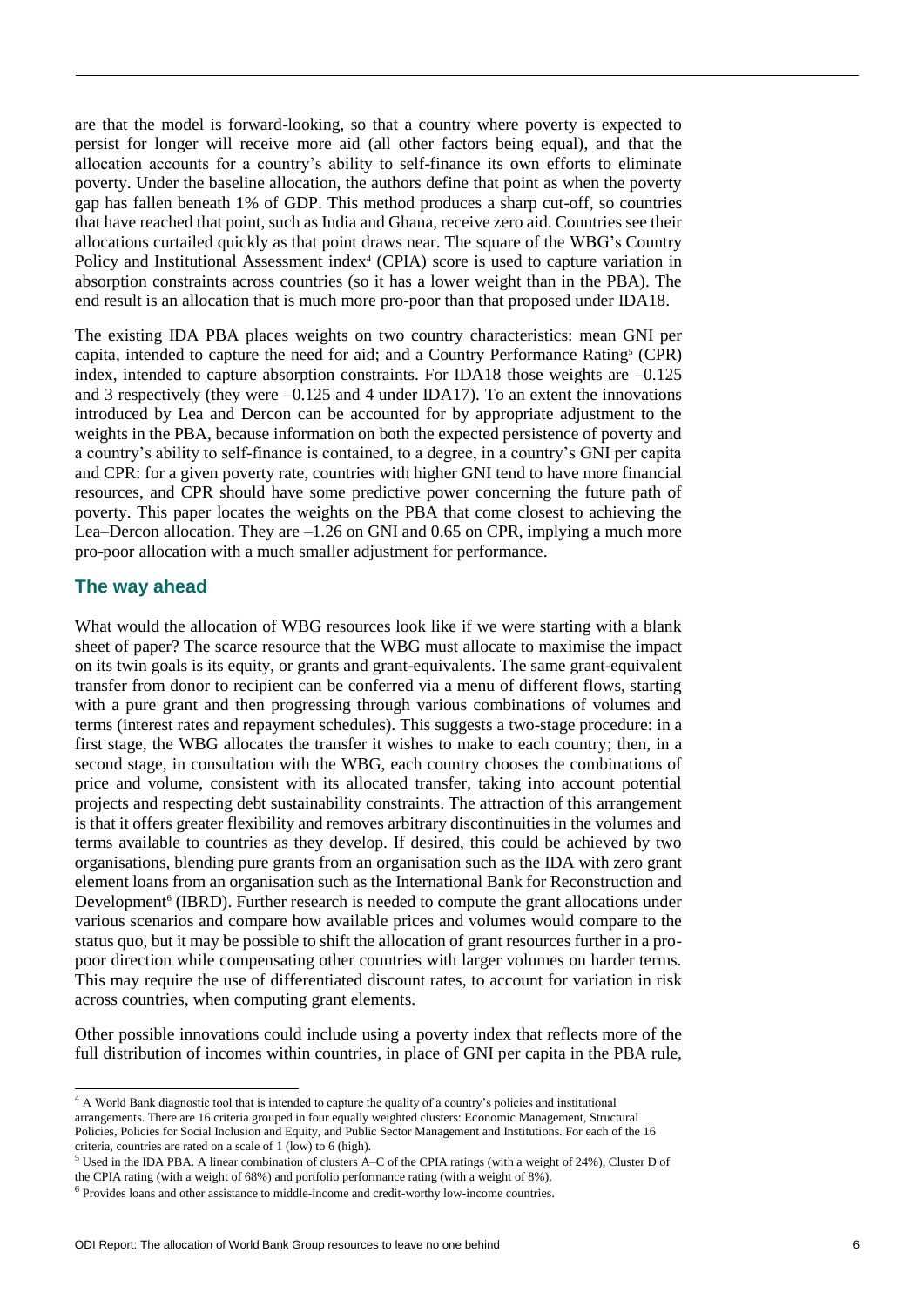are that the model is forward-looking, so that a country where poverty is expected to persist for longer will receive more aid (all other factors being equal), and that the allocation accounts for a country's ability to self-finance its own efforts to eliminate poverty. Under the baseline allocation, the authors define that point as when the poverty gap has fallen beneath 1% of GDP. This method produces a sharp cut-off, so countries that have reached that point, such as India and Ghana, receive zero aid. Countries see their allocations curtailed quickly as that point draws near. The square of the WBG's Country Policy and Institutional Assessment index<sup>4</sup> (CPIA) score is used to capture variation in absorption constraints across countries (so it has a lower weight than in the PBA). The end result is an allocation that is much more pro-poor than that proposed under IDA18.

The existing IDA PBA places weights on two country characteristics: mean GNI per capita, intended to capture the need for aid; and a Country Performance Rating<sup>5</sup> (CPR) index, intended to capture absorption constraints. For IDA18 those weights are –0.125 and 3 respectively (they were –0.125 and 4 under IDA17). To an extent the innovations introduced by Lea and Dercon can be accounted for by appropriate adjustment to the weights in the PBA, because information on both the expected persistence of poverty and a country's ability to self-finance is contained, to a degree, in a country's GNI per capita and CPR: for a given poverty rate, countries with higher GNI tend to have more financial resources, and CPR should have some predictive power concerning the future path of poverty. This paper locates the weights on the PBA that come closest to achieving the Lea–Dercon allocation. They are –1.26 on GNI and 0.65 on CPR, implying a much more pro-poor allocation with a much smaller adjustment for performance.

### **The way ahead**

 $\overline{a}$ 

What would the allocation of WBG resources look like if we were starting with a blank sheet of paper? The scarce resource that the WBG must allocate to maximise the impact on its twin goals is its equity, or grants and grant-equivalents. The same grant-equivalent transfer from donor to recipient can be conferred via a menu of different flows, starting with a pure grant and then progressing through various combinations of volumes and terms (interest rates and repayment schedules). This suggests a two-stage procedure: in a first stage, the WBG allocates the transfer it wishes to make to each country; then, in a second stage, in consultation with the WBG, each country chooses the combinations of price and volume, consistent with its allocated transfer, taking into account potential projects and respecting debt sustainability constraints. The attraction of this arrangement is that it offers greater flexibility and removes arbitrary discontinuities in the volumes and terms available to countries as they develop. If desired, this could be achieved by two organisations, blending pure grants from an organisation such as the IDA with zero grant element loans from an organisation such as the International Bank for Reconstruction and Development<sup>6</sup> (IBRD). Further research is needed to compute the grant allocations under various scenarios and compare how available prices and volumes would compare to the status quo, but it may be possible to shift the allocation of grant resources further in a propoor direction while compensating other countries with larger volumes on harder terms. This may require the use of differentiated discount rates, to account for variation in risk across countries, when computing grant elements.

Other possible innovations could include using a poverty index that reflects more of the full distribution of incomes within countries, in place of GNI per capita in the PBA rule,

 $<sup>4</sup>$  A World Bank diagnostic tool that is intended to capture the quality of a country's policies and institutional</sup> arrangements. There are 16 criteria grouped in four equally weighted clusters: Economic Management, Structural Policies, Policies for Social Inclusion and Equity, and Public Sector Management and Institutions. For each of the 16 criteria, countries are rated on a scale of 1 (low) to 6 (high).

<sup>5</sup> Used in the IDA PBA. A linear combination of clusters A–C of the CPIA ratings (with a weight of 24%), Cluster D of the CPIA rating (with a weight of 68%) and portfolio performance rating (with a weight of 8%).

 $6$  Provides loans and other assistance to middle-income and credit-worthy low-income countries.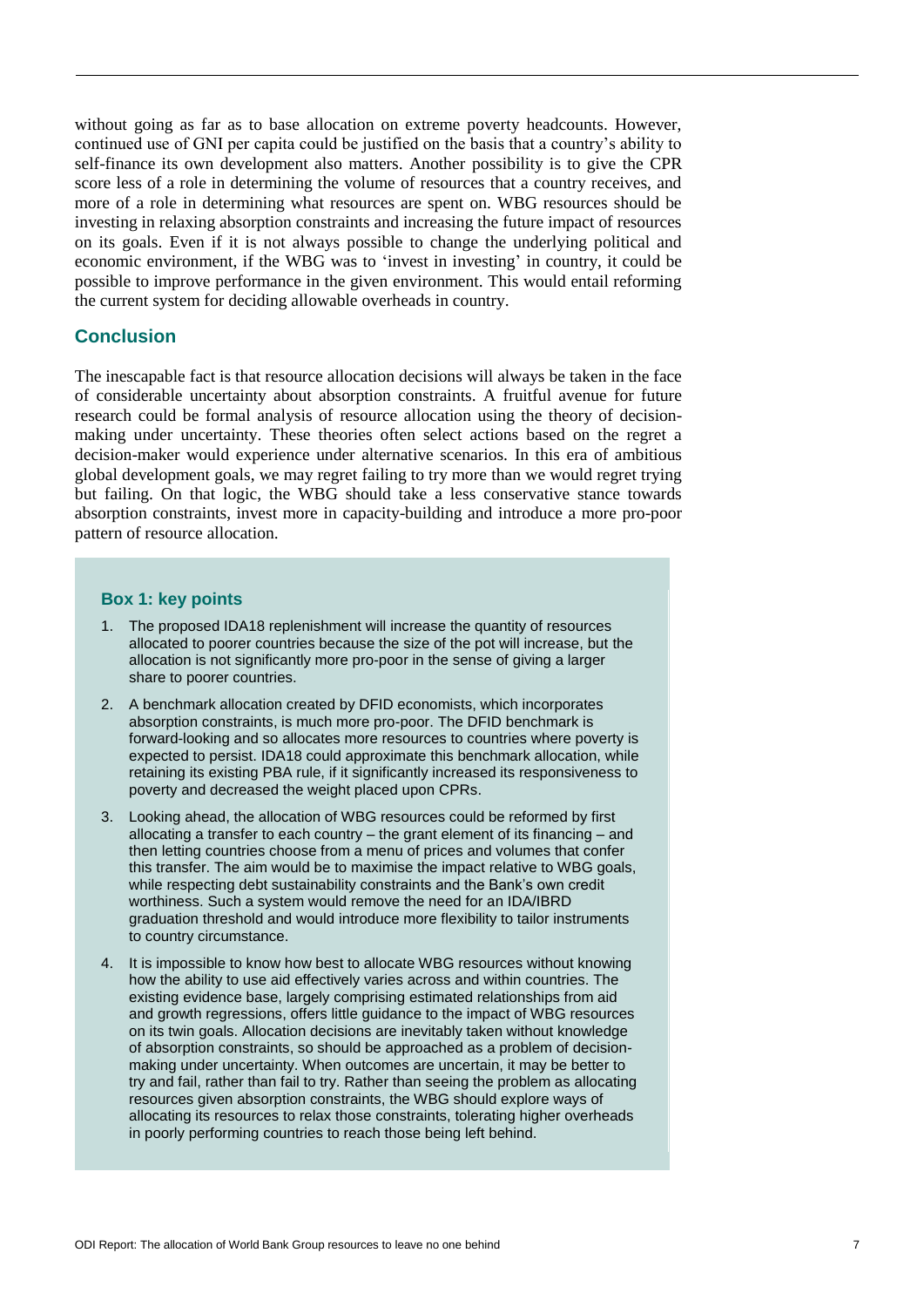without going as far as to base allocation on extreme poverty headcounts. However, continued use of GNI per capita could be justified on the basis that a country's ability to self-finance its own development also matters. Another possibility is to give the CPR score less of a role in determining the volume of resources that a country receives, and more of a role in determining what resources are spent on. WBG resources should be investing in relaxing absorption constraints and increasing the future impact of resources on its goals. Even if it is not always possible to change the underlying political and economic environment, if the WBG was to 'invest in investing' in country, it could be possible to improve performance in the given environment. This would entail reforming the current system for deciding allowable overheads in country.

#### **Conclusion**

The inescapable fact is that resource allocation decisions will always be taken in the face of considerable uncertainty about absorption constraints. A fruitful avenue for future research could be formal analysis of resource allocation using the theory of decisionmaking under uncertainty. These theories often select actions based on the regret a decision-maker would experience under alternative scenarios. In this era of ambitious global development goals, we may regret failing to try more than we would regret trying but failing. On that logic, the WBG should take a less conservative stance towards absorption constraints, invest more in capacity-building and introduce a more pro-poor pattern of resource allocation.

#### **Box 1: key points**

- 1. The proposed IDA18 replenishment will increase the quantity of resources allocated to poorer countries because the size of the pot will increase, but the allocation is not significantly more pro-poor in the sense of giving a larger share to poorer countries.
- 2. A benchmark allocation created by DFID economists, which incorporates absorption constraints, is much more pro-poor. The DFID benchmark is forward-looking and so allocates more resources to countries where poverty is expected to persist. IDA18 could approximate this benchmark allocation, while retaining its existing PBA rule, if it significantly increased its responsiveness to poverty and decreased the weight placed upon CPRs.
- 3. Looking ahead, the allocation of WBG resources could be reformed by first allocating a transfer to each country – the grant element of its financing – and then letting countries choose from a menu of prices and volumes that confer this transfer. The aim would be to maximise the impact relative to WBG goals, while respecting debt sustainability constraints and the Bank's own credit worthiness. Such a system would remove the need for an IDA/IBRD graduation threshold and would introduce more flexibility to tailor instruments to country circumstance.
- 4. It is impossible to know how best to allocate WBG resources without knowing how the ability to use aid effectively varies across and within countries. The existing evidence base, largely comprising estimated relationships from aid and growth regressions, offers little guidance to the impact of WBG resources on its twin goals. Allocation decisions are inevitably taken without knowledge of absorption constraints, so should be approached as a problem of decisionmaking under uncertainty. When outcomes are uncertain, it may be better to try and fail, rather than fail to try. Rather than seeing the problem as allocating resources given absorption constraints, the WBG should explore ways of allocating its resources to relax those constraints, tolerating higher overheads in poorly performing countries to reach those being left behind.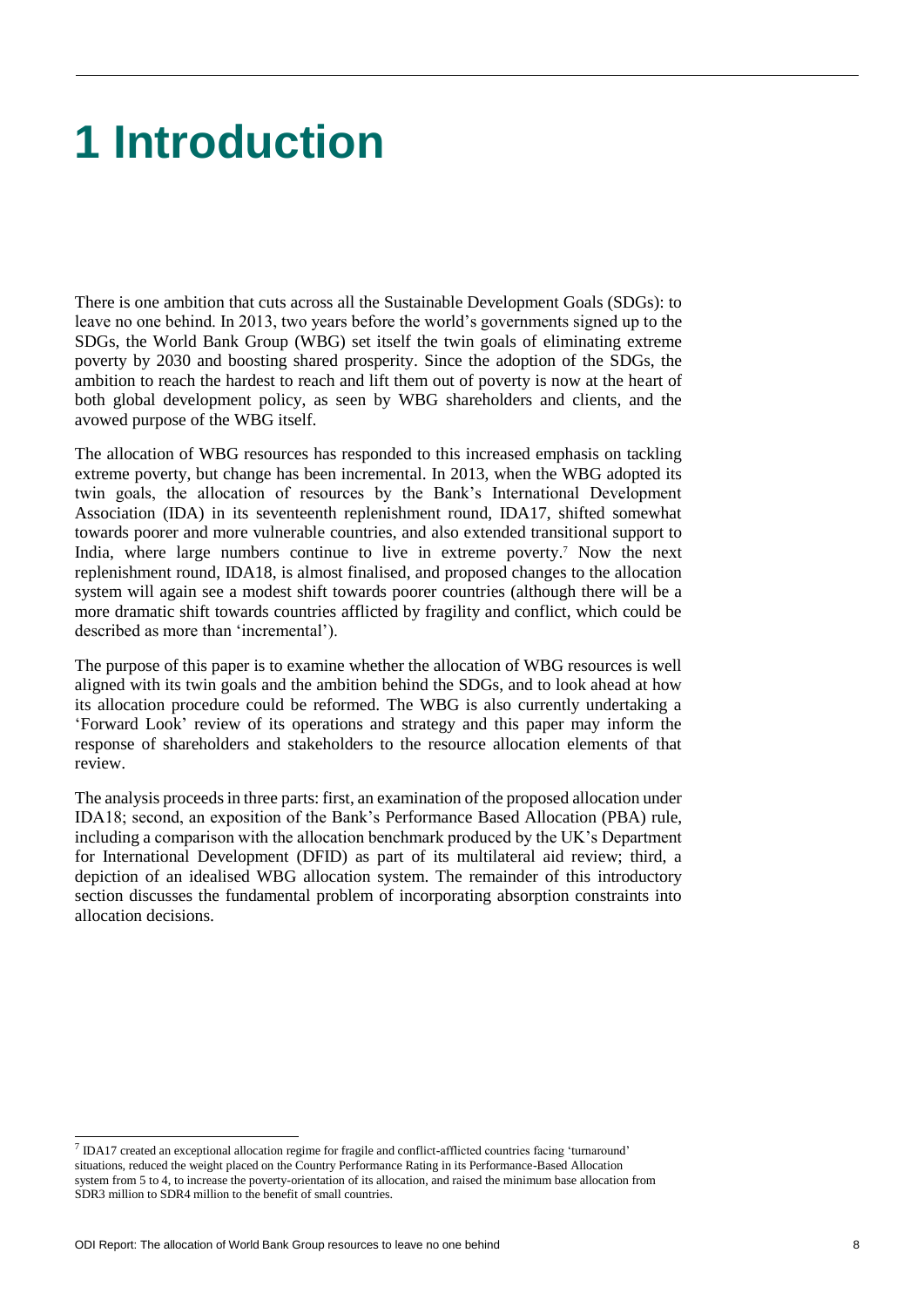# **1 Introduction**

There is one ambition that cuts across all the Sustainable Development Goals (SDGs): to leave no one behind. In 2013, two years before the world's governments signed up to the SDGs, the World Bank Group (WBG) set itself the twin goals of eliminating extreme poverty by 2030 and boosting shared prosperity. Since the adoption of the SDGs, the ambition to reach the hardest to reach and lift them out of poverty is now at the heart of both global development policy, as seen by WBG shareholders and clients, and the avowed purpose of the WBG itself.

The allocation of WBG resources has responded to this increased emphasis on tackling extreme poverty, but change has been incremental. In 2013, when the WBG adopted its twin goals, the allocation of resources by the Bank's International Development Association (IDA) in its seventeenth replenishment round, IDA17, shifted somewhat towards poorer and more vulnerable countries, and also extended transitional support to India, where large numbers continue to live in extreme poverty.<sup>7</sup> Now the next replenishment round, IDA18, is almost finalised, and proposed changes to the allocation system will again see a modest shift towards poorer countries (although there will be a more dramatic shift towards countries afflicted by fragility and conflict, which could be described as more than 'incremental').

The purpose of this paper is to examine whether the allocation of WBG resources is well aligned with its twin goals and the ambition behind the SDGs, and to look ahead at how its allocation procedure could be reformed. The WBG is also currently undertaking a 'Forward Look' review of its operations and strategy and this paper may inform the response of shareholders and stakeholders to the resource allocation elements of that review.

The analysis proceeds in three parts: first, an examination of the proposed allocation under IDA18; second, an exposition of the Bank's Performance Based Allocation (PBA) rule, including a comparison with the allocation benchmark produced by the UK's Department for International Development (DFID) as part of its multilateral aid review; third, a depiction of an idealised WBG allocation system. The remainder of this introductory section discusses the fundamental problem of incorporating absorption constraints into allocation decisions.

l

 $<sup>7</sup>$  IDA17 created an exceptional allocation regime for fragile and conflict-afflicted countries facing 'turnaround'</sup> situations, reduced the weight placed on the Country Performance Rating in its Performance-Based Allocation system from 5 to 4, to increase the poverty-orientation of its allocation, and raised the minimum base allocation from SDR3 million to SDR4 million to the benefit of small countries.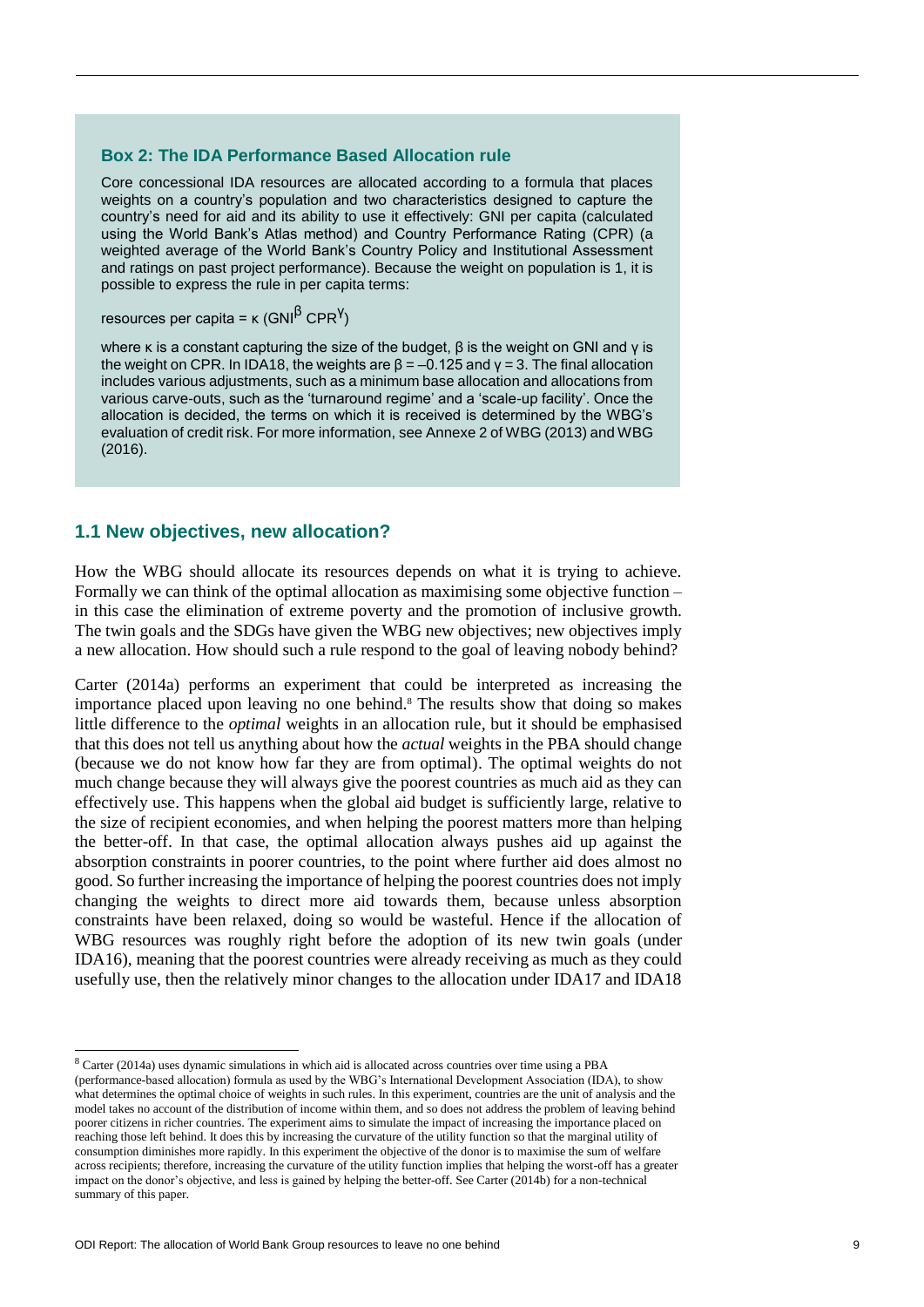#### **Box 2: The IDA Performance Based Allocation rule**

Core concessional IDA resources are allocated according to a formula that places weights on a country's population and two characteristics designed to capture the country's need for aid and its ability to use it effectively: GNI per capita (calculated using the World Bank's Atlas method) and Country Performance Rating (CPR) (a weighted average of the World Bank's Country Policy and Institutional Assessment and ratings on past project performance). Because the weight on population is 1, it is possible to express the rule in per capita terms:

resources per capita = κ (GNI<sup>β</sup> CPR<sup>Y</sup>)

where κ is a constant capturing the size of the budget,  $β$  is the weight on GNI and  $γ$  is the weight on CPR. In IDA18, the weights are  $β = -0.125$  and  $γ = 3$ . The final allocation includes various adjustments, such as a minimum base allocation and allocations from various carve-outs, such as the 'turnaround regime' and a 'scale-up facility'. Once the allocation is decided, the terms on which it is received is determined by the WBG's evaluation of credit risk. For more information, see Annexe 2 of WBG (2013) and WBG (2016).

#### **1.1 New objectives, new allocation?**

How the WBG should allocate its resources depends on what it is trying to achieve. Formally we can think of the optimal allocation as maximising some objective function – in this case the elimination of extreme poverty and the promotion of inclusive growth. The twin goals and the SDGs have given the WBG new objectives; new objectives imply a new allocation. How should such a rule respond to the goal of leaving nobody behind?

Carter (2014a) performs an experiment that could be interpreted as increasing the importance placed upon leaving no one behind.<sup>8</sup> The results show that doing so makes little difference to the *optimal* weights in an allocation rule, but it should be emphasised that this does not tell us anything about how the *actual* weights in the PBA should change (because we do not know how far they are from optimal). The optimal weights do not much change because they will always give the poorest countries as much aid as they can effectively use. This happens when the global aid budget is sufficiently large, relative to the size of recipient economies, and when helping the poorest matters more than helping the better-off. In that case, the optimal allocation always pushes aid up against the absorption constraints in poorer countries, to the point where further aid does almost no good. So further increasing the importance of helping the poorest countries does not imply changing the weights to direct more aid towards them, because unless absorption constraints have been relaxed, doing so would be wasteful. Hence if the allocation of WBG resources was roughly right before the adoption of its new twin goals (under IDA16), meaning that the poorest countries were already receiving as much as they could usefully use, then the relatively minor changes to the allocation under IDA17 and IDA18

<sup>8</sup> Carter (2014a) uses dynamic simulations in which aid is allocated across countries over time using a PBA

<sup>(</sup>performance-based allocation) formula as used by the WBG's International Development Association (IDA), to show what determines the optimal choice of weights in such rules. In this experiment, countries are the unit of analysis and the model takes no account of the distribution of income within them, and so does not address the problem of leaving behind poorer citizens in richer countries. The experiment aims to simulate the impact of increasing the importance placed on reaching those left behind. It does this by increasing the curvature of the utility function so that the marginal utility of consumption diminishes more rapidly. In this experiment the objective of the donor is to maximise the sum of welfare across recipients; therefore, increasing the curvature of the utility function implies that helping the worst-off has a greater impact on the donor's objective, and less is gained by helping the better-off. See Carter (2014b) for a non-technical summary of this paper.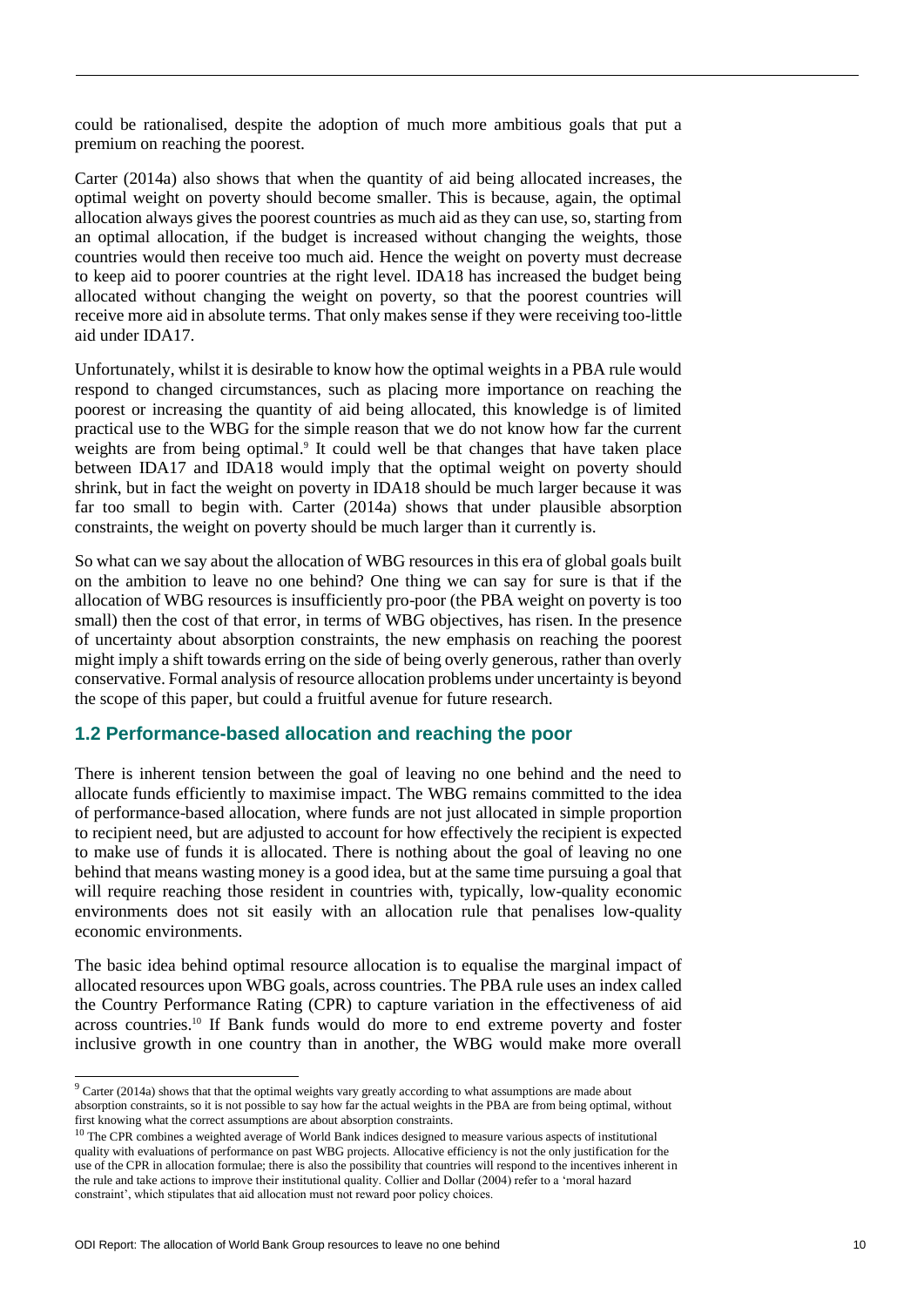could be rationalised, despite the adoption of much more ambitious goals that put a premium on reaching the poorest.

Carter (2014a) also shows that when the quantity of aid being allocated increases, the optimal weight on poverty should become smaller. This is because, again, the optimal allocation always gives the poorest countries as much aid as they can use, so, starting from an optimal allocation, if the budget is increased without changing the weights, those countries would then receive too much aid. Hence the weight on poverty must decrease to keep aid to poorer countries at the right level. IDA18 has increased the budget being allocated without changing the weight on poverty, so that the poorest countries will receive more aid in absolute terms. That only makes sense if they were receiving too-little aid under IDA17.

Unfortunately, whilst it is desirable to know how the optimal weights in a PBA rule would respond to changed circumstances, such as placing more importance on reaching the poorest or increasing the quantity of aid being allocated, this knowledge is of limited practical use to the WBG for the simple reason that we do not know how far the current weights are from being optimal.<sup>9</sup> It could well be that changes that have taken place between IDA17 and IDA18 would imply that the optimal weight on poverty should shrink, but in fact the weight on poverty in IDA18 should be much larger because it was far too small to begin with. Carter (2014a) shows that under plausible absorption constraints, the weight on poverty should be much larger than it currently is.

So what can we say about the allocation of WBG resources in this era of global goals built on the ambition to leave no one behind? One thing we can say for sure is that if the allocation of WBG resources is insufficiently pro-poor (the PBA weight on poverty is too small) then the cost of that error, in terms of WBG objectives, has risen. In the presence of uncertainty about absorption constraints, the new emphasis on reaching the poorest might imply a shift towards erring on the side of being overly generous, rather than overly conservative. Formal analysis of resource allocation problems under uncertainty is beyond the scope of this paper, but could a fruitful avenue for future research.

### **1.2 Performance-based allocation and reaching the poor**

There is inherent tension between the goal of leaving no one behind and the need to allocate funds efficiently to maximise impact. The WBG remains committed to the idea of performance-based allocation, where funds are not just allocated in simple proportion to recipient need, but are adjusted to account for how effectively the recipient is expected to make use of funds it is allocated. There is nothing about the goal of leaving no one behind that means wasting money is a good idea, but at the same time pursuing a goal that will require reaching those resident in countries with, typically, low-quality economic environments does not sit easily with an allocation rule that penalises low-quality economic environments.

The basic idea behind optimal resource allocation is to equalise the marginal impact of allocated resources upon WBG goals, across countries. The PBA rule uses an index called the Country Performance Rating (CPR) to capture variation in the effectiveness of aid across countries.<sup>10</sup> If Bank funds would do more to end extreme poverty and foster inclusive growth in one country than in another, the WBG would make more overall

<sup>&</sup>lt;sup>9</sup> Carter (2014a) shows that that the optimal weights vary greatly according to what assumptions are made about absorption constraints, so it is not possible to say how far the actual weights in the PBA are from being optimal, without first knowing what the correct assumptions are about absorption constraints.

 $10$  The CPR combines a weighted average of World Bank indices designed to measure various aspects of institutional quality with evaluations of performance on past WBG projects. Allocative efficiency is not the only justification for the use of the CPR in allocation formulae; there is also the possibility that countries will respond to the incentives inherent in the rule and take actions to improve their institutional quality. Collier and Dollar (2004) refer to a 'moral hazard constraint', which stipulates that aid allocation must not reward poor policy choices.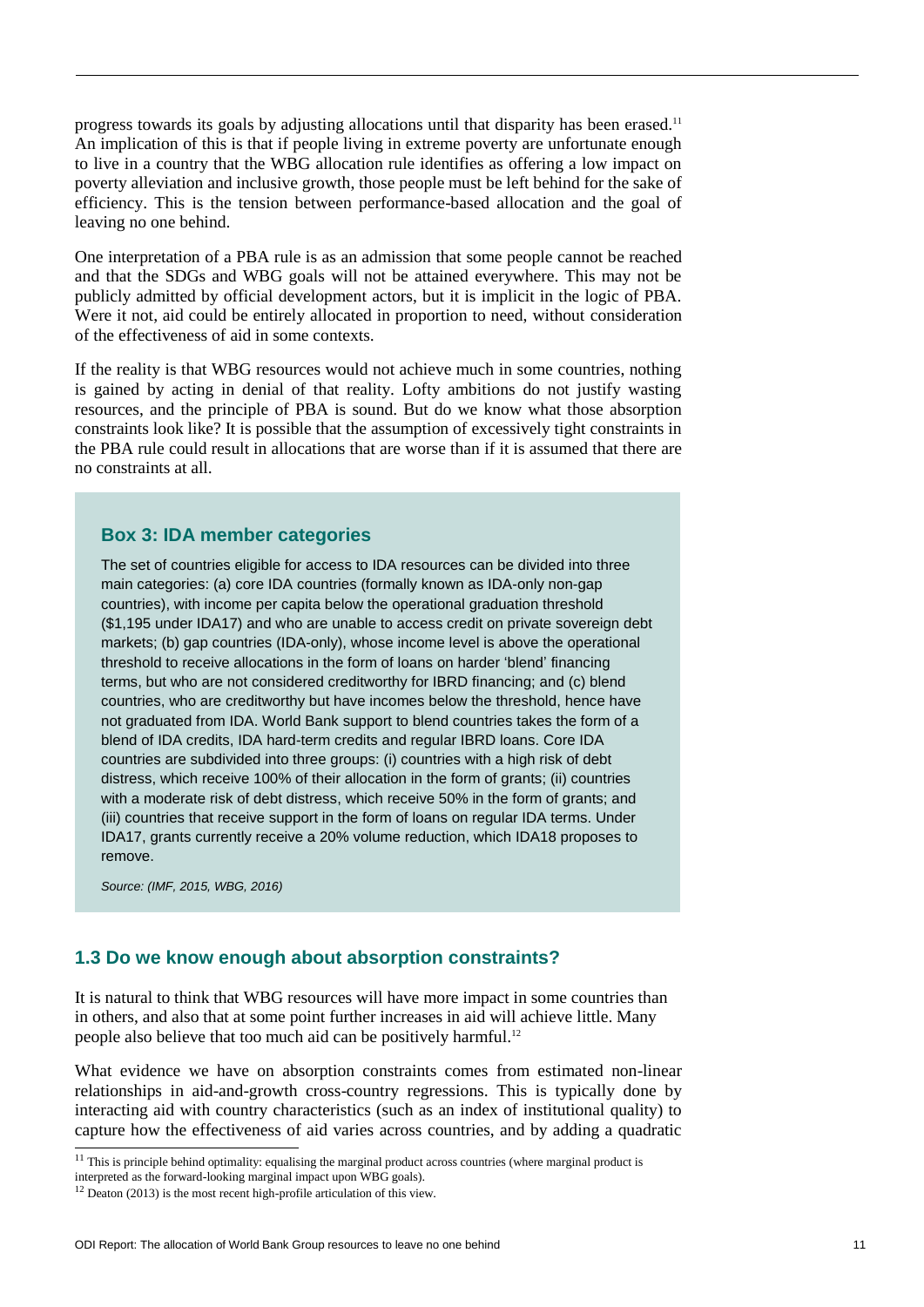progress towards its goals by adjusting allocations until that disparity has been erased.<sup>11</sup> An implication of this is that if people living in extreme poverty are unfortunate enough to live in a country that the WBG allocation rule identifies as offering a low impact on poverty alleviation and inclusive growth, those people must be left behind for the sake of efficiency. This is the tension between performance-based allocation and the goal of leaving no one behind.

One interpretation of a PBA rule is as an admission that some people cannot be reached and that the SDGs and WBG goals will not be attained everywhere. This may not be publicly admitted by official development actors, but it is implicit in the logic of PBA. Were it not, aid could be entirely allocated in proportion to need, without consideration of the effectiveness of aid in some contexts.

If the reality is that WBG resources would not achieve much in some countries, nothing is gained by acting in denial of that reality. Lofty ambitions do not justify wasting resources, and the principle of PBA is sound. But do we know what those absorption constraints look like? It is possible that the assumption of excessively tight constraints in the PBA rule could result in allocations that are worse than if it is assumed that there are no constraints at all.

#### **Box 3: IDA member categories**

The set of countries eligible for access to IDA resources can be divided into three main categories: (a) core IDA countries (formally known as IDA-only non-gap countries), with income per capita below the operational graduation threshold (\$1,195 under IDA17) and who are unable to access credit on private sovereign debt markets; (b) gap countries (IDA-only), whose income level is above the operational threshold to receive allocations in the form of loans on harder 'blend' financing terms, but who are not considered creditworthy for IBRD financing; and (c) blend countries, who are creditworthy but have incomes below the threshold, hence have not graduated from IDA. World Bank support to blend countries takes the form of a blend of IDA credits, IDA hard-term credits and regular IBRD loans. Core IDA countries are subdivided into three groups: (i) countries with a high risk of debt distress, which receive 100% of their allocation in the form of grants; (ii) countries with a moderate risk of debt distress, which receive 50% in the form of grants; and (iii) countries that receive support in the form of loans on regular IDA terms. Under IDA17, grants currently receive a 20% volume reduction, which IDA18 proposes to remove.

*Source: (IMF, 2015, WBG, 2016)*

 $\overline{a}$ 

# **1.3 Do we know enough about absorption constraints?**

It is natural to think that WBG resources will have more impact in some countries than in others, and also that at some point further increases in aid will achieve little. Many people also believe that too much aid can be positively harmful.<sup>12</sup>

What evidence we have on absorption constraints comes from estimated non-linear relationships in aid-and-growth cross-country regressions. This is typically done by interacting aid with country characteristics (such as an index of institutional quality) to capture how the effectiveness of aid varies across countries, and by adding a quadratic

 $11$  This is principle behind optimality: equalising the marginal product across countries (where marginal product is

interpreted as the forward-looking marginal impact upon WBG goals).

 $12$  Deaton (2013) is the most recent high-profile articulation of this view.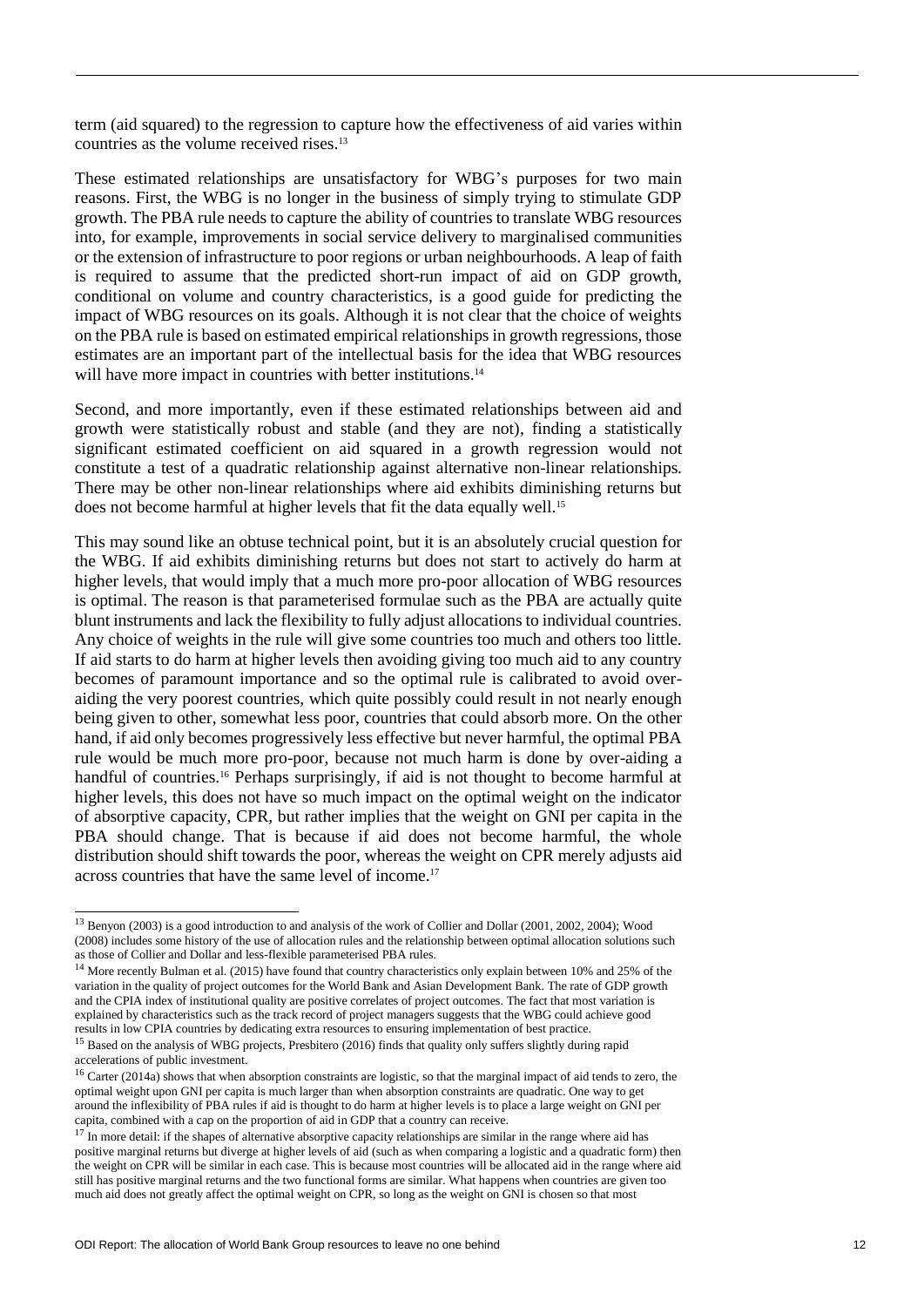term (aid squared) to the regression to capture how the effectiveness of aid varies within countries as the volume received rises.<sup>13</sup>

These estimated relationships are unsatisfactory for WBG's purposes for two main reasons. First, the WBG is no longer in the business of simply trying to stimulate GDP growth. The PBA rule needs to capture the ability of countries to translate WBG resources into, for example, improvements in social service delivery to marginalised communities or the extension of infrastructure to poor regions or urban neighbourhoods. A leap of faith is required to assume that the predicted short-run impact of aid on GDP growth, conditional on volume and country characteristics, is a good guide for predicting the impact of WBG resources on its goals. Although it is not clear that the choice of weights on the PBA rule is based on estimated empirical relationships in growth regressions, those estimates are an important part of the intellectual basis for the idea that WBG resources will have more impact in countries with better institutions.<sup>14</sup>

Second, and more importantly, even if these estimated relationships between aid and growth were statistically robust and stable (and they are not), finding a statistically significant estimated coefficient on aid squared in a growth regression would not constitute a test of a quadratic relationship against alternative non-linear relationships. There may be other non-linear relationships where aid exhibits diminishing returns but does not become harmful at higher levels that fit the data equally well.<sup>15</sup>

This may sound like an obtuse technical point, but it is an absolutely crucial question for the WBG. If aid exhibits diminishing returns but does not start to actively do harm at higher levels, that would imply that a much more pro-poor allocation of WBG resources is optimal. The reason is that parameterised formulae such as the PBA are actually quite blunt instruments and lack the flexibility to fully adjust allocations to individual countries. Any choice of weights in the rule will give some countries too much and others too little. If aid starts to do harm at higher levels then avoiding giving too much aid to any country becomes of paramount importance and so the optimal rule is calibrated to avoid overaiding the very poorest countries, which quite possibly could result in not nearly enough being given to other, somewhat less poor, countries that could absorb more. On the other hand, if aid only becomes progressively less effective but never harmful, the optimal PBA rule would be much more pro-poor, because not much harm is done by over-aiding a handful of countries.<sup>16</sup> Perhaps surprisingly, if aid is not thought to become harmful at higher levels, this does not have so much impact on the optimal weight on the indicator of absorptive capacity, CPR, but rather implies that the weight on GNI per capita in the PBA should change. That is because if aid does not become harmful, the whole distribution should shift towards the poor, whereas the weight on CPR merely adjusts aid across countries that have the same level of income.<sup>17</sup>

 $13$  Benyon (2003) is a good introduction to and analysis of the work of Collier and Dollar (2001, 2002, 2004); Wood (2008) includes some history of the use of allocation rules and the relationship between optimal allocation solutions such as those of Collier and Dollar and less-flexible parameterised PBA rules.

<sup>&</sup>lt;sup>14</sup> More recently Bulman et al. (2015) have found that country characteristics only explain between 10% and 25% of the variation in the quality of project outcomes for the World Bank and Asian Development Bank. The rate of GDP growth and the CPIA index of institutional quality are positive correlates of project outcomes. The fact that most variation is explained by characteristics such as the track record of project managers suggests that the WBG could achieve good results in low CPIA countries by dedicating extra resources to ensuring implementation of best practice.

<sup>&</sup>lt;sup>15</sup> Based on the analysis of WBG projects, Presbitero (2016) finds that quality only suffers slightly during rapid accelerations of public investment.

<sup>&</sup>lt;sup>16</sup> Carter (2014a) shows that when absorption constraints are logistic, so that the marginal impact of aid tends to zero, the optimal weight upon GNI per capita is much larger than when absorption constraints are quadratic. One way to get around the inflexibility of PBA rules if aid is thought to do harm at higher levels is to place a large weight on GNI per capita, combined with a cap on the proportion of aid in GDP that a country can receive.

 $17$  In more detail: if the shapes of alternative absorptive capacity relationships are similar in the range where aid has positive marginal returns but diverge at higher levels of aid (such as when comparing a logistic and a quadratic form) then the weight on CPR will be similar in each case. This is because most countries will be allocated aid in the range where aid still has positive marginal returns and the two functional forms are similar. What happens when countries are given too much aid does not greatly affect the optimal weight on CPR, so long as the weight on GNI is chosen so that most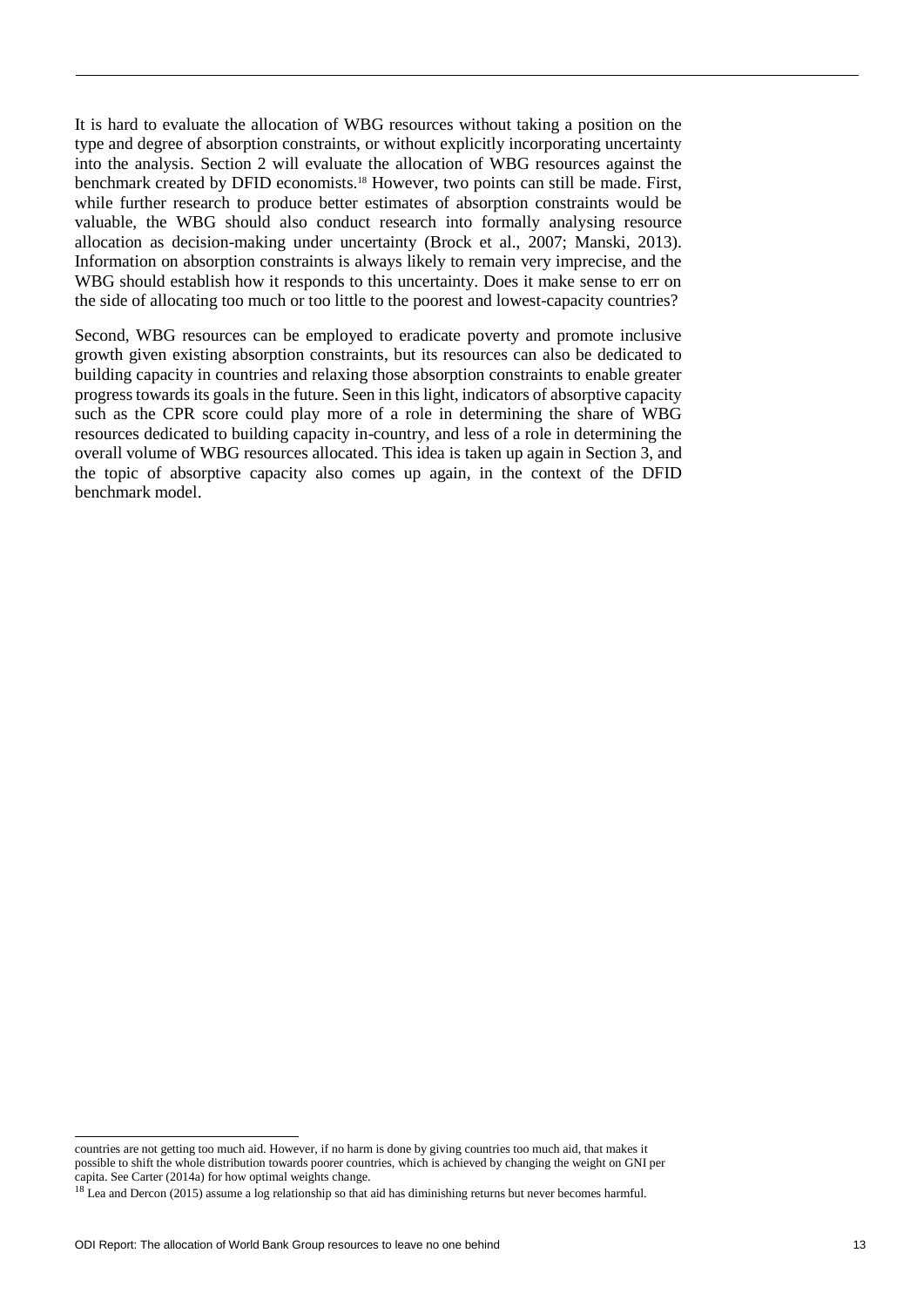It is hard to evaluate the allocation of WBG resources without taking a position on the type and degree of absorption constraints, or without explicitly incorporating uncertainty into the analysis. Section 2 will evaluate the allocation of WBG resources against the benchmark created by DFID economists.<sup>18</sup> However, two points can still be made. First, while further research to produce better estimates of absorption constraints would be valuable, the WBG should also conduct research into formally analysing resource allocation as decision-making under uncertainty (Brock et al., 2007; Manski, 2013). Information on absorption constraints is always likely to remain very imprecise, and the WBG should establish how it responds to this uncertainty. Does it make sense to err on the side of allocating too much or too little to the poorest and lowest-capacity countries?

Second, WBG resources can be employed to eradicate poverty and promote inclusive growth given existing absorption constraints, but its resources can also be dedicated to building capacity in countries and relaxing those absorption constraints to enable greater progress towards its goals in the future. Seen in this light, indicators of absorptive capacity such as the CPR score could play more of a role in determining the share of WBG resources dedicated to building capacity in-country, and less of a role in determining the overall volume of WBG resources allocated. This idea is taken up again in Section 3, and the topic of absorptive capacity also comes up again, in the context of the DFID benchmark model.

l

countries are not getting too much aid. However, if no harm is done by giving countries too much aid, that makes it possible to shift the whole distribution towards poorer countries, which is achieved by changing the weight on GNI per capita. See Carter (2014a) for how optimal weights change.

<sup>&</sup>lt;sup>18</sup> Lea and Dercon (2015) assume a log relationship so that aid has diminishing returns but never becomes harmful.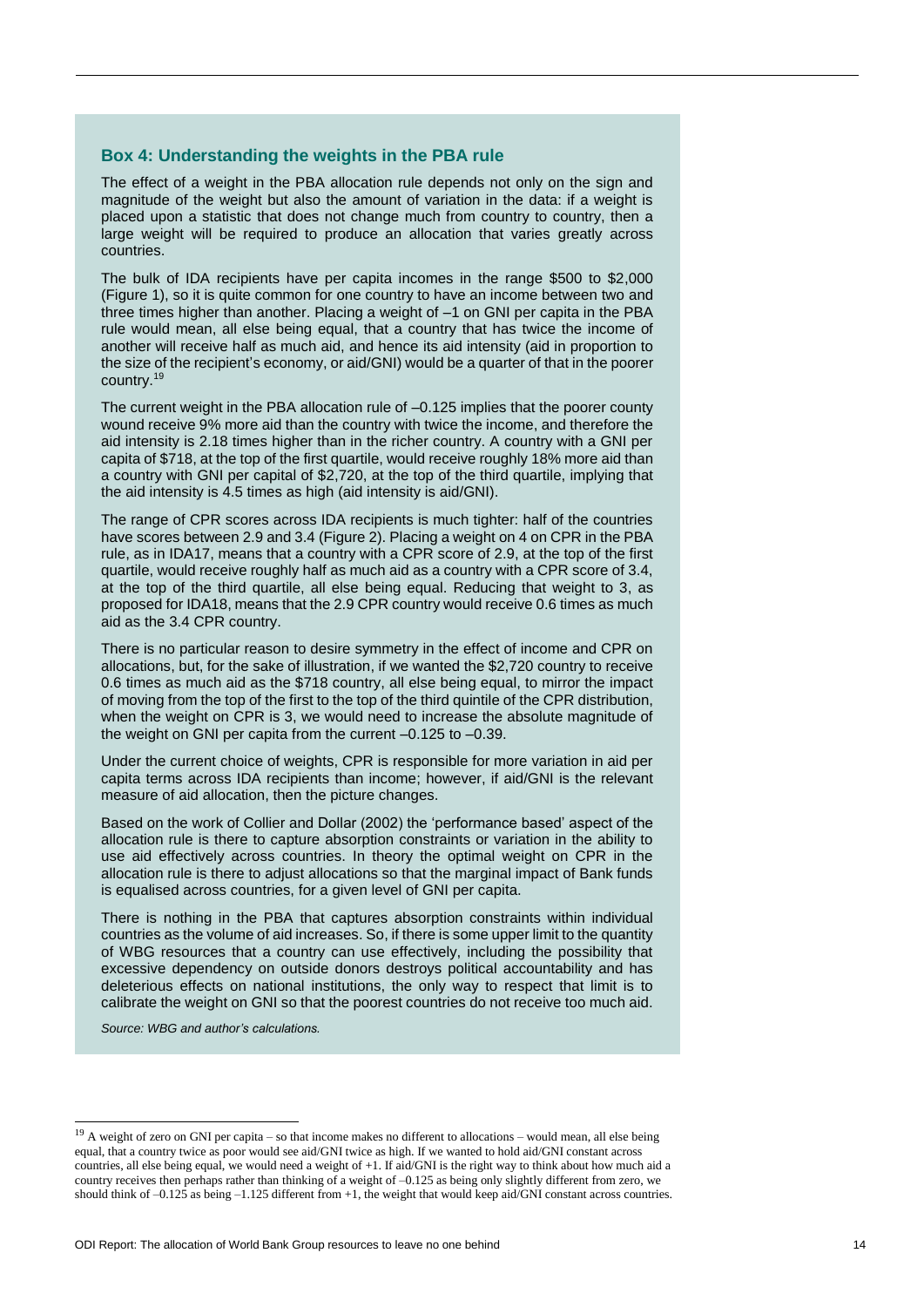#### **Box 4: Understanding the weights in the PBA rule**

The effect of a weight in the PBA allocation rule depends not only on the sign and magnitude of the weight but also the amount of variation in the data: if a weight is placed upon a statistic that does not change much from country to country, then a large weight will be required to produce an allocation that varies greatly across countries.

The bulk of IDA recipients have per capita incomes in the range \$500 to \$2,000 (Figure 1), so it is quite common for one country to have an income between two and three times higher than another. Placing a weight of –1 on GNI per capita in the PBA rule would mean, all else being equal, that a country that has twice the income of another will receive half as much aid, and hence its aid intensity (aid in proportion to the size of the recipient's economy, or aid/GNI) would be a quarter of that in the poorer country.<sup>19</sup>

The current weight in the PBA allocation rule of –0.125 implies that the poorer county wound receive 9% more aid than the country with twice the income, and therefore the aid intensity is 2.18 times higher than in the richer country. A country with a GNI per capita of \$718, at the top of the first quartile, would receive roughly 18% more aid than a country with GNI per capital of \$2,720, at the top of the third quartile, implying that the aid intensity is 4.5 times as high (aid intensity is aid/GNI).

The range of CPR scores across IDA recipients is much tighter: half of the countries have scores between 2.9 and 3.4 (Figure 2). Placing a weight on 4 on CPR in the PBA rule, as in IDA17, means that a country with a CPR score of 2.9, at the top of the first quartile, would receive roughly half as much aid as a country with a CPR score of 3.4, at the top of the third quartile, all else being equal. Reducing that weight to 3, as proposed for IDA18, means that the 2.9 CPR country would receive 0.6 times as much aid as the 3.4 CPR country.

There is no particular reason to desire symmetry in the effect of income and CPR on allocations, but, for the sake of illustration, if we wanted the \$2,720 country to receive 0.6 times as much aid as the \$718 country, all else being equal, to mirror the impact of moving from the top of the first to the top of the third quintile of the CPR distribution, when the weight on CPR is 3, we would need to increase the absolute magnitude of the weight on GNI per capita from the current –0.125 to –0.39.

Under the current choice of weights, CPR is responsible for more variation in aid per capita terms across IDA recipients than income; however, if aid/GNI is the relevant measure of aid allocation, then the picture changes.

Based on the work of Collier and Dollar (2002) the 'performance based' aspect of the allocation rule is there to capture absorption constraints or variation in the ability to use aid effectively across countries. In theory the optimal weight on CPR in the allocation rule is there to adjust allocations so that the marginal impact of Bank funds is equalised across countries, for a given level of GNI per capita.

There is nothing in the PBA that captures absorption constraints within individual countries as the volume of aid increases. So, if there is some upper limit to the quantity of WBG resources that a country can use effectively, including the possibility that excessive dependency on outside donors destroys political accountability and has deleterious effects on national institutions, the only way to respect that limit is to calibrate the weight on GNI so that the poorest countries do not receive too much aid.

*Source: WBG and author's calculations.*

 $19$  A weight of zero on GNI per capita – so that income makes no different to allocations – would mean, all else being equal, that a country twice as poor would see aid/GNI twice as high. If we wanted to hold aid/GNI constant across countries, all else being equal, we would need a weight of +1. If aid/GNI is the right way to think about how much aid a country receives then perhaps rather than thinking of a weight of –0.125 as being only slightly different from zero, we should think of  $-0.125$  as being  $-1.125$  different from  $+1$ , the weight that would keep aid/GNI constant across countries.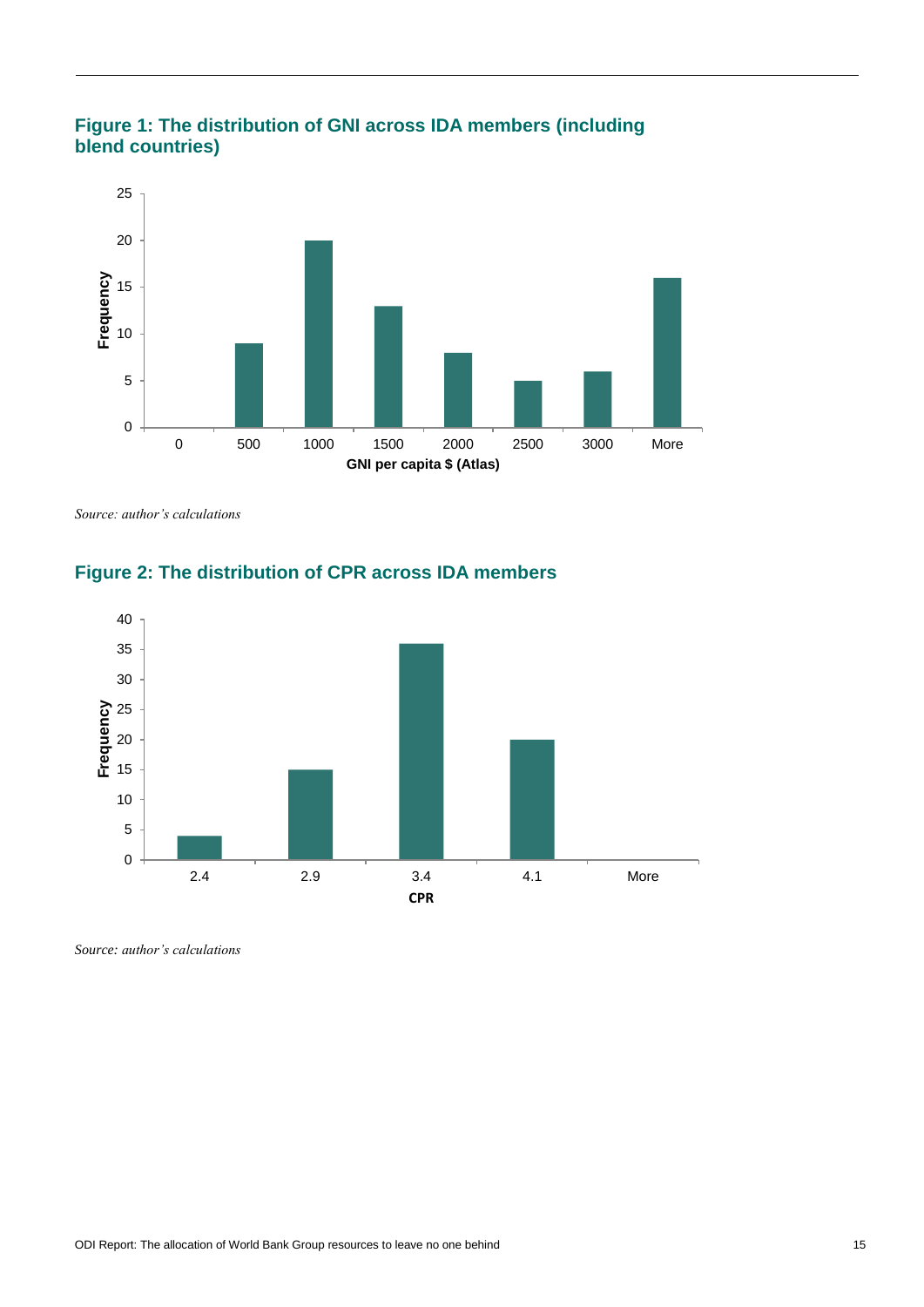



*Source: author's calculations*



# **Figure 2: The distribution of CPR across IDA members**

*Source: author's calculations*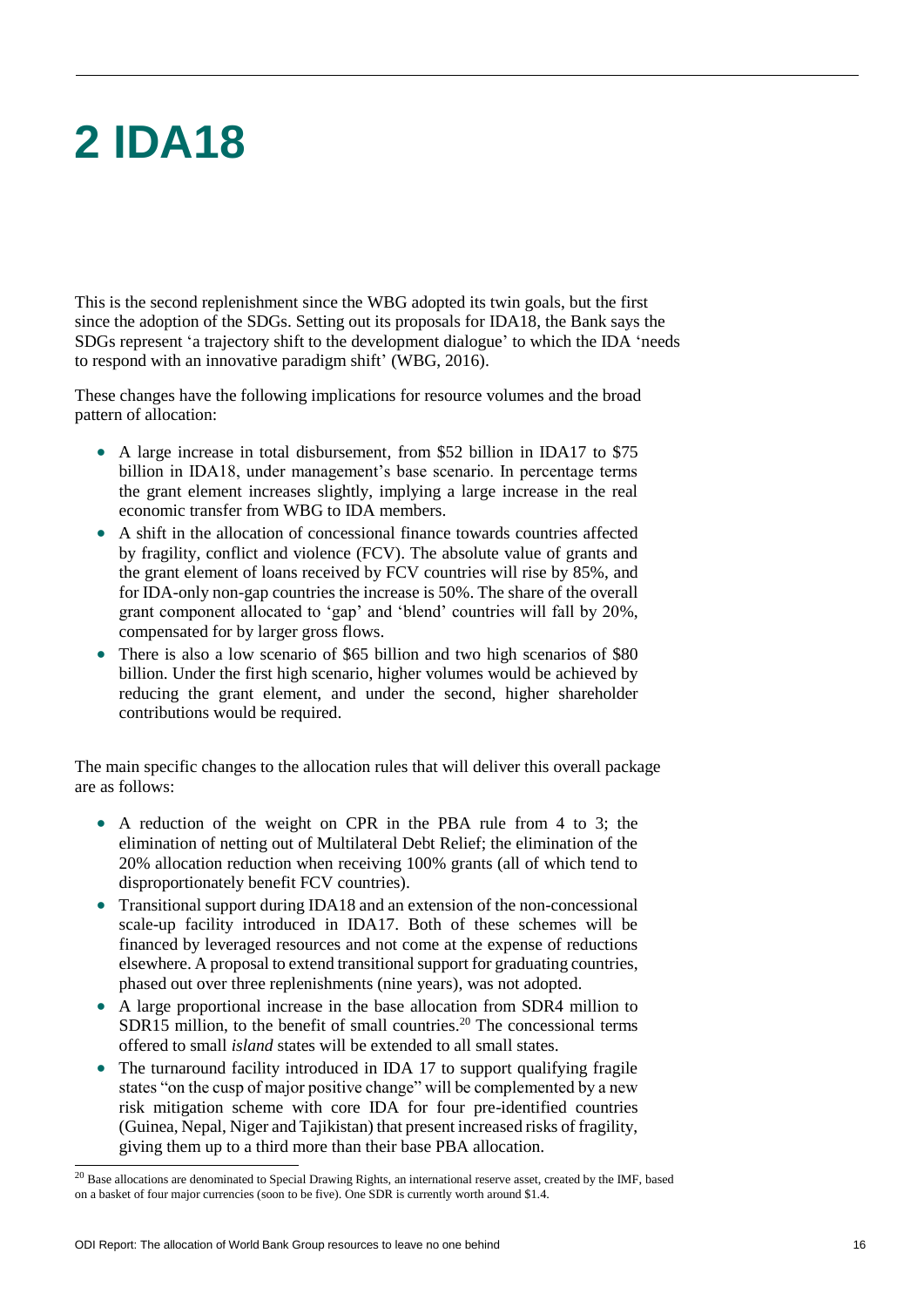# **2 IDA18**

This is the second replenishment since the WBG adopted its twin goals, but the first since the adoption of the SDGs. Setting out its proposals for IDA18, the Bank says the SDGs represent 'a trajectory shift to the development dialogue' to which the IDA 'needs to respond with an innovative paradigm shift' (WBG, 2016).

These changes have the following implications for resource volumes and the broad pattern of allocation:

- A large increase in total disbursement, from \$52 billion in IDA17 to \$75 billion in IDA18, under management's base scenario. In percentage terms the grant element increases slightly, implying a large increase in the real economic transfer from WBG to IDA members.
- A shift in the allocation of concessional finance towards countries affected by fragility, conflict and violence (FCV). The absolute value of grants and the grant element of loans received by FCV countries will rise by 85%, and for IDA-only non-gap countries the increase is 50%. The share of the overall grant component allocated to 'gap' and 'blend' countries will fall by 20%, compensated for by larger gross flows.
- There is also a low scenario of \$65 billion and two high scenarios of \$80 billion. Under the first high scenario, higher volumes would be achieved by reducing the grant element, and under the second, higher shareholder contributions would be required.

The main specific changes to the allocation rules that will deliver this overall package are as follows:

- A reduction of the weight on CPR in the PBA rule from 4 to 3; the elimination of netting out of Multilateral Debt Relief; the elimination of the 20% allocation reduction when receiving 100% grants (all of which tend to disproportionately benefit FCV countries).
- Transitional support during IDA18 and an extension of the non-concessional scale-up facility introduced in IDA17. Both of these schemes will be financed by leveraged resources and not come at the expense of reductions elsewhere. A proposal to extend transitional support for graduating countries, phased out over three replenishments (nine years), was not adopted.
- A large proportional increase in the base allocation from SDR4 million to SDR15 million, to the benefit of small countries.<sup>20</sup> The concessional terms offered to small *island* states will be extended to all small states.
- The turnaround facility introduced in IDA 17 to support qualifying fragile states "on the cusp of major positive change" will be complemented by a new risk mitigation scheme with core IDA for four pre-identified countries (Guinea, Nepal, Niger and Tajikistan) that present increased risks of fragility, giving them up to a third more than their base PBA allocation.

1

 $20$  Base allocations are denominated to Special Drawing Rights, an international reserve asset, created by the IMF, based on a basket of four major currencies (soon to be five). One SDR is currently worth around \$1.4.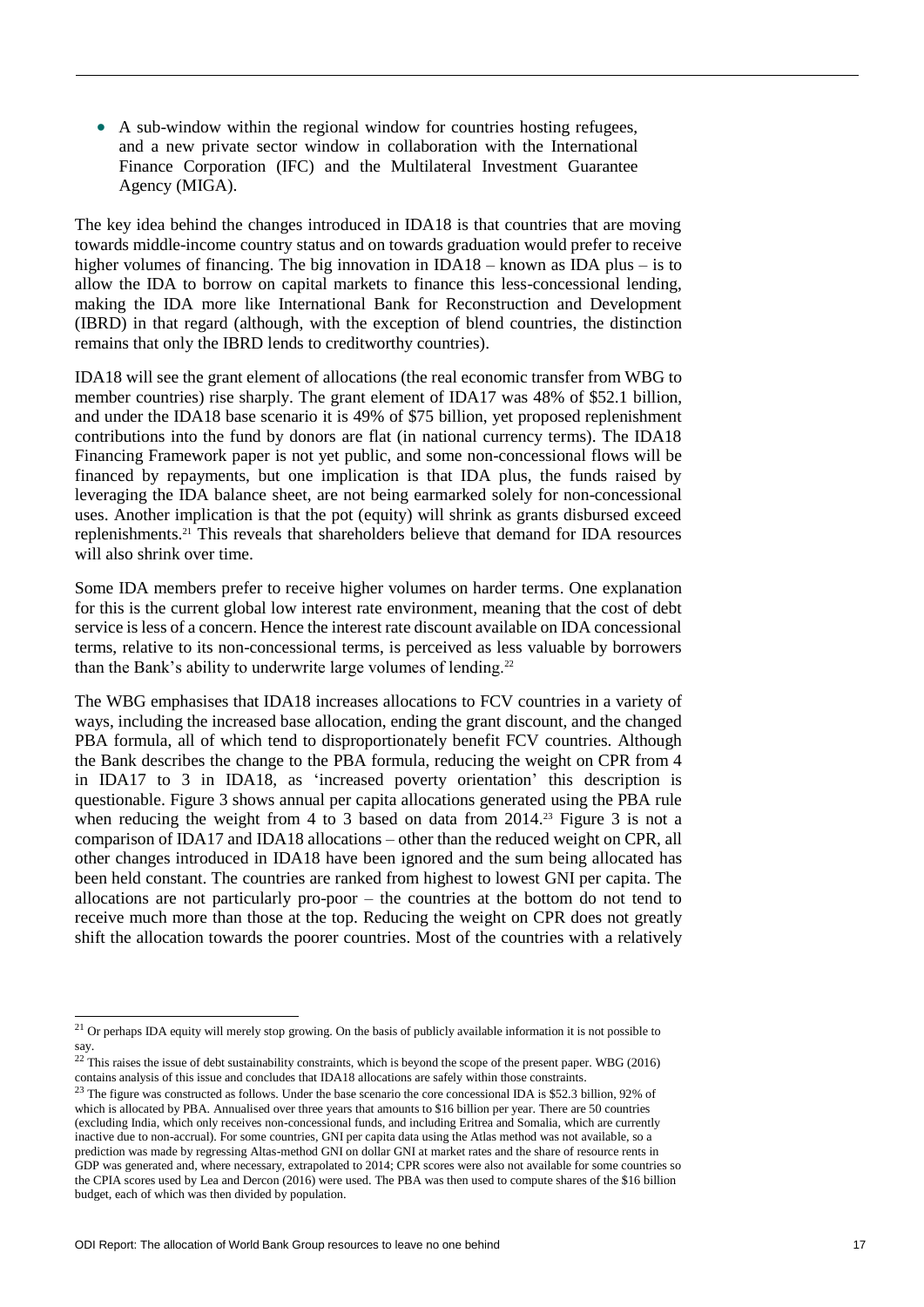A sub-window within the regional window for countries hosting refugees, and a new private sector window in collaboration with the International Finance Corporation (IFC) and the Multilateral Investment Guarantee Agency (MIGA).

The key idea behind the changes introduced in IDA18 is that countries that are moving towards middle-income country status and on towards graduation would prefer to receive higher volumes of financing. The big innovation in IDA18 – known as IDA plus – is to allow the IDA to borrow on capital markets to finance this less-concessional lending, making the IDA more like International Bank for Reconstruction and Development (IBRD) in that regard (although, with the exception of blend countries, the distinction remains that only the IBRD lends to creditworthy countries).

IDA18 will see the grant element of allocations (the real economic transfer from WBG to member countries) rise sharply. The grant element of IDA17 was 48% of \$52.1 billion, and under the IDA18 base scenario it is 49% of \$75 billion, yet proposed replenishment contributions into the fund by donors are flat (in national currency terms). The IDA18 Financing Framework paper is not yet public, and some non-concessional flows will be financed by repayments, but one implication is that IDA plus, the funds raised by leveraging the IDA balance sheet, are not being earmarked solely for non-concessional uses. Another implication is that the pot (equity) will shrink as grants disbursed exceed replenishments.<sup>21</sup> This reveals that shareholders believe that demand for IDA resources will also shrink over time.

Some IDA members prefer to receive higher volumes on harder terms. One explanation for this is the current global low interest rate environment, meaning that the cost of debt service is less of a concern. Hence the interest rate discount available on IDA concessional terms, relative to its non-concessional terms, is perceived as less valuable by borrowers than the Bank's ability to underwrite large volumes of lending.<sup>22</sup>

The WBG emphasises that IDA18 increases allocations to FCV countries in a variety of ways, including the increased base allocation, ending the grant discount, and the changed PBA formula, all of which tend to disproportionately benefit FCV countries. Although the Bank describes the change to the PBA formula, reducing the weight on CPR from 4 in IDA17 to 3 in IDA18, as 'increased poverty orientation' this description is questionable. Figure 3 shows annual per capita allocations generated using the PBA rule when reducing the weight from 4 to 3 based on data from  $2014<sup>23</sup>$  Figure 3 is not a comparison of IDA17 and IDA18 allocations – other than the reduced weight on CPR, all other changes introduced in IDA18 have been ignored and the sum being allocated has been held constant. The countries are ranked from highest to lowest GNI per capita. The allocations are not particularly pro-poor – the countries at the bottom do not tend to receive much more than those at the top. Reducing the weight on CPR does not greatly shift the allocation towards the poorer countries. Most of the countries with a relatively

 $21$  Or perhaps IDA equity will merely stop growing. On the basis of publicly available information it is not possible to say.

 $22$  This raises the issue of debt sustainability constraints, which is beyond the scope of the present paper. WBG (2016) contains analysis of this issue and concludes that IDA18 allocations are safely within those constraints.

<sup>&</sup>lt;sup>23</sup> The figure was constructed as follows. Under the base scenario the core concessional IDA is \$52.3 billion, 92% of which is allocated by PBA. Annualised over three years that amounts to \$16 billion per year. There are 50 countries (excluding India, which only receives non-concessional funds, and including Eritrea and Somalia, which are currently inactive due to non-accrual). For some countries, GNI per capita data using the Atlas method was not available, so a prediction was made by regressing Altas-method GNI on dollar GNI at market rates and the share of resource rents in GDP was generated and, where necessary, extrapolated to 2014; CPR scores were also not available for some countries so the CPIA scores used by Lea and Dercon (2016) were used. The PBA was then used to compute shares of the \$16 billion budget, each of which was then divided by population.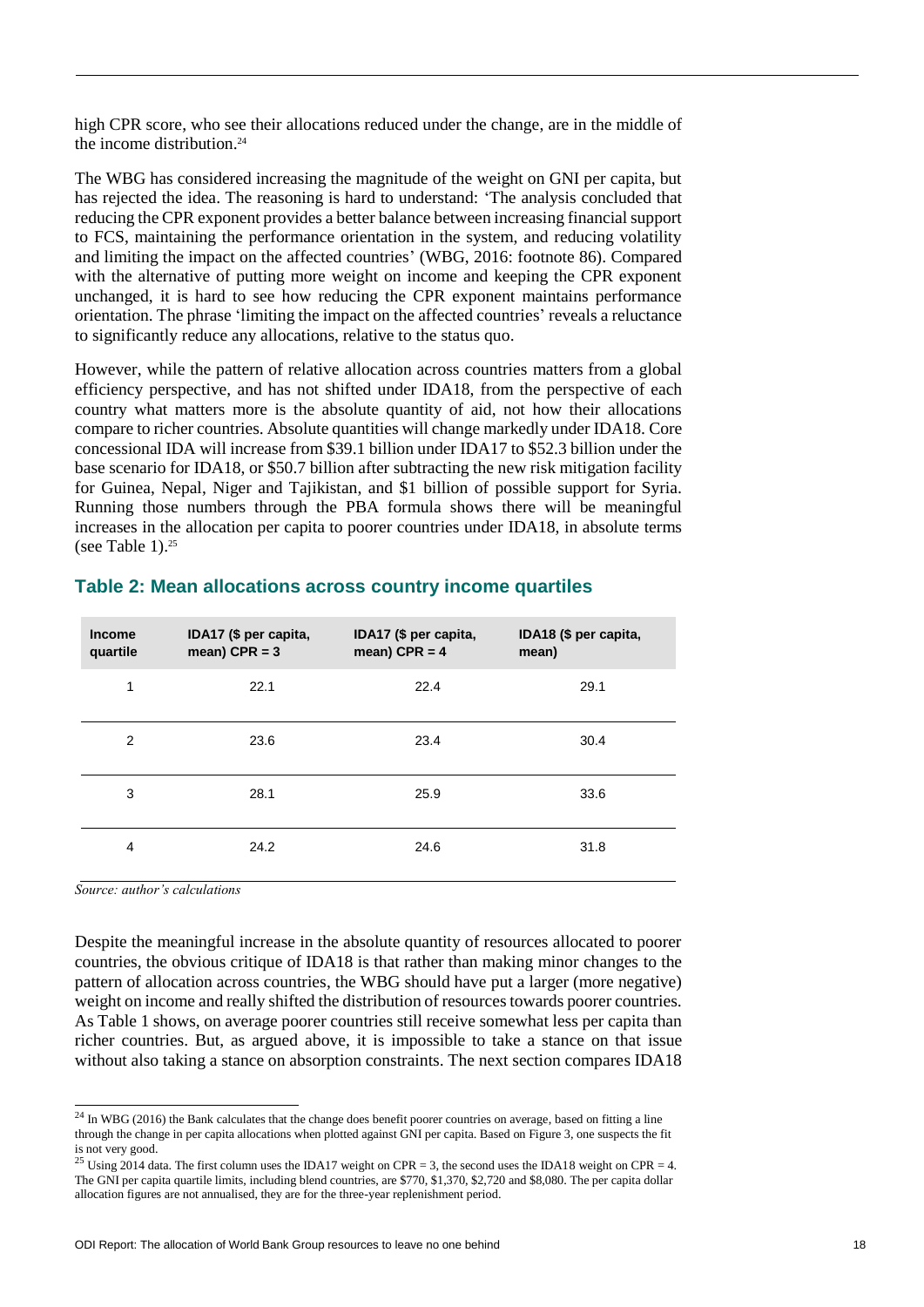high CPR score, who see their allocations reduced under the change, are in the middle of the income distribution.<sup>24</sup>

The WBG has considered increasing the magnitude of the weight on GNI per capita, but has rejected the idea. The reasoning is hard to understand: 'The analysis concluded that reducing the CPR exponent provides a better balance between increasing financial support to FCS, maintaining the performance orientation in the system, and reducing volatility and limiting the impact on the affected countries' (WBG, 2016: footnote 86). Compared with the alternative of putting more weight on income and keeping the CPR exponent unchanged, it is hard to see how reducing the CPR exponent maintains performance orientation. The phrase 'limiting the impact on the affected countries' reveals a reluctance to significantly reduce any allocations, relative to the status quo.

However, while the pattern of relative allocation across countries matters from a global efficiency perspective, and has not shifted under IDA18, from the perspective of each country what matters more is the absolute quantity of aid, not how their allocations compare to richer countries. Absolute quantities will change markedly under IDA18. Core concessional IDA will increase from \$39.1 billion under IDA17 to \$52.3 billion under the base scenario for IDA18, or \$50.7 billion after subtracting the new risk mitigation facility for Guinea, Nepal, Niger and Tajikistan, and \$1 billion of possible support for Syria. Running those numbers through the PBA formula shows there will be meaningful increases in the allocation per capita to poorer countries under IDA18, in absolute terms (see Table 1). $25$ 

| <b>Income</b><br>quartile | IDA17 (\$ per capita,<br>mean) CPR = $3$ | IDA17 (\$ per capita,<br>mean) CPR = $4$ | IDA18 (\$ per capita,<br>mean) |
|---------------------------|------------------------------------------|------------------------------------------|--------------------------------|
| 1                         | 22.1                                     | 22.4                                     | 29.1                           |
| 2                         | 23.6                                     | 23.4                                     | 30.4                           |
| 3                         | 28.1                                     | 25.9                                     | 33.6                           |
| $\overline{4}$            | 24.2                                     | 24.6                                     | 31.8                           |

### **Table 2: Mean allocations across country income quartiles**

*Source: author's calculations*

 $\overline{a}$ 

Despite the meaningful increase in the absolute quantity of resources allocated to poorer countries, the obvious critique of IDA18 is that rather than making minor changes to the pattern of allocation across countries, the WBG should have put a larger (more negative) weight on income and really shifted the distribution of resources towards poorer countries. As Table 1 shows, on average poorer countries still receive somewhat less per capita than richer countries. But, as argued above, it is impossible to take a stance on that issue without also taking a stance on absorption constraints. The next section compares IDA18

 $24$  In WBG (2016) the Bank calculates that the change does benefit poorer countries on average, based on fitting a line through the change in per capita allocations when plotted against GNI per capita. Based on Figure 3, one suspects the fit is not very good.

<sup>&</sup>lt;sup>25</sup> Using 2014 data. The first column uses the IDA17 weight on CPR = 3, the second uses the IDA18 weight on CPR = 4. The GNI per capita quartile limits, including blend countries, are \$770, \$1,370, \$2,720 and \$8,080. The per capita dollar allocation figures are not annualised, they are for the three-year replenishment period.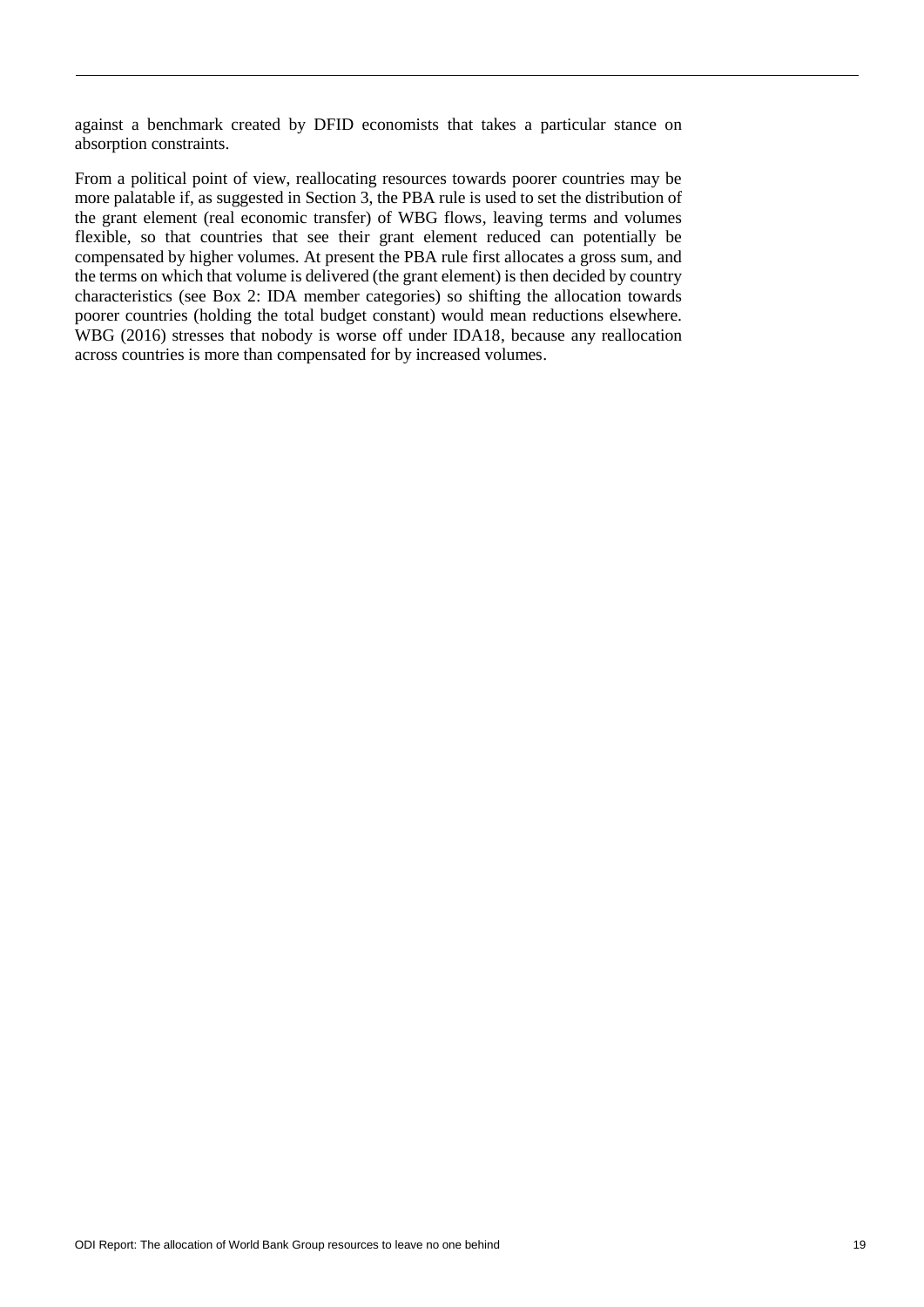against a benchmark created by DFID economists that takes a particular stance on absorption constraints.

From a political point of view, reallocating resources towards poorer countries may be more palatable if, as suggested in Section 3, the PBA rule is used to set the distribution of the grant element (real economic transfer) of WBG flows, leaving terms and volumes flexible, so that countries that see their grant element reduced can potentially be compensated by higher volumes. At present the PBA rule first allocates a gross sum, and the terms on which that volume is delivered (the grant element) is then decided by country characteristics (see Box 2: IDA member categories) so shifting the allocation towards poorer countries (holding the total budget constant) would mean reductions elsewhere. WBG (2016) stresses that nobody is worse off under IDA18, because any reallocation across countries is more than compensated for by increased volumes.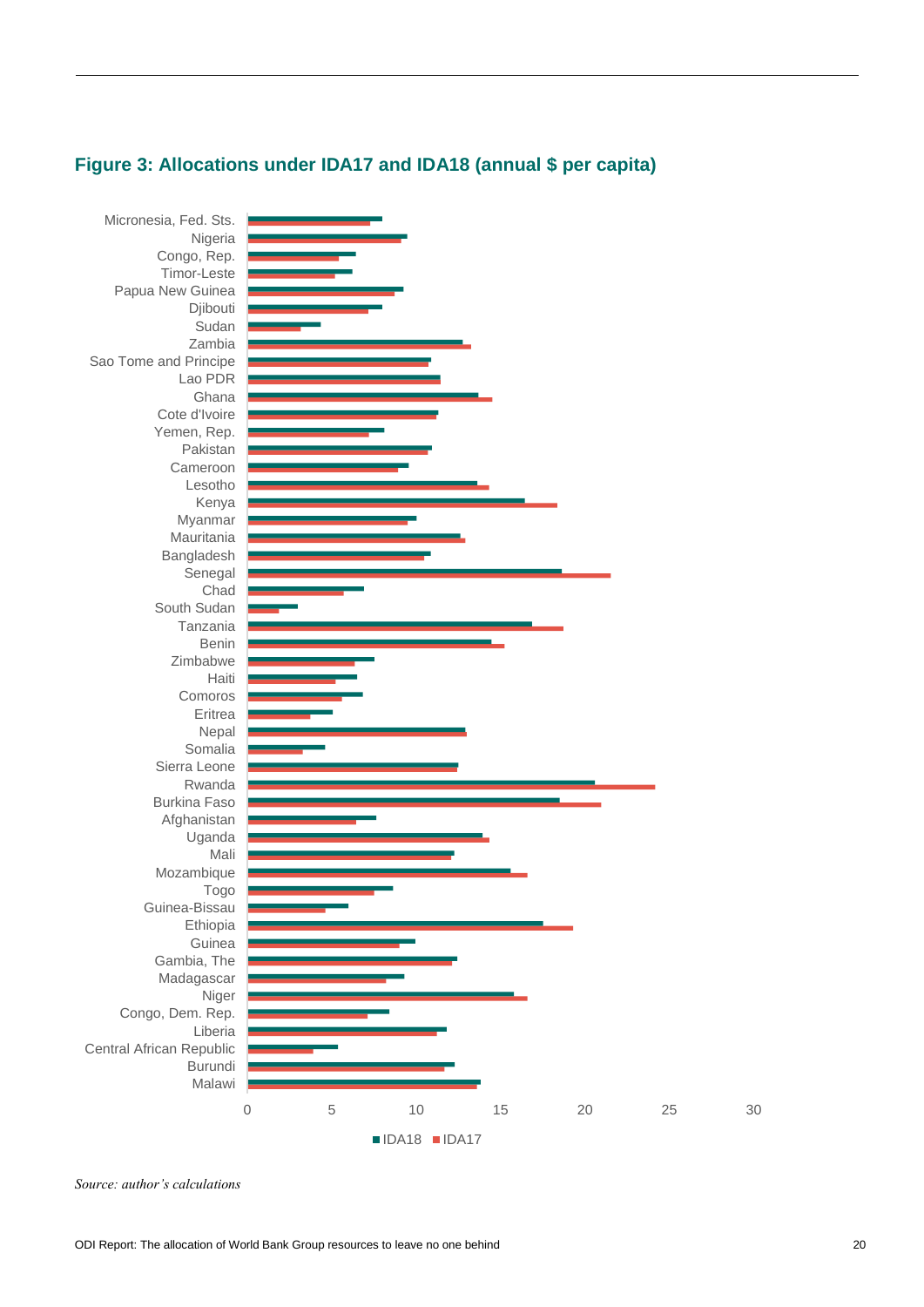



*Source: author's calculations*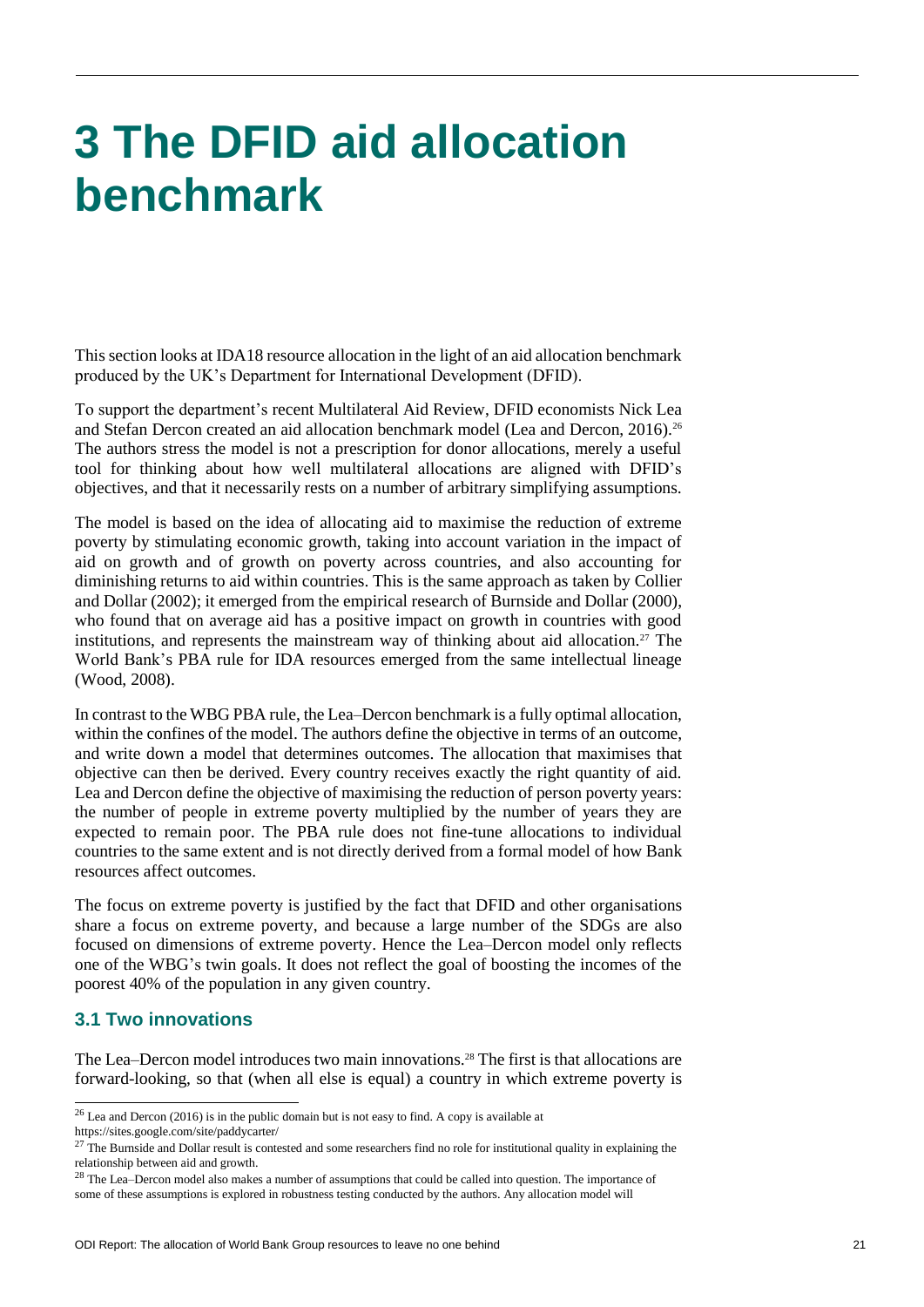# **3 The DFID aid allocation benchmark**

This section looks at IDA18 resource allocation in the light of an aid allocation benchmark produced by the UK's Department for International Development (DFID).

To support the department's recent Multilateral Aid Review, DFID economists Nick Lea and Stefan Dercon created an aid allocation benchmark model (Lea and Dercon, 2016).<sup>26</sup> The authors stress the model is not a prescription for donor allocations, merely a useful tool for thinking about how well multilateral allocations are aligned with DFID's objectives, and that it necessarily rests on a number of arbitrary simplifying assumptions.

The model is based on the idea of allocating aid to maximise the reduction of extreme poverty by stimulating economic growth, taking into account variation in the impact of aid on growth and of growth on poverty across countries, and also accounting for diminishing returns to aid within countries. This is the same approach as taken by Collier and Dollar (2002); it emerged from the empirical research of Burnside and Dollar (2000), who found that on average aid has a positive impact on growth in countries with good institutions, and represents the mainstream way of thinking about aid allocation.<sup>27</sup> The World Bank's PBA rule for IDA resources emerged from the same intellectual lineage (Wood, 2008).

In contrast to the WBG PBA rule, the Lea–Dercon benchmark is a fully optimal allocation, within the confines of the model. The authors define the objective in terms of an outcome, and write down a model that determines outcomes. The allocation that maximises that objective can then be derived. Every country receives exactly the right quantity of aid. Lea and Dercon define the objective of maximising the reduction of person poverty years: the number of people in extreme poverty multiplied by the number of years they are expected to remain poor. The PBA rule does not fine-tune allocations to individual countries to the same extent and is not directly derived from a formal model of how Bank resources affect outcomes.

The focus on extreme poverty is justified by the fact that DFID and other organisations share a focus on extreme poverty, and because a large number of the SDGs are also focused on dimensions of extreme poverty. Hence the Lea–Dercon model only reflects one of the WBG's twin goals. It does not reflect the goal of boosting the incomes of the poorest 40% of the population in any given country.

### **3.1 Two innovations**

 $\overline{a}$ 

The Lea–Dercon model introduces two main innovations.<sup>28</sup> The first is that allocations are forward-looking, so that (when all else is equal) a country in which extreme poverty is

 $26$  Lea and Dercon (2016) is in the public domain but is not easy to find. A copy is available at

https://sites.google.com/site/paddycarter/

 $27$  The Burnside and Dollar result is contested and some researchers find no role for institutional quality in explaining the relationship between aid and growth.

<sup>&</sup>lt;sup>28</sup> The Lea–Dercon model also makes a number of assumptions that could be called into question. The importance of some of these assumptions is explored in robustness testing conducted by the authors. Any allocation model will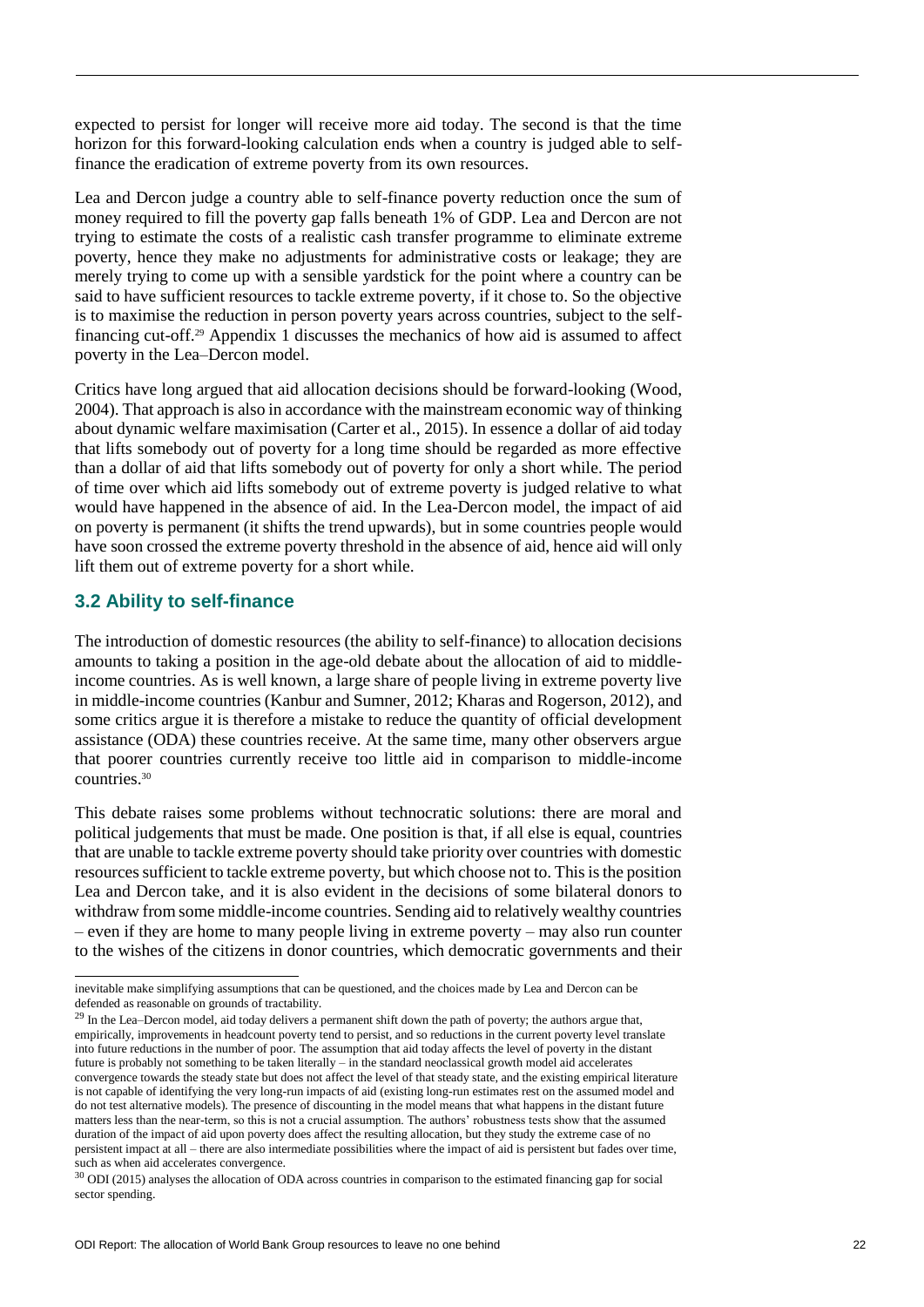expected to persist for longer will receive more aid today. The second is that the time horizon for this forward-looking calculation ends when a country is judged able to selffinance the eradication of extreme poverty from its own resources.

Lea and Dercon judge a country able to self-finance poverty reduction once the sum of money required to fill the poverty gap falls beneath 1% of GDP. Lea and Dercon are not trying to estimate the costs of a realistic cash transfer programme to eliminate extreme poverty, hence they make no adjustments for administrative costs or leakage; they are merely trying to come up with a sensible yardstick for the point where a country can be said to have sufficient resources to tackle extreme poverty, if it chose to. So the objective is to maximise the reduction in person poverty years across countries, subject to the selffinancing cut-off.<sup>29</sup> Appendix 1 discusses the mechanics of how aid is assumed to affect poverty in the Lea–Dercon model.

Critics have long argued that aid allocation decisions should be forward-looking (Wood, 2004). That approach is also in accordance with the mainstream economic way of thinking about dynamic welfare maximisation (Carter et al., 2015). In essence a dollar of aid today that lifts somebody out of poverty for a long time should be regarded as more effective than a dollar of aid that lifts somebody out of poverty for only a short while. The period of time over which aid lifts somebody out of extreme poverty is judged relative to what would have happened in the absence of aid. In the Lea-Dercon model, the impact of aid on poverty is permanent (it shifts the trend upwards), but in some countries people would have soon crossed the extreme poverty threshold in the absence of aid, hence aid will only lift them out of extreme poverty for a short while.

# **3.2 Ability to self-finance**

The introduction of domestic resources (the ability to self-finance) to allocation decisions amounts to taking a position in the age-old debate about the allocation of aid to middleincome countries. As is well known, a large share of people living in extreme poverty live in middle-income countries (Kanbur and Sumner, 2012; Kharas and Rogerson, 2012), and some critics argue it is therefore a mistake to reduce the quantity of official development assistance (ODA) these countries receive. At the same time, many other observers argue that poorer countries currently receive too little aid in comparison to middle-income countries.<sup>30</sup>

This debate raises some problems without technocratic solutions: there are moral and political judgements that must be made. One position is that, if all else is equal, countries that are unable to tackle extreme poverty should take priority over countries with domestic resources sufficient to tackle extreme poverty, but which choose not to. This is the position Lea and Dercon take, and it is also evident in the decisions of some bilateral donors to withdraw from some middle-income countries. Sending aid to relatively wealthy countries – even if they are home to many people living in extreme poverty – may also run counter to the wishes of the citizens in donor countries, which democratic governments and their

 $\overline{a}$ inevitable make simplifying assumptions that can be questioned, and the choices made by Lea and Dercon can be defended as reasonable on grounds of tractability.

<sup>&</sup>lt;sup>29</sup> In the Lea–Dercon model, aid today delivers a permanent shift down the path of poverty; the authors argue that, empirically, improvements in headcount poverty tend to persist, and so reductions in the current poverty level translate into future reductions in the number of poor. The assumption that aid today affects the level of poverty in the distant future is probably not something to be taken literally – in the standard neoclassical growth model aid accelerates convergence towards the steady state but does not affect the level of that steady state, and the existing empirical literature is not capable of identifying the very long-run impacts of aid (existing long-run estimates rest on the assumed model and do not test alternative models). The presence of discounting in the model means that what happens in the distant future matters less than the near-term, so this is not a crucial assumption. The authors' robustness tests show that the assumed duration of the impact of aid upon poverty does affect the resulting allocation, but they study the extreme case of no persistent impact at all – there are also intermediate possibilities where the impact of aid is persistent but fades over time, such as when aid accelerates convergence.

<sup>30</sup> ODI (2015) analyses the allocation of ODA across countries in comparison to the estimated financing gap for social sector spending.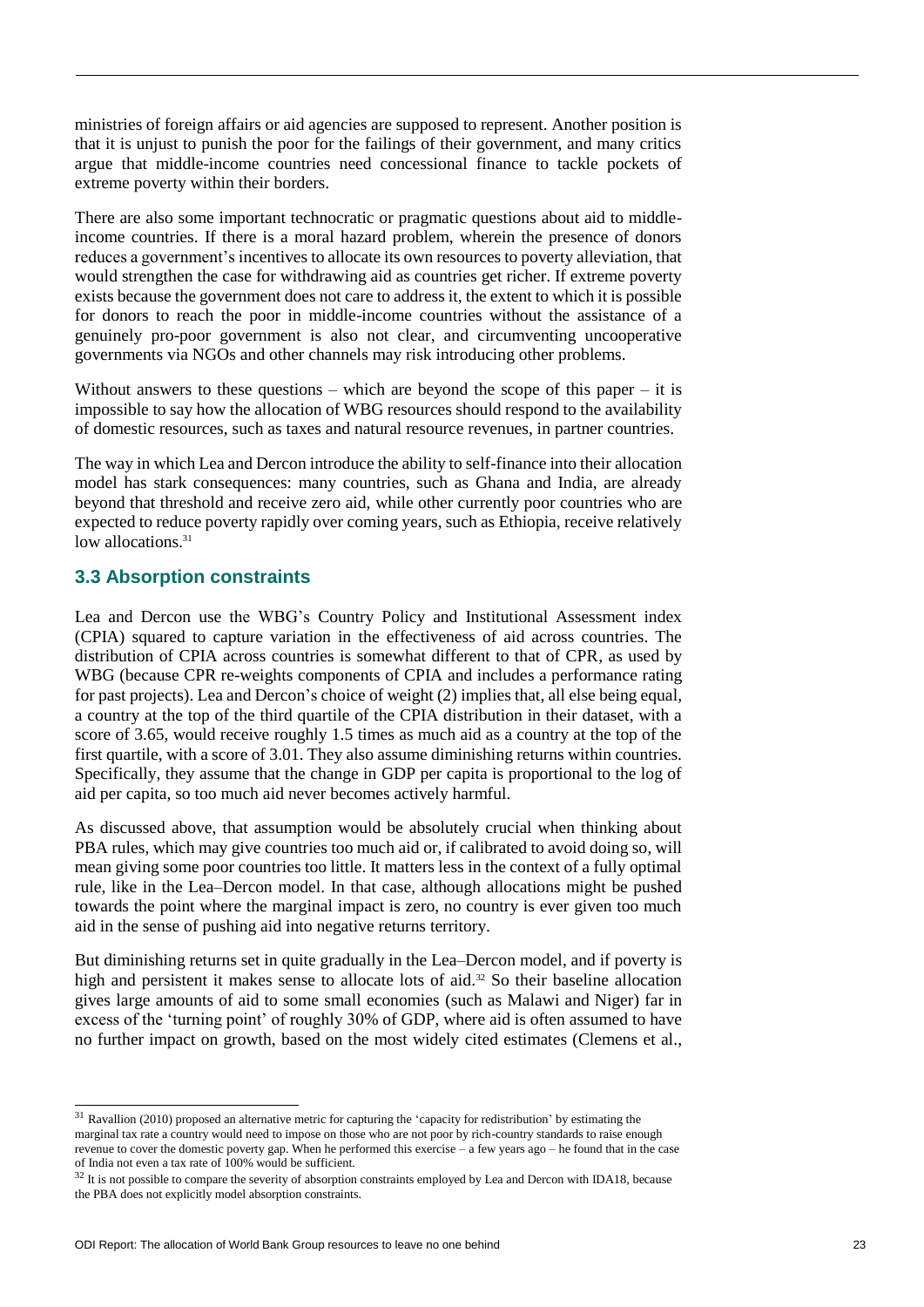ministries of foreign affairs or aid agencies are supposed to represent. Another position is that it is unjust to punish the poor for the failings of their government, and many critics argue that middle-income countries need concessional finance to tackle pockets of extreme poverty within their borders.

There are also some important technocratic or pragmatic questions about aid to middleincome countries. If there is a moral hazard problem, wherein the presence of donors reduces a government's incentives to allocate its own resources to poverty alleviation, that would strengthen the case for withdrawing aid as countries get richer. If extreme poverty exists because the government does not care to address it, the extent to which it is possible for donors to reach the poor in middle-income countries without the assistance of a genuinely pro-poor government is also not clear, and circumventing uncooperative governments via NGOs and other channels may risk introducing other problems.

Without answers to these questions – which are beyond the scope of this paper – it is impossible to say how the allocation of WBG resources should respond to the availability of domestic resources, such as taxes and natural resource revenues, in partner countries.

The way in which Lea and Dercon introduce the ability to self-finance into their allocation model has stark consequences: many countries, such as Ghana and India, are already beyond that threshold and receive zero aid, while other currently poor countries who are expected to reduce poverty rapidly over coming years, such as Ethiopia, receive relatively low allocations.<sup>31</sup>

# **3.3 Absorption constraints**

 $\overline{a}$ 

Lea and Dercon use the WBG's Country Policy and Institutional Assessment index (CPIA) squared to capture variation in the effectiveness of aid across countries. The distribution of CPIA across countries is somewhat different to that of CPR, as used by WBG (because CPR re-weights components of CPIA and includes a performance rating for past projects). Lea and Dercon's choice of weight (2) implies that, all else being equal, a country at the top of the third quartile of the CPIA distribution in their dataset, with a score of 3.65, would receive roughly 1.5 times as much aid as a country at the top of the first quartile, with a score of 3.01. They also assume diminishing returns within countries. Specifically, they assume that the change in GDP per capita is proportional to the log of aid per capita, so too much aid never becomes actively harmful.

As discussed above, that assumption would be absolutely crucial when thinking about PBA rules, which may give countries too much aid or, if calibrated to avoid doing so, will mean giving some poor countries too little. It matters less in the context of a fully optimal rule, like in the Lea–Dercon model. In that case, although allocations might be pushed towards the point where the marginal impact is zero, no country is ever given too much aid in the sense of pushing aid into negative returns territory.

But diminishing returns set in quite gradually in the Lea–Dercon model, and if poverty is high and persistent it makes sense to allocate lots of aid.<sup>32</sup> So their baseline allocation gives large amounts of aid to some small economies (such as Malawi and Niger) far in excess of the 'turning point' of roughly 30% of GDP, where aid is often assumed to have no further impact on growth, based on the most widely cited estimates (Clemens et al.,

<sup>&</sup>lt;sup>31</sup> Ravallion (2010) proposed an alternative metric for capturing the 'capacity for redistribution' by estimating the marginal tax rate a country would need to impose on those who are not poor by rich-country standards to raise enough revenue to cover the domestic poverty gap. When he performed this exercise – a few years ago – he found that in the case of India not even a tax rate of 100% would be sufficient.

 $32$  It is not possible to compare the severity of absorption constraints employed by Lea and Dercon with IDA18, because the PBA does not explicitly model absorption constraints.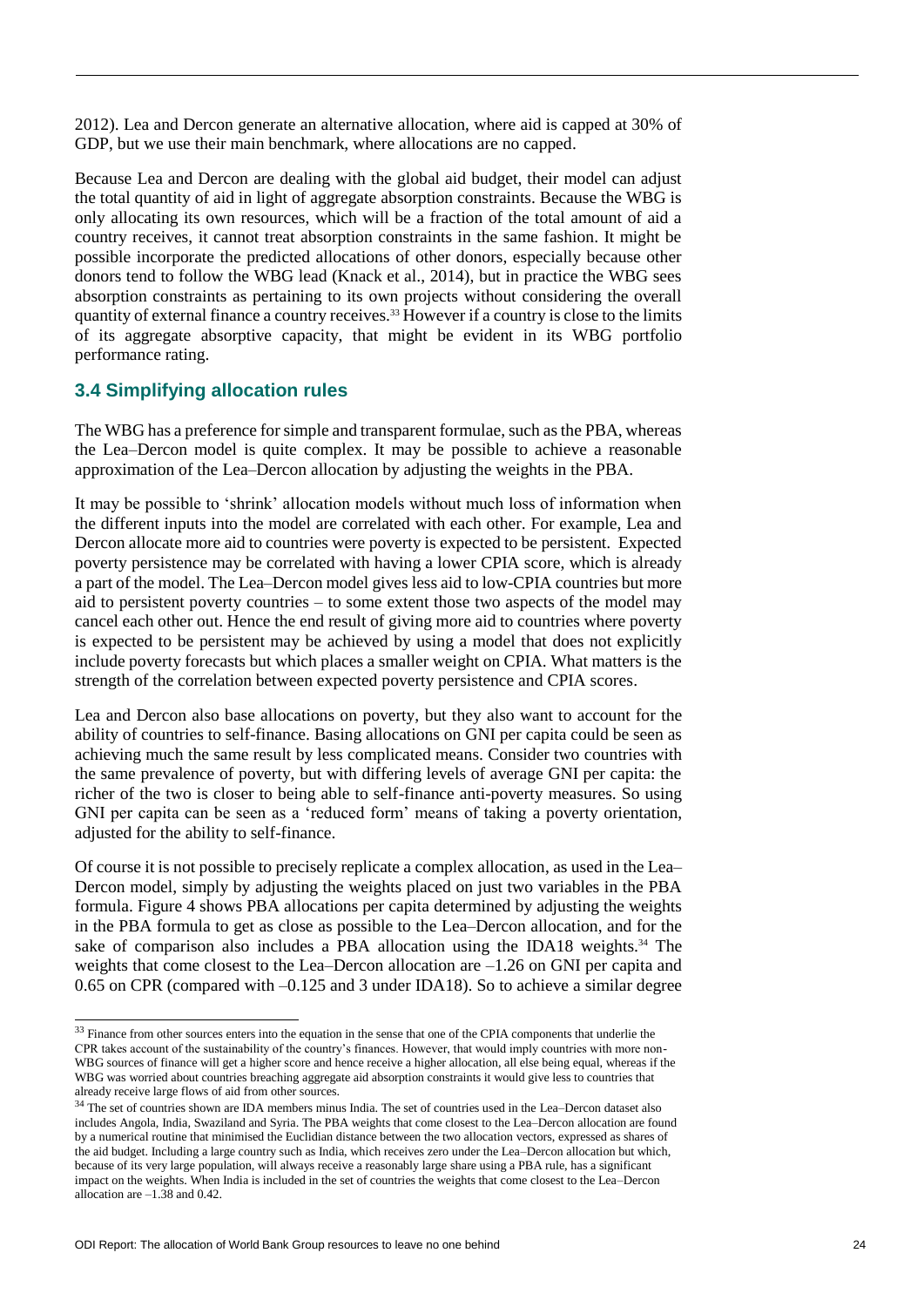2012). Lea and Dercon generate an alternative allocation, where aid is capped at 30% of GDP, but we use their main benchmark, where allocations are no capped.

Because Lea and Dercon are dealing with the global aid budget, their model can adjust the total quantity of aid in light of aggregate absorption constraints. Because the WBG is only allocating its own resources, which will be a fraction of the total amount of aid a country receives, it cannot treat absorption constraints in the same fashion. It might be possible incorporate the predicted allocations of other donors, especially because other donors tend to follow the WBG lead (Knack et al., 2014), but in practice the WBG sees absorption constraints as pertaining to its own projects without considering the overall quantity of external finance a country receives.<sup>33</sup> However if a country is close to the limits of its aggregate absorptive capacity, that might be evident in its WBG portfolio performance rating.

### **3.4 Simplifying allocation rules**

The WBG has a preference for simple and transparent formulae, such as the PBA, whereas the Lea–Dercon model is quite complex. It may be possible to achieve a reasonable approximation of the Lea–Dercon allocation by adjusting the weights in the PBA.

It may be possible to 'shrink' allocation models without much loss of information when the different inputs into the model are correlated with each other. For example, Lea and Dercon allocate more aid to countries were poverty is expected to be persistent. Expected poverty persistence may be correlated with having a lower CPIA score, which is already a part of the model. The Lea–Dercon model gives less aid to low-CPIA countries but more aid to persistent poverty countries – to some extent those two aspects of the model may cancel each other out. Hence the end result of giving more aid to countries where poverty is expected to be persistent may be achieved by using a model that does not explicitly include poverty forecasts but which places a smaller weight on CPIA. What matters is the strength of the correlation between expected poverty persistence and CPIA scores.

Lea and Dercon also base allocations on poverty, but they also want to account for the ability of countries to self-finance. Basing allocations on GNI per capita could be seen as achieving much the same result by less complicated means. Consider two countries with the same prevalence of poverty, but with differing levels of average GNI per capita: the richer of the two is closer to being able to self-finance anti-poverty measures. So using GNI per capita can be seen as a 'reduced form' means of taking a poverty orientation, adjusted for the ability to self-finance.

Of course it is not possible to precisely replicate a complex allocation, as used in the Lea– Dercon model, simply by adjusting the weights placed on just two variables in the PBA formula. Figure 4 shows PBA allocations per capita determined by adjusting the weights in the PBA formula to get as close as possible to the Lea–Dercon allocation, and for the sake of comparison also includes a PBA allocation using the IDA18 weights.<sup>34</sup> The weights that come closest to the Lea–Dercon allocation are  $-1.26$  on GNI per capita and 0.65 on CPR (compared with –0.125 and 3 under IDA18). So to achieve a similar degree

1

 $33$  Finance from other sources enters into the equation in the sense that one of the CPIA components that underlie the CPR takes account of the sustainability of the country's finances. However, that would imply countries with more non-WBG sources of finance will get a higher score and hence receive a higher allocation, all else being equal, whereas if the WBG was worried about countries breaching aggregate aid absorption constraints it would give less to countries that already receive large flows of aid from other sources.

<sup>34</sup> The set of countries shown are IDA members minus India. The set of countries used in the Lea–Dercon dataset also includes Angola, India, Swaziland and Syria. The PBA weights that come closest to the Lea–Dercon allocation are found by a numerical routine that minimised the Euclidian distance between the two allocation vectors, expressed as shares of the aid budget. Including a large country such as India, which receives zero under the Lea–Dercon allocation but which, because of its very large population, will always receive a reasonably large share using a PBA rule, has a significant impact on the weights. When India is included in the set of countries the weights that come closest to the Lea–Dercon allocation are –1.38 and 0.42.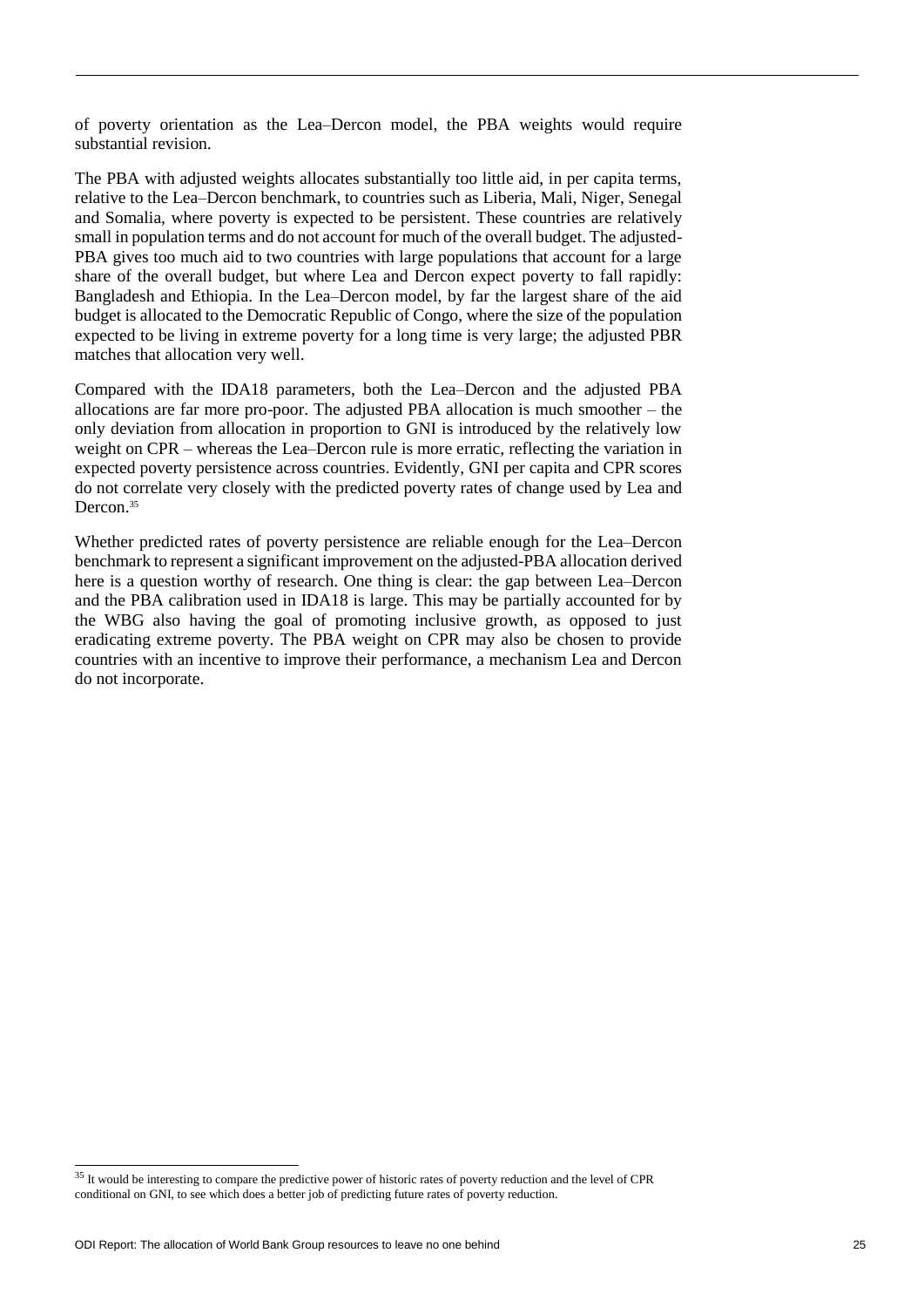of poverty orientation as the Lea–Dercon model, the PBA weights would require substantial revision.

The PBA with adjusted weights allocates substantially too little aid, in per capita terms, relative to the Lea–Dercon benchmark, to countries such as Liberia, Mali, Niger, Senegal and Somalia, where poverty is expected to be persistent. These countries are relatively small in population terms and do not account for much of the overall budget. The adjusted-PBA gives too much aid to two countries with large populations that account for a large share of the overall budget, but where Lea and Dercon expect poverty to fall rapidly: Bangladesh and Ethiopia. In the Lea–Dercon model, by far the largest share of the aid budget is allocated to the Democratic Republic of Congo, where the size of the population expected to be living in extreme poverty for a long time is very large; the adjusted PBR matches that allocation very well.

Compared with the IDA18 parameters, both the Lea–Dercon and the adjusted PBA allocations are far more pro-poor. The adjusted PBA allocation is much smoother – the only deviation from allocation in proportion to GNI is introduced by the relatively low weight on CPR – whereas the Lea–Dercon rule is more erratic, reflecting the variation in expected poverty persistence across countries. Evidently, GNI per capita and CPR scores do not correlate very closely with the predicted poverty rates of change used by Lea and Dercon.<sup>35</sup>

Whether predicted rates of poverty persistence are reliable enough for the Lea–Dercon benchmark to represent a significant improvement on the adjusted-PBA allocation derived here is a question worthy of research. One thing is clear: the gap between Lea–Dercon and the PBA calibration used in IDA18 is large. This may be partially accounted for by the WBG also having the goal of promoting inclusive growth, as opposed to just eradicating extreme poverty. The PBA weight on CPR may also be chosen to provide countries with an incentive to improve their performance, a mechanism Lea and Dercon do not incorporate.

1

<sup>&</sup>lt;sup>35</sup> It would be interesting to compare the predictive power of historic rates of poverty reduction and the level of CPR conditional on GNI, to see which does a better job of predicting future rates of poverty reduction.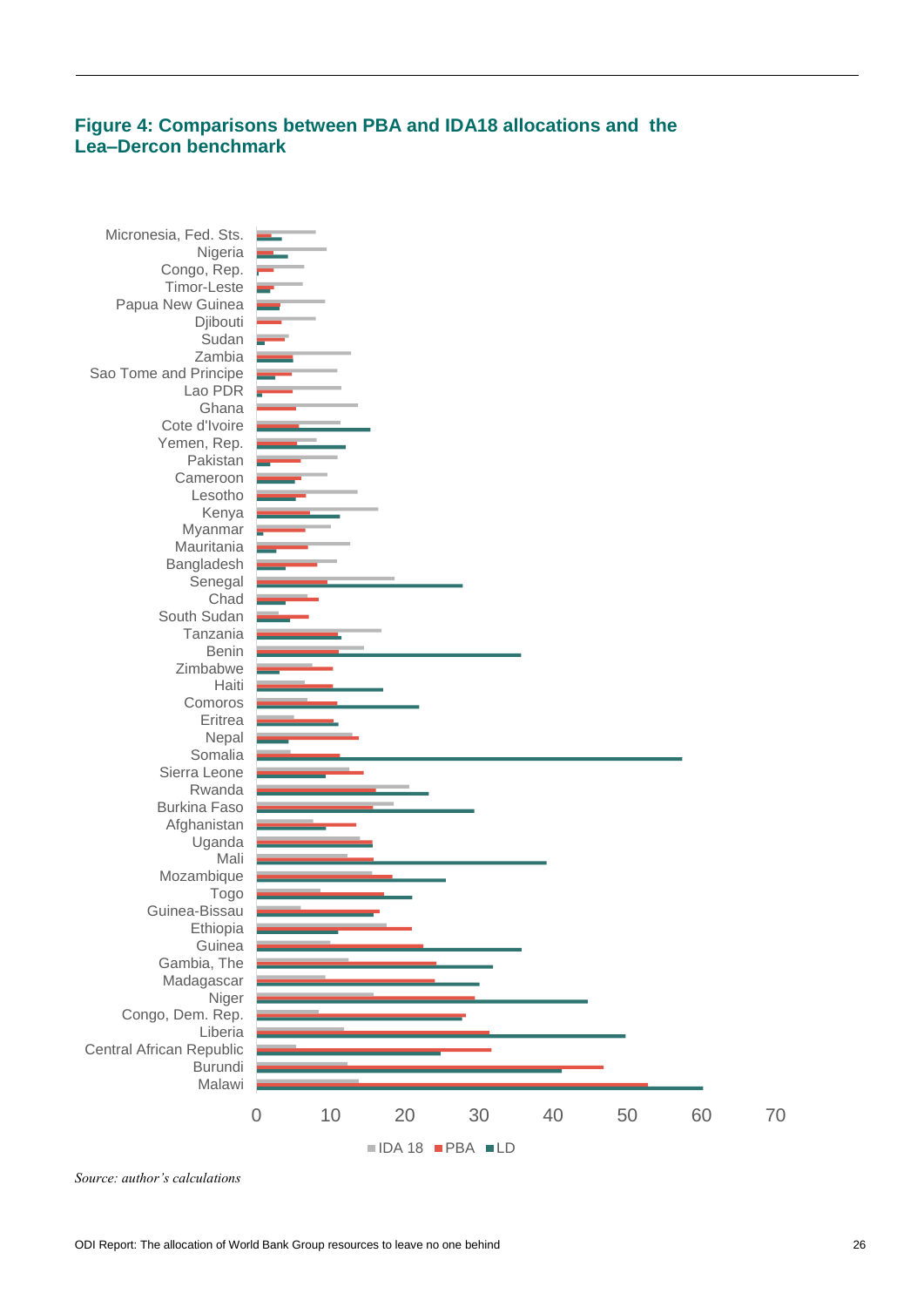# **Figure 4: Comparisons between PBA and IDA18 allocations and the Lea–Dercon benchmark**



*Source: author's calculations*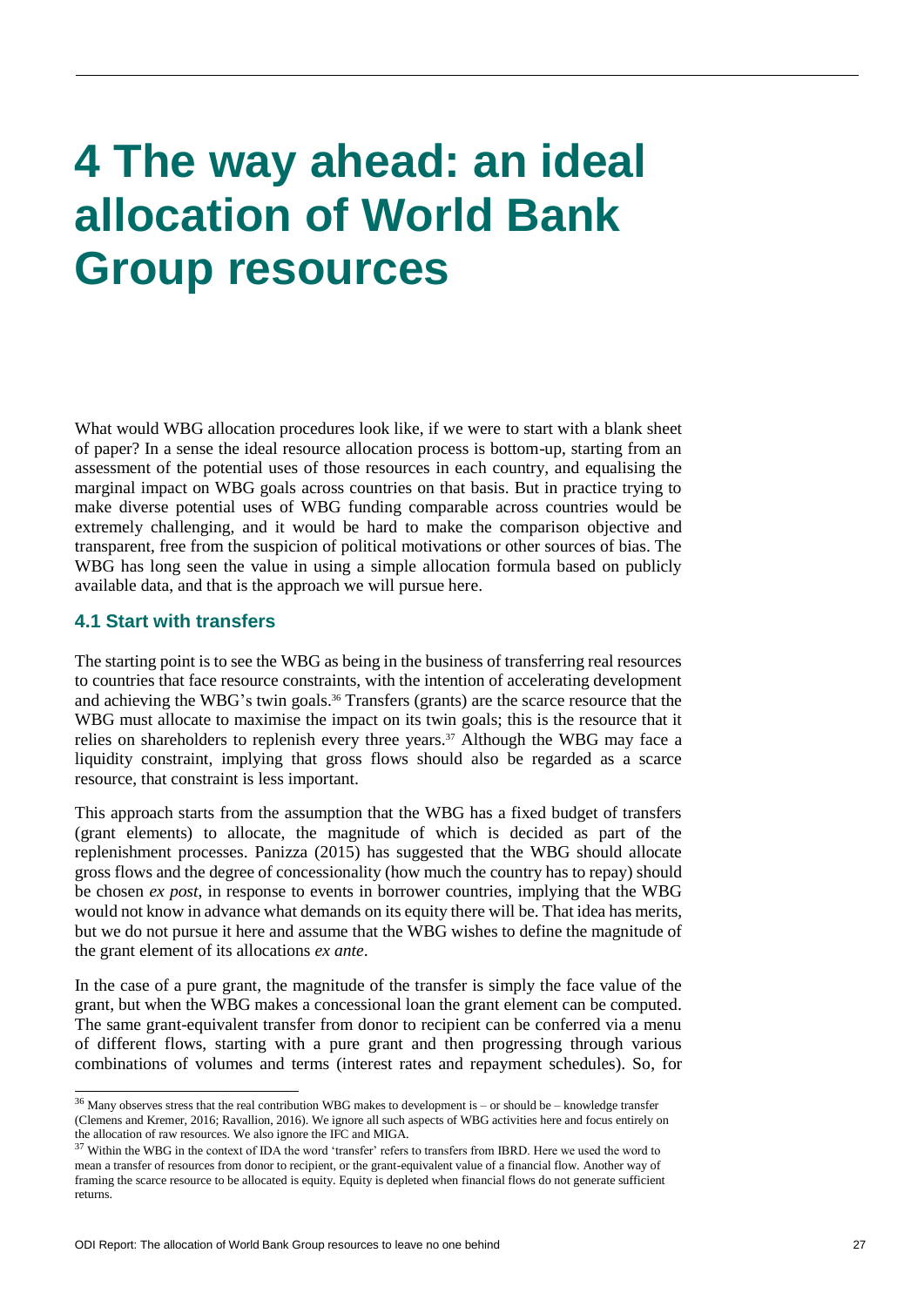# **4 The way ahead: an ideal allocation of World Bank Group resources**

What would WBG allocation procedures look like, if we were to start with a blank sheet of paper? In a sense the ideal resource allocation process is bottom-up, starting from an assessment of the potential uses of those resources in each country, and equalising the marginal impact on WBG goals across countries on that basis. But in practice trying to make diverse potential uses of WBG funding comparable across countries would be extremely challenging, and it would be hard to make the comparison objective and transparent, free from the suspicion of political motivations or other sources of bias. The WBG has long seen the value in using a simple allocation formula based on publicly available data, and that is the approach we will pursue here.

### **4.1 Start with transfers**

 $\overline{a}$ 

The starting point is to see the WBG as being in the business of transferring real resources to countries that face resource constraints, with the intention of accelerating development and achieving the WBG's twin goals.<sup>36</sup> Transfers (grants) are the scarce resource that the WBG must allocate to maximise the impact on its twin goals; this is the resource that it relies on shareholders to replenish every three years.<sup>37</sup> Although the WBG may face a liquidity constraint, implying that gross flows should also be regarded as a scarce resource, that constraint is less important.

This approach starts from the assumption that the WBG has a fixed budget of transfers (grant elements) to allocate, the magnitude of which is decided as part of the replenishment processes. Panizza (2015) has suggested that the WBG should allocate gross flows and the degree of concessionality (how much the country has to repay) should be chosen *ex post*, in response to events in borrower countries, implying that the WBG would not know in advance what demands on its equity there will be. That idea has merits, but we do not pursue it here and assume that the WBG wishes to define the magnitude of the grant element of its allocations *ex ante*.

In the case of a pure grant, the magnitude of the transfer is simply the face value of the grant, but when the WBG makes a concessional loan the grant element can be computed. The same grant-equivalent transfer from donor to recipient can be conferred via a menu of different flows, starting with a pure grant and then progressing through various combinations of volumes and terms (interest rates and repayment schedules). So, for

<sup>36</sup> Many observes stress that the real contribution WBG makes to development is – or should be – knowledge transfer (Clemens and Kremer, 2016; Ravallion, 2016). We ignore all such aspects of WBG activities here and focus entirely on the allocation of raw resources. We also ignore the IFC and MIGA.

<sup>&</sup>lt;sup>37</sup> Within the WBG in the context of IDA the word 'transfer' refers to transfers from IBRD. Here we used the word to mean a transfer of resources from donor to recipient, or the grant-equivalent value of a financial flow. Another way of framing the scarce resource to be allocated is equity. Equity is depleted when financial flows do not generate sufficient returns.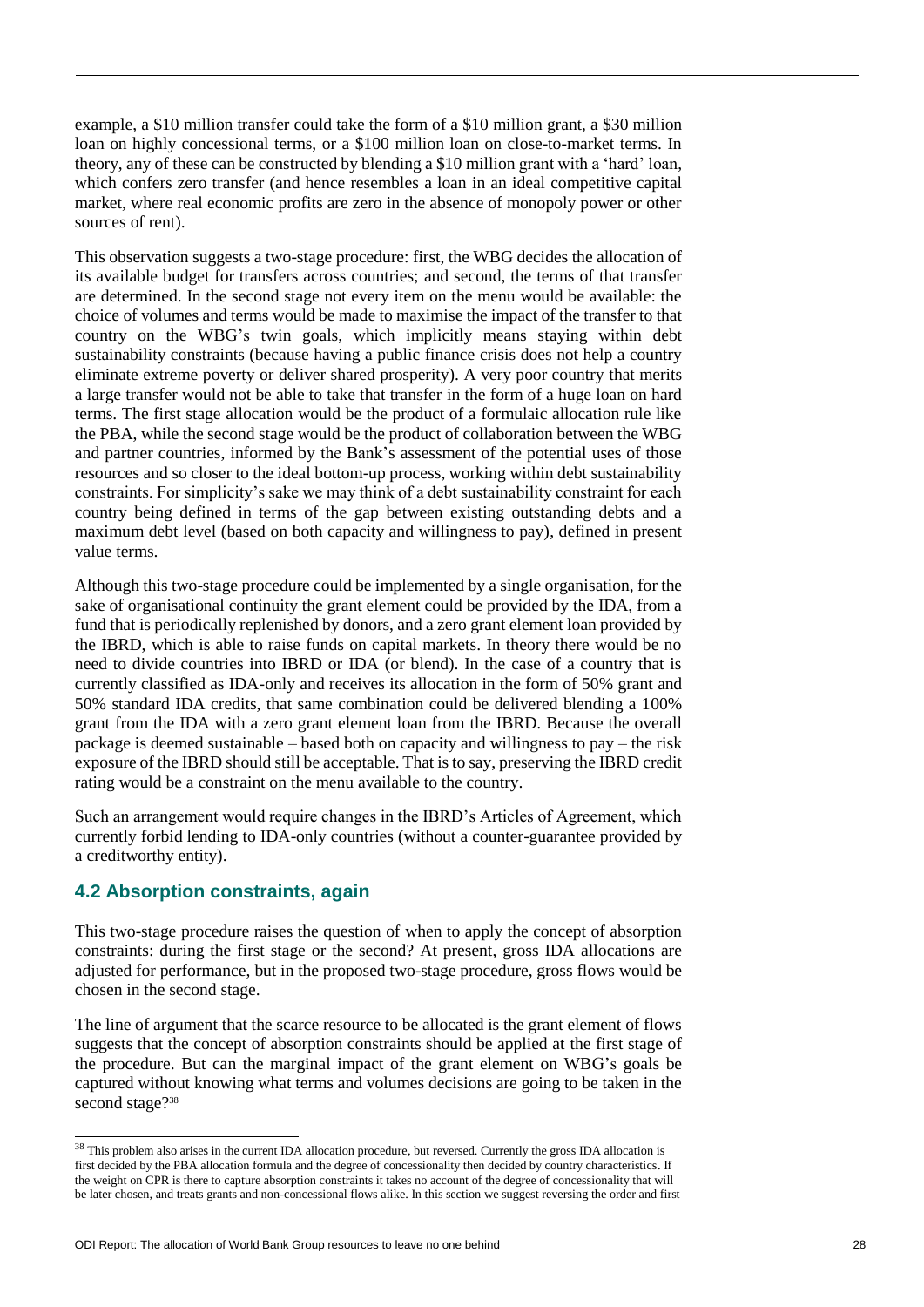example, a \$10 million transfer could take the form of a \$10 million grant, a \$30 million loan on highly concessional terms, or a \$100 million loan on close-to-market terms. In theory, any of these can be constructed by blending a \$10 million grant with a 'hard' loan, which confers zero transfer (and hence resembles a loan in an ideal competitive capital market, where real economic profits are zero in the absence of monopoly power or other sources of rent).

This observation suggests a two-stage procedure: first, the WBG decides the allocation of its available budget for transfers across countries; and second, the terms of that transfer are determined. In the second stage not every item on the menu would be available: the choice of volumes and terms would be made to maximise the impact of the transfer to that country on the WBG's twin goals, which implicitly means staying within debt sustainability constraints (because having a public finance crisis does not help a country eliminate extreme poverty or deliver shared prosperity). A very poor country that merits a large transfer would not be able to take that transfer in the form of a huge loan on hard terms. The first stage allocation would be the product of a formulaic allocation rule like the PBA, while the second stage would be the product of collaboration between the WBG and partner countries, informed by the Bank's assessment of the potential uses of those resources and so closer to the ideal bottom-up process, working within debt sustainability constraints. For simplicity's sake we may think of a debt sustainability constraint for each country being defined in terms of the gap between existing outstanding debts and a maximum debt level (based on both capacity and willingness to pay), defined in present value terms.

Although this two-stage procedure could be implemented by a single organisation, for the sake of organisational continuity the grant element could be provided by the IDA, from a fund that is periodically replenished by donors, and a zero grant element loan provided by the IBRD, which is able to raise funds on capital markets. In theory there would be no need to divide countries into IBRD or IDA (or blend). In the case of a country that is currently classified as IDA-only and receives its allocation in the form of 50% grant and 50% standard IDA credits, that same combination could be delivered blending a 100% grant from the IDA with a zero grant element loan from the IBRD. Because the overall package is deemed sustainable – based both on capacity and willingness to pay – the risk exposure of the IBRD should still be acceptable. That is to say, preserving the IBRD credit rating would be a constraint on the menu available to the country.

Such an arrangement would require changes in the IBRD's Articles of Agreement, which currently forbid lending to IDA-only countries (without a counter-guarantee provided by a creditworthy entity).

### **4.2 Absorption constraints, again**

l

This two-stage procedure raises the question of when to apply the concept of absorption constraints: during the first stage or the second? At present, gross IDA allocations are adjusted for performance, but in the proposed two-stage procedure, gross flows would be chosen in the second stage.

The line of argument that the scarce resource to be allocated is the grant element of flows suggests that the concept of absorption constraints should be applied at the first stage of the procedure. But can the marginal impact of the grant element on WBG's goals be captured without knowing what terms and volumes decisions are going to be taken in the second stage?<sup>38</sup>

<sup>&</sup>lt;sup>38</sup> This problem also arises in the current IDA allocation procedure, but reversed. Currently the gross IDA allocation is first decided by the PBA allocation formula and the degree of concessionality then decided by country characteristics. If the weight on CPR is there to capture absorption constraints it takes no account of the degree of concessionality that will be later chosen, and treats grants and non-concessional flows alike. In this section we suggest reversing the order and first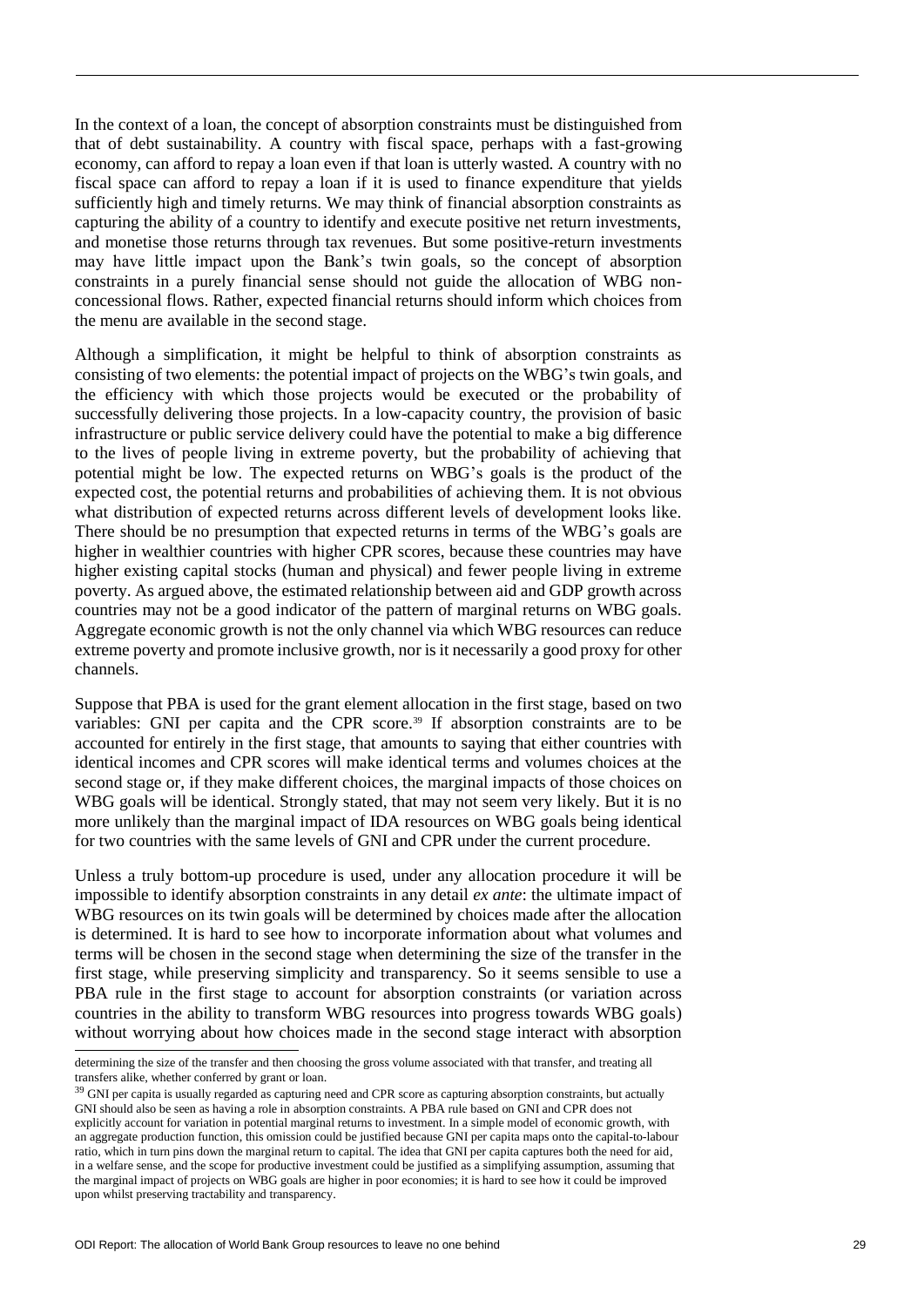In the context of a loan, the concept of absorption constraints must be distinguished from that of debt sustainability. A country with fiscal space, perhaps with a fast-growing economy, can afford to repay a loan even if that loan is utterly wasted. A country with no fiscal space can afford to repay a loan if it is used to finance expenditure that yields sufficiently high and timely returns. We may think of financial absorption constraints as capturing the ability of a country to identify and execute positive net return investments, and monetise those returns through tax revenues. But some positive-return investments may have little impact upon the Bank's twin goals, so the concept of absorption constraints in a purely financial sense should not guide the allocation of WBG nonconcessional flows. Rather, expected financial returns should inform which choices from the menu are available in the second stage.

Although a simplification, it might be helpful to think of absorption constraints as consisting of two elements: the potential impact of projects on the WBG's twin goals, and the efficiency with which those projects would be executed or the probability of successfully delivering those projects. In a low-capacity country, the provision of basic infrastructure or public service delivery could have the potential to make a big difference to the lives of people living in extreme poverty, but the probability of achieving that potential might be low. The expected returns on WBG's goals is the product of the expected cost, the potential returns and probabilities of achieving them. It is not obvious what distribution of expected returns across different levels of development looks like. There should be no presumption that expected returns in terms of the WBG's goals are higher in wealthier countries with higher CPR scores, because these countries may have higher existing capital stocks (human and physical) and fewer people living in extreme poverty. As argued above, the estimated relationship between aid and GDP growth across countries may not be a good indicator of the pattern of marginal returns on WBG goals. Aggregate economic growth is not the only channel via which WBG resources can reduce extreme poverty and promote inclusive growth, nor is it necessarily a good proxy for other channels.

Suppose that PBA is used for the grant element allocation in the first stage, based on two variables: GNI per capita and the CPR score.<sup>39</sup> If absorption constraints are to be accounted for entirely in the first stage, that amounts to saying that either countries with identical incomes and CPR scores will make identical terms and volumes choices at the second stage or, if they make different choices, the marginal impacts of those choices on WBG goals will be identical. Strongly stated, that may not seem very likely. But it is no more unlikely than the marginal impact of IDA resources on WBG goals being identical for two countries with the same levels of GNI and CPR under the current procedure.

Unless a truly bottom-up procedure is used, under any allocation procedure it will be impossible to identify absorption constraints in any detail *ex ante*: the ultimate impact of WBG resources on its twin goals will be determined by choices made after the allocation is determined. It is hard to see how to incorporate information about what volumes and terms will be chosen in the second stage when determining the size of the transfer in the first stage, while preserving simplicity and transparency. So it seems sensible to use a PBA rule in the first stage to account for absorption constraints (or variation across countries in the ability to transform WBG resources into progress towards WBG goals) without worrying about how choices made in the second stage interact with absorption

determining the size of the transfer and then choosing the gross volume associated with that transfer, and treating all transfers alike, whether conferred by grant or loan.

<sup>&</sup>lt;sup>39</sup> GNI per capita is usually regarded as capturing need and CPR score as capturing absorption constraints, but actually GNI should also be seen as having a role in absorption constraints. A PBA rule based on GNI and CPR does not explicitly account for variation in potential marginal returns to investment. In a simple model of economic growth, with an aggregate production function, this omission could be justified because GNI per capita maps onto the capital-to-labour ratio, which in turn pins down the marginal return to capital. The idea that GNI per capita captures both the need for aid, in a welfare sense, and the scope for productive investment could be justified as a simplifying assumption, assuming that the marginal impact of projects on WBG goals are higher in poor economies; it is hard to see how it could be improved upon whilst preserving tractability and transparency.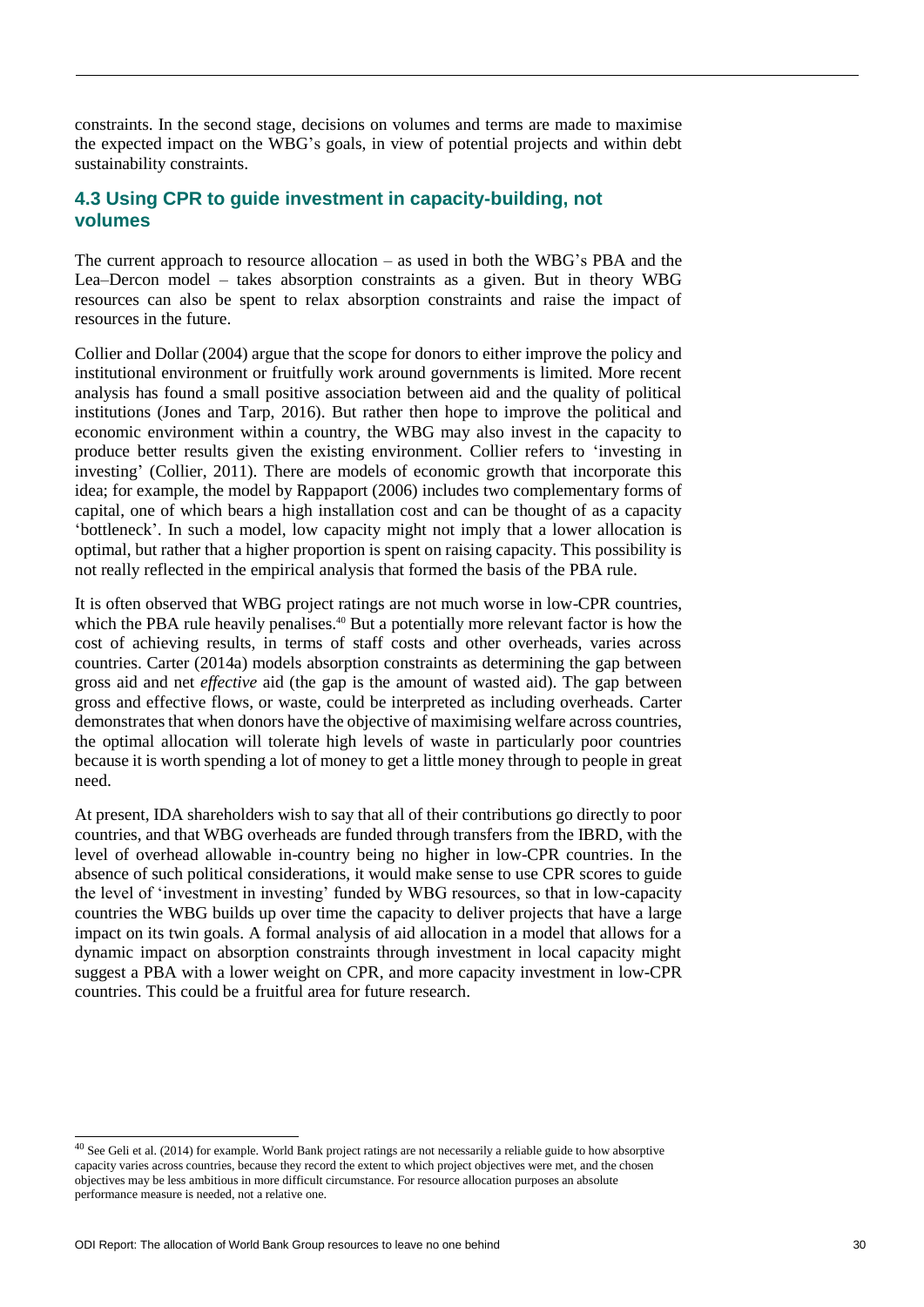constraints. In the second stage, decisions on volumes and terms are made to maximise the expected impact on the WBG's goals, in view of potential projects and within debt sustainability constraints.

### **4.3 Using CPR to guide investment in capacity-building, not volumes**

The current approach to resource allocation – as used in both the WBG's PBA and the Lea–Dercon model – takes absorption constraints as a given. But in theory WBG resources can also be spent to relax absorption constraints and raise the impact of resources in the future.

Collier and Dollar (2004) argue that the scope for donors to either improve the policy and institutional environment or fruitfully work around governments is limited. More recent analysis has found a small positive association between aid and the quality of political institutions (Jones and Tarp, 2016). But rather then hope to improve the political and economic environment within a country, the WBG may also invest in the capacity to produce better results given the existing environment. Collier refers to 'investing in investing' (Collier, 2011). There are models of economic growth that incorporate this idea; for example, the model by Rappaport (2006) includes two complementary forms of capital, one of which bears a high installation cost and can be thought of as a capacity 'bottleneck'. In such a model, low capacity might not imply that a lower allocation is optimal, but rather that a higher proportion is spent on raising capacity. This possibility is not really reflected in the empirical analysis that formed the basis of the PBA rule.

It is often observed that WBG project ratings are not much worse in low-CPR countries, which the PBA rule heavily penalises.<sup>40</sup> But a potentially more relevant factor is how the cost of achieving results, in terms of staff costs and other overheads, varies across countries. Carter (2014a) models absorption constraints as determining the gap between gross aid and net *effective* aid (the gap is the amount of wasted aid). The gap between gross and effective flows, or waste, could be interpreted as including overheads. Carter demonstrates that when donors have the objective of maximising welfare across countries, the optimal allocation will tolerate high levels of waste in particularly poor countries because it is worth spending a lot of money to get a little money through to people in great need.

At present, IDA shareholders wish to say that all of their contributions go directly to poor countries, and that WBG overheads are funded through transfers from the IBRD, with the level of overhead allowable in-country being no higher in low-CPR countries. In the absence of such political considerations, it would make sense to use CPR scores to guide the level of 'investment in investing' funded by WBG resources, so that in low-capacity countries the WBG builds up over time the capacity to deliver projects that have a large impact on its twin goals. A formal analysis of aid allocation in a model that allows for a dynamic impact on absorption constraints through investment in local capacity might suggest a PBA with a lower weight on CPR, and more capacity investment in low-CPR countries. This could be a fruitful area for future research.

l

 $40$  See Geli et al. (2014) for example. World Bank project ratings are not necessarily a reliable guide to how absorptive capacity varies across countries, because they record the extent to which project objectives were met, and the chosen objectives may be less ambitious in more difficult circumstance. For resource allocation purposes an absolute performance measure is needed, not a relative one.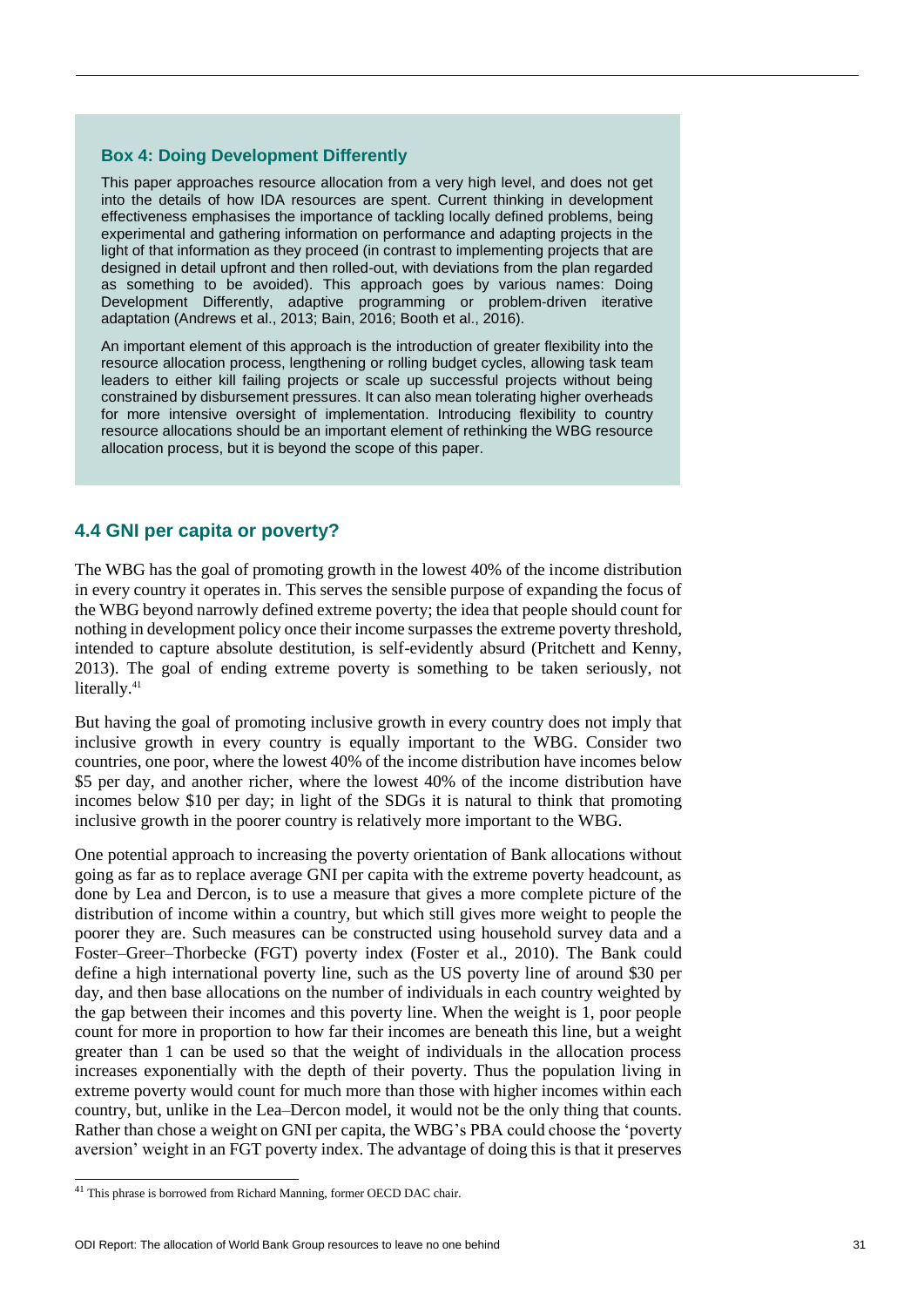#### **Box 4: Doing Development Differently**

This paper approaches resource allocation from a very high level, and does not get into the details of how IDA resources are spent. Current thinking in development effectiveness emphasises the importance of tackling locally defined problems, being experimental and gathering information on performance and adapting projects in the light of that information as they proceed (in contrast to implementing projects that are designed in detail upfront and then rolled-out, with deviations from the plan regarded as something to be avoided). This approach goes by various names: Doing Development Differently, adaptive programming or problem-driven iterative adaptation (Andrews et al., 2013; Bain, 2016; Booth et al., 2016).

An important element of this approach is the introduction of greater flexibility into the resource allocation process, lengthening or rolling budget cycles, allowing task team leaders to either kill failing projects or scale up successful projects without being constrained by disbursement pressures. It can also mean tolerating higher overheads for more intensive oversight of implementation. Introducing flexibility to country resource allocations should be an important element of rethinking the WBG resource allocation process, but it is beyond the scope of this paper.

# **4.4 GNI per capita or poverty?**

The WBG has the goal of promoting growth in the lowest 40% of the income distribution in every country it operates in. This serves the sensible purpose of expanding the focus of the WBG beyond narrowly defined extreme poverty; the idea that people should count for nothing in development policy once their income surpasses the extreme poverty threshold, intended to capture absolute destitution, is self-evidently absurd (Pritchett and Kenny, 2013). The goal of ending extreme poverty is something to be taken seriously, not literally.<sup>41</sup>

But having the goal of promoting inclusive growth in every country does not imply that inclusive growth in every country is equally important to the WBG. Consider two countries, one poor, where the lowest 40% of the income distribution have incomes below \$5 per day, and another richer, where the lowest 40% of the income distribution have incomes below \$10 per day; in light of the SDGs it is natural to think that promoting inclusive growth in the poorer country is relatively more important to the WBG.

One potential approach to increasing the poverty orientation of Bank allocations without going as far as to replace average GNI per capita with the extreme poverty headcount, as done by Lea and Dercon, is to use a measure that gives a more complete picture of the distribution of income within a country, but which still gives more weight to people the poorer they are. Such measures can be constructed using household survey data and a Foster–Greer–Thorbecke (FGT) poverty index (Foster et al., 2010). The Bank could define a high international poverty line, such as the US poverty line of around \$30 per day, and then base allocations on the number of individuals in each country weighted by the gap between their incomes and this poverty line. When the weight is 1, poor people count for more in proportion to how far their incomes are beneath this line, but a weight greater than 1 can be used so that the weight of individuals in the allocation process increases exponentially with the depth of their poverty. Thus the population living in extreme poverty would count for much more than those with higher incomes within each country, but, unlike in the Lea–Dercon model, it would not be the only thing that counts. Rather than chose a weight on GNI per capita, the WBG's PBA could choose the 'poverty aversion' weight in an FGT poverty index. The advantage of doing this is that it preserves

<sup>41</sup> This phrase is borrowed from Richard Manning, former OECD DAC chair.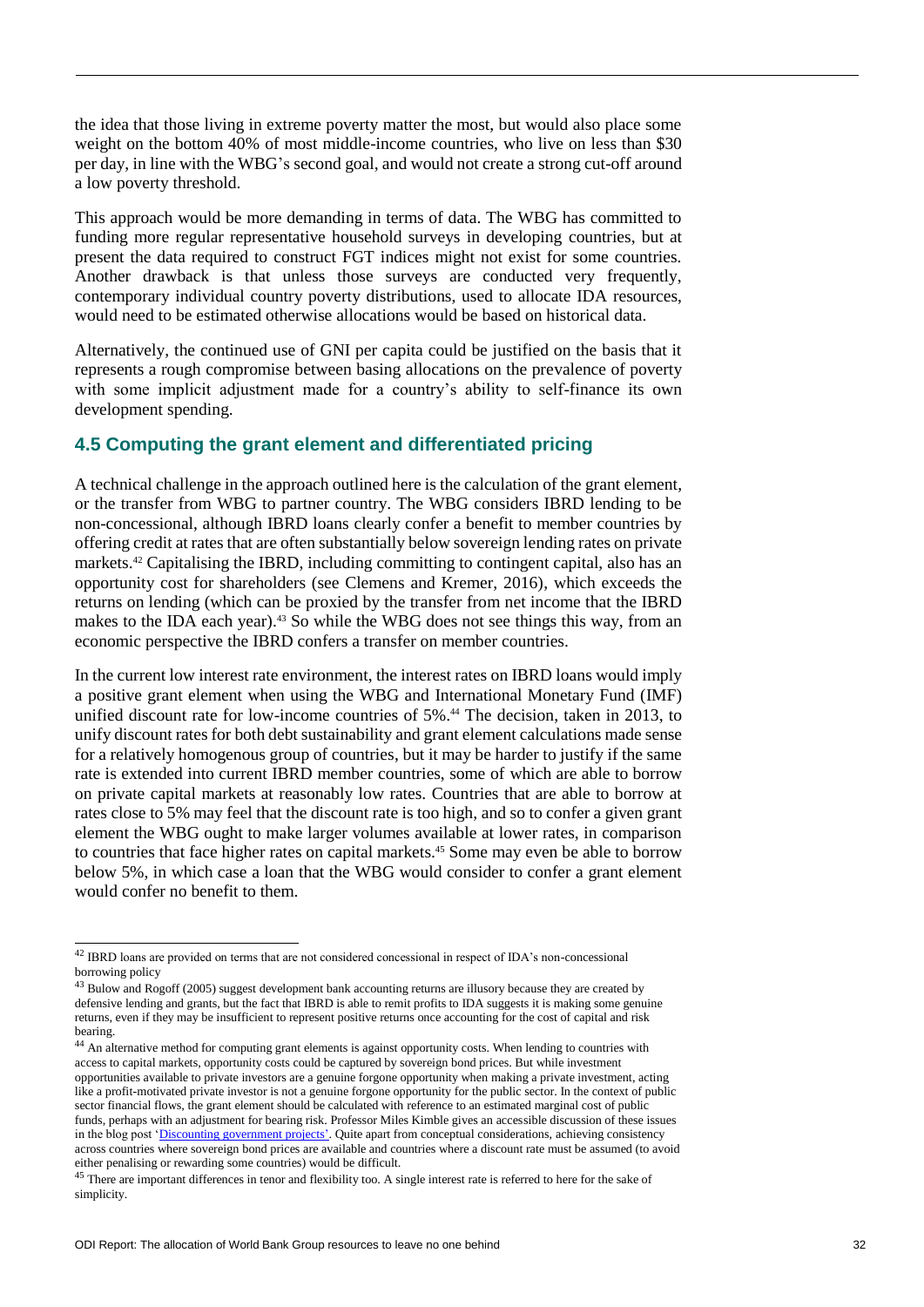the idea that those living in extreme poverty matter the most, but would also place some weight on the bottom 40% of most middle-income countries, who live on less than \$30 per day, in line with the WBG's second goal, and would not create a strong cut-off around a low poverty threshold.

This approach would be more demanding in terms of data. The WBG has committed to funding more regular representative household surveys in developing countries, but at present the data required to construct FGT indices might not exist for some countries. Another drawback is that unless those surveys are conducted very frequently, contemporary individual country poverty distributions, used to allocate IDA resources, would need to be estimated otherwise allocations would be based on historical data.

Alternatively, the continued use of GNI per capita could be justified on the basis that it represents a rough compromise between basing allocations on the prevalence of poverty with some implicit adjustment made for a country's ability to self-finance its own development spending.

# **4.5 Computing the grant element and differentiated pricing**

A technical challenge in the approach outlined here is the calculation of the grant element, or the transfer from WBG to partner country. The WBG considers IBRD lending to be non-concessional, although IBRD loans clearly confer a benefit to member countries by offering credit at rates that are often substantially below sovereign lending rates on private markets.<sup>42</sup> Capitalising the IBRD, including committing to contingent capital, also has an opportunity cost for shareholders (see Clemens and Kremer, 2016), which exceeds the returns on lending (which can be proxied by the transfer from net income that the IBRD makes to the IDA each year).<sup>43</sup> So while the WBG does not see things this way, from an economic perspective the IBRD confers a transfer on member countries.

In the current low interest rate environment, the interest rates on IBRD loans would imply a positive grant element when using the WBG and International Monetary Fund (IMF) unified discount rate for low-income countries of 5%. <sup>44</sup> The decision, taken in 2013, to unify discount rates for both debt sustainability and grant element calculations made sense for a relatively homogenous group of countries, but it may be harder to justify if the same rate is extended into current IBRD member countries, some of which are able to borrow on private capital markets at reasonably low rates. Countries that are able to borrow at rates close to 5% may feel that the discount rate is too high, and so to confer a given grant element the WBG ought to make larger volumes available at lower rates, in comparison to countries that face higher rates on capital markets.<sup>45</sup> Some may even be able to borrow below 5%, in which case a loan that the WBG would consider to confer a grant element would confer no benefit to them.

1

 $^{42}$  IBRD loans are provided on terms that are not considered concessional in respect of IDA's non-concessional borrowing policy

<sup>&</sup>lt;sup>43</sup> Bulow and Rogoff (2005) suggest development bank accounting returns are illusory because they are created by defensive lending and grants, but the fact that IBRD is able to remit profits to IDA suggests it is making some genuine returns, even if they may be insufficient to represent positive returns once accounting for the cost of capital and risk bearing.

<sup>&</sup>lt;sup>44</sup> An alternative method for computing grant elements is against opportunity costs. When lending to countries with access to capital markets, opportunity costs could be captured by sovereign bond prices. But while investment opportunities available to private investors are a genuine forgone opportunity when making a private investment, acting like a profit-motivated private investor is not a genuine forgone opportunity for the public sector. In the context of public sector financial flows, the grant element should be calculated with reference to an estimated marginal cost of public funds, perhaps with an adjustment for bearing risk. Professor Miles Kimble gives an accessible discussion of these issues in the blog post ['Discounting government projects'](http://blog.supplysideliberal.com/post/126398715370/discounting-government-projects). Quite apart from conceptual considerations, achieving consistency across countries where sovereign bond prices are available and countries where a discount rate must be assumed (to avoid either penalising or rewarding some countries) would be difficult.

<sup>&</sup>lt;sup>45</sup> There are important differences in tenor and flexibility too. A single interest rate is referred to here for the sake of simplicity.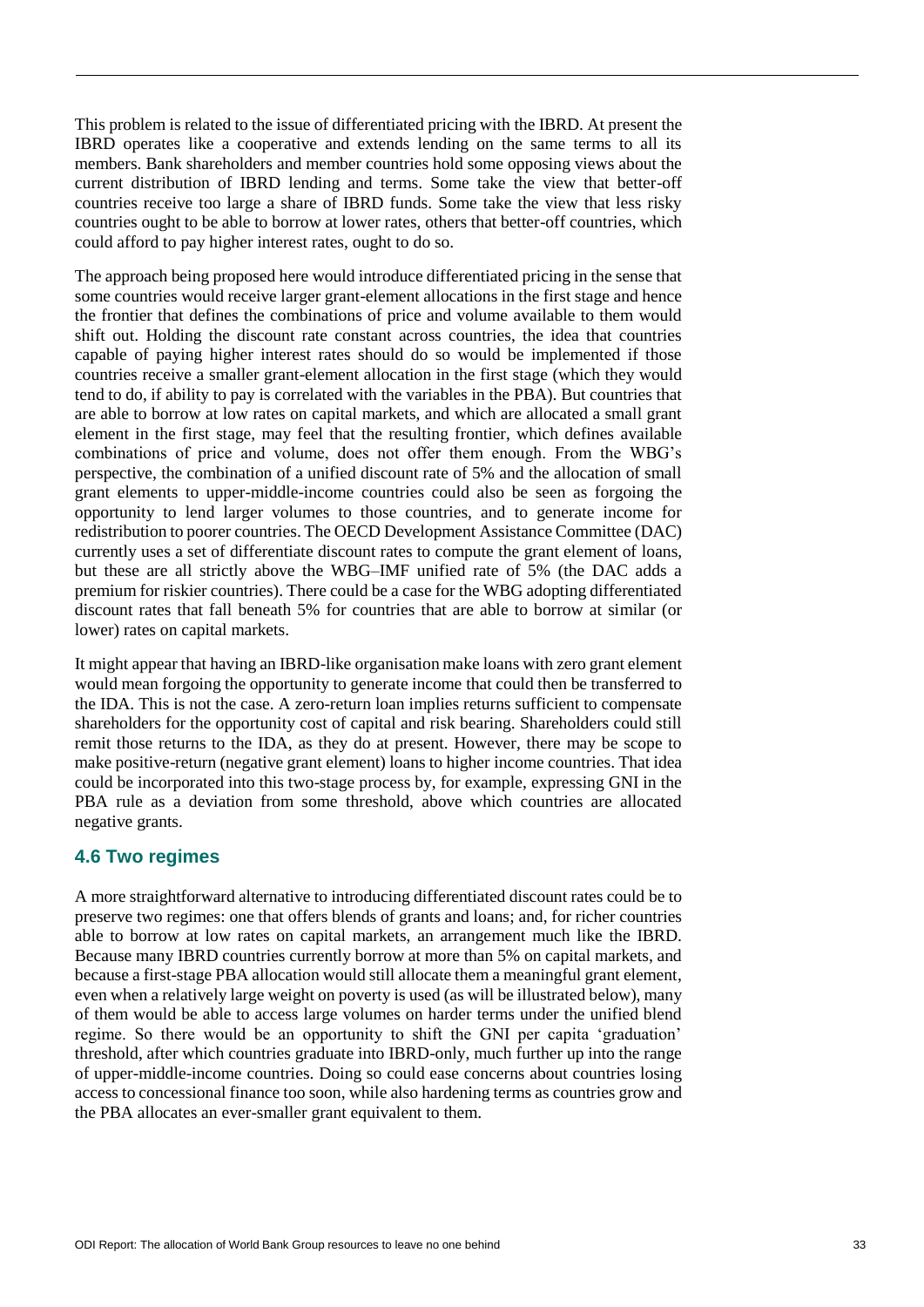This problem is related to the issue of differentiated pricing with the IBRD. At present the IBRD operates like a cooperative and extends lending on the same terms to all its members. Bank shareholders and member countries hold some opposing views about the current distribution of IBRD lending and terms. Some take the view that better-off countries receive too large a share of IBRD funds. Some take the view that less risky countries ought to be able to borrow at lower rates, others that better-off countries, which could afford to pay higher interest rates, ought to do so.

The approach being proposed here would introduce differentiated pricing in the sense that some countries would receive larger grant-element allocations in the first stage and hence the frontier that defines the combinations of price and volume available to them would shift out. Holding the discount rate constant across countries, the idea that countries capable of paying higher interest rates should do so would be implemented if those countries receive a smaller grant-element allocation in the first stage (which they would tend to do, if ability to pay is correlated with the variables in the PBA). But countries that are able to borrow at low rates on capital markets, and which are allocated a small grant element in the first stage, may feel that the resulting frontier, which defines available combinations of price and volume, does not offer them enough. From the WBG's perspective, the combination of a unified discount rate of 5% and the allocation of small grant elements to upper-middle-income countries could also be seen as forgoing the opportunity to lend larger volumes to those countries, and to generate income for redistribution to poorer countries. The OECD Development Assistance Committee (DAC) currently uses a set of differentiate discount rates to compute the grant element of loans, but these are all strictly above the WBG–IMF unified rate of 5% (the DAC adds a premium for riskier countries). There could be a case for the WBG adopting differentiated discount rates that fall beneath 5% for countries that are able to borrow at similar (or lower) rates on capital markets.

It might appear that having an IBRD-like organisation make loans with zero grant element would mean forgoing the opportunity to generate income that could then be transferred to the IDA. This is not the case. A zero-return loan implies returns sufficient to compensate shareholders for the opportunity cost of capital and risk bearing. Shareholders could still remit those returns to the IDA, as they do at present. However, there may be scope to make positive-return (negative grant element) loans to higher income countries. That idea could be incorporated into this two-stage process by, for example, expressing GNI in the PBA rule as a deviation from some threshold, above which countries are allocated negative grants.

### **4.6 Two regimes**

A more straightforward alternative to introducing differentiated discount rates could be to preserve two regimes: one that offers blends of grants and loans; and, for richer countries able to borrow at low rates on capital markets, an arrangement much like the IBRD. Because many IBRD countries currently borrow at more than 5% on capital markets, and because a first-stage PBA allocation would still allocate them a meaningful grant element, even when a relatively large weight on poverty is used (as will be illustrated below), many of them would be able to access large volumes on harder terms under the unified blend regime. So there would be an opportunity to shift the GNI per capita 'graduation' threshold, after which countries graduate into IBRD-only, much further up into the range of upper-middle-income countries. Doing so could ease concerns about countries losing access to concessional finance too soon, while also hardening terms as countries grow and the PBA allocates an ever-smaller grant equivalent to them.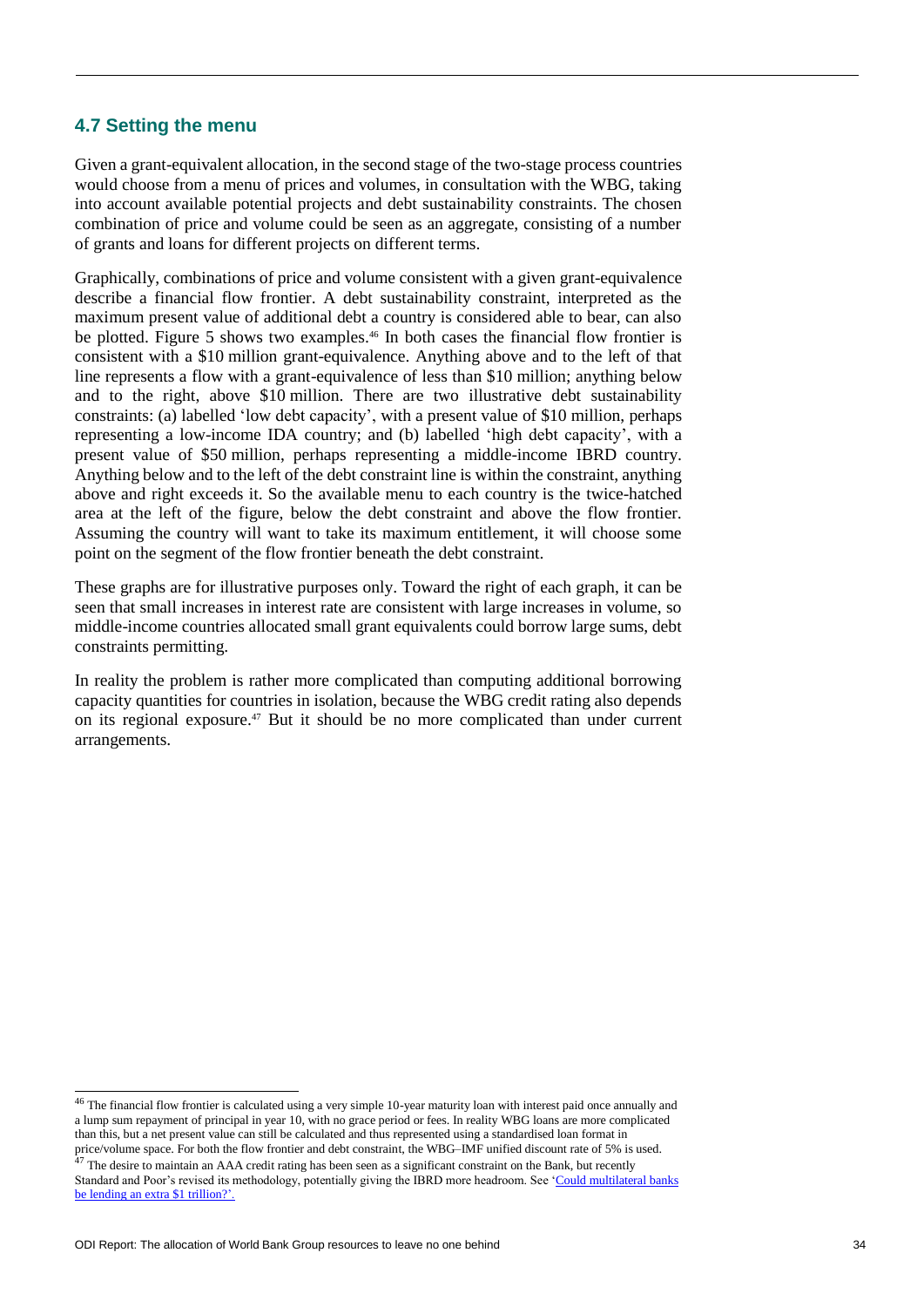### **4.7 Setting the menu**

Given a grant-equivalent allocation, in the second stage of the two-stage process countries would choose from a menu of prices and volumes, in consultation with the WBG, taking into account available potential projects and debt sustainability constraints. The chosen combination of price and volume could be seen as an aggregate, consisting of a number of grants and loans for different projects on different terms.

Graphically, combinations of price and volume consistent with a given grant-equivalence describe a financial flow frontier. A debt sustainability constraint, interpreted as the maximum present value of additional debt a country is considered able to bear, can also be plotted. Figure 5 shows two examples.<sup>46</sup> In both cases the financial flow frontier is consistent with a \$10 million grant-equivalence. Anything above and to the left of that line represents a flow with a grant-equivalence of less than \$10 million; anything below and to the right, above \$10 million. There are two illustrative debt sustainability constraints: (a) labelled 'low debt capacity', with a present value of \$10 million, perhaps representing a low-income IDA country; and (b) labelled 'high debt capacity', with a present value of \$50 million, perhaps representing a middle-income IBRD country. Anything below and to the left of the debt constraint line is within the constraint, anything above and right exceeds it. So the available menu to each country is the twice-hatched area at the left of the figure, below the debt constraint and above the flow frontier. Assuming the country will want to take its maximum entitlement, it will choose some point on the segment of the flow frontier beneath the debt constraint.

These graphs are for illustrative purposes only. Toward the right of each graph, it can be seen that small increases in interest rate are consistent with large increases in volume, so middle-income countries allocated small grant equivalents could borrow large sums, debt constraints permitting.

In reality the problem is rather more complicated than computing additional borrowing capacity quantities for countries in isolation, because the WBG credit rating also depends on its regional exposure.<sup>47</sup> But it should be no more complicated than under current arrangements.

<sup>&</sup>lt;sup>46</sup> The financial flow frontier is calculated using a very simple 10-year maturity loan with interest paid once annually and a lump sum repayment of principal in year 10, with no grace period or fees. In reality WBG loans are more complicated than this, but a net present value can still be calculated and thus represented using a standardised loan format in price/volume space. For both the flow frontier and debt constraint, the WBG–IMF unified discount rate of 5% is used.

 $^{47}$  The desire to maintain an AAA credit rating has been seen as a significant constraint on the Bank, but recently

Standard and Poor's revised its methodology, potentially giving the IBRD more headroom. See ['Could multilateral banks](https://www.odi.org/comment/10389-mdbs-multilateral-develoment-banks-credit-ratings-agencies)  [be lending an extra \\$1 trillion?'](https://www.odi.org/comment/10389-mdbs-multilateral-develoment-banks-credit-ratings-agencies).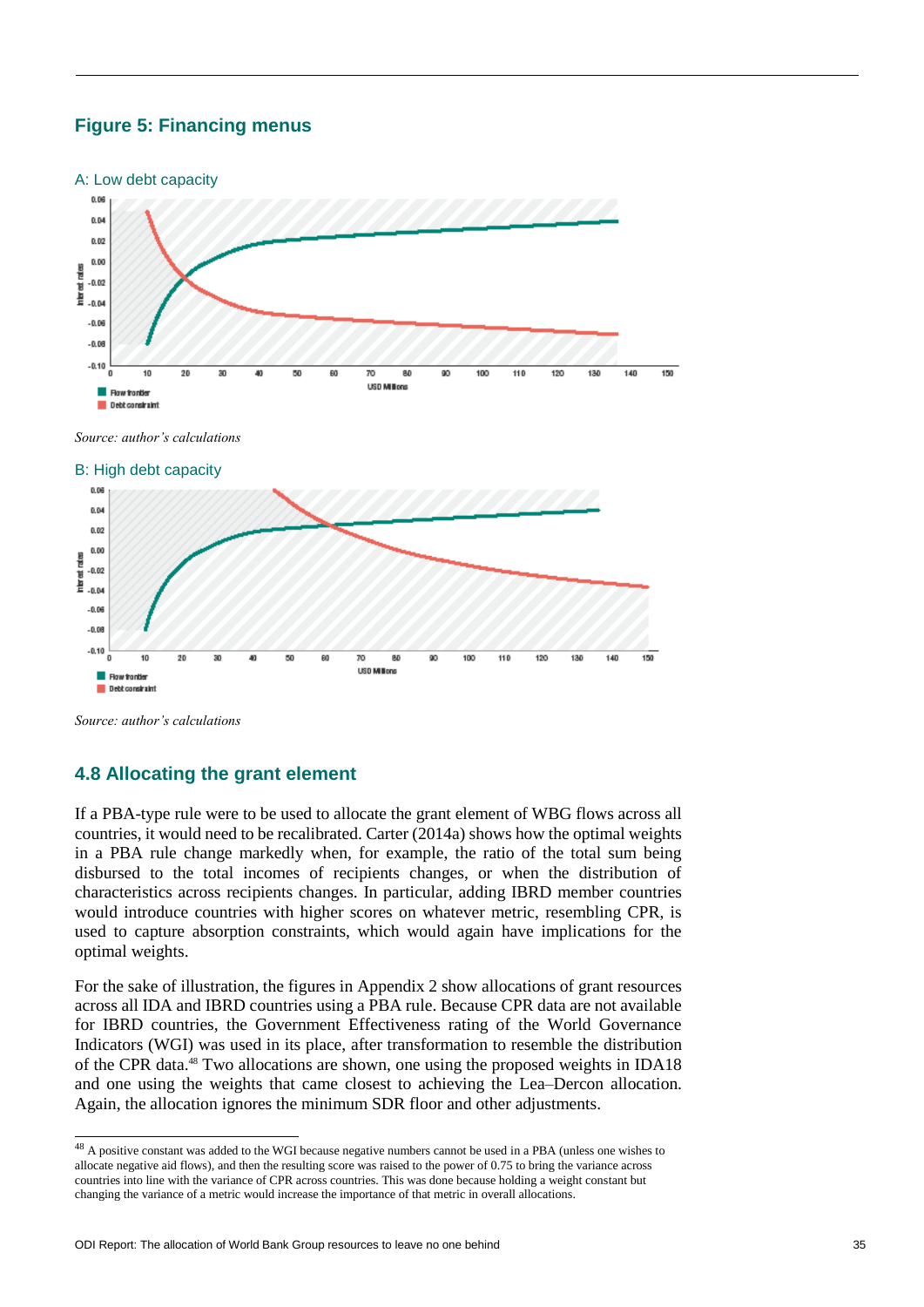# **Figure 5: Financing menus**





*Source: author's calculations*

l

### **4.8 Allocating the grant element**

If a PBA-type rule were to be used to allocate the grant element of WBG flows across all countries, it would need to be recalibrated. Carter (2014a) shows how the optimal weights in a PBA rule change markedly when, for example, the ratio of the total sum being disbursed to the total incomes of recipients changes, or when the distribution of characteristics across recipients changes. In particular, adding IBRD member countries would introduce countries with higher scores on whatever metric, resembling CPR, is used to capture absorption constraints, which would again have implications for the optimal weights.

For the sake of illustration, the figures in Appendix 2 show allocations of grant resources across all IDA and IBRD countries using a PBA rule. Because CPR data are not available for IBRD countries, the Government Effectiveness rating of the World Governance Indicators (WGI) was used in its place, after transformation to resemble the distribution of the CPR data.<sup>48</sup> Two allocations are shown, one using the proposed weights in IDA18 and one using the weights that came closest to achieving the Lea–Dercon allocation. Again, the allocation ignores the minimum SDR floor and other adjustments.

 $48$  A positive constant was added to the WGI because negative numbers cannot be used in a PBA (unless one wishes to allocate negative aid flows), and then the resulting score was raised to the power of 0.75 to bring the variance across countries into line with the variance of CPR across countries. This was done because holding a weight constant but changing the variance of a metric would increase the importance of that metric in overall allocations.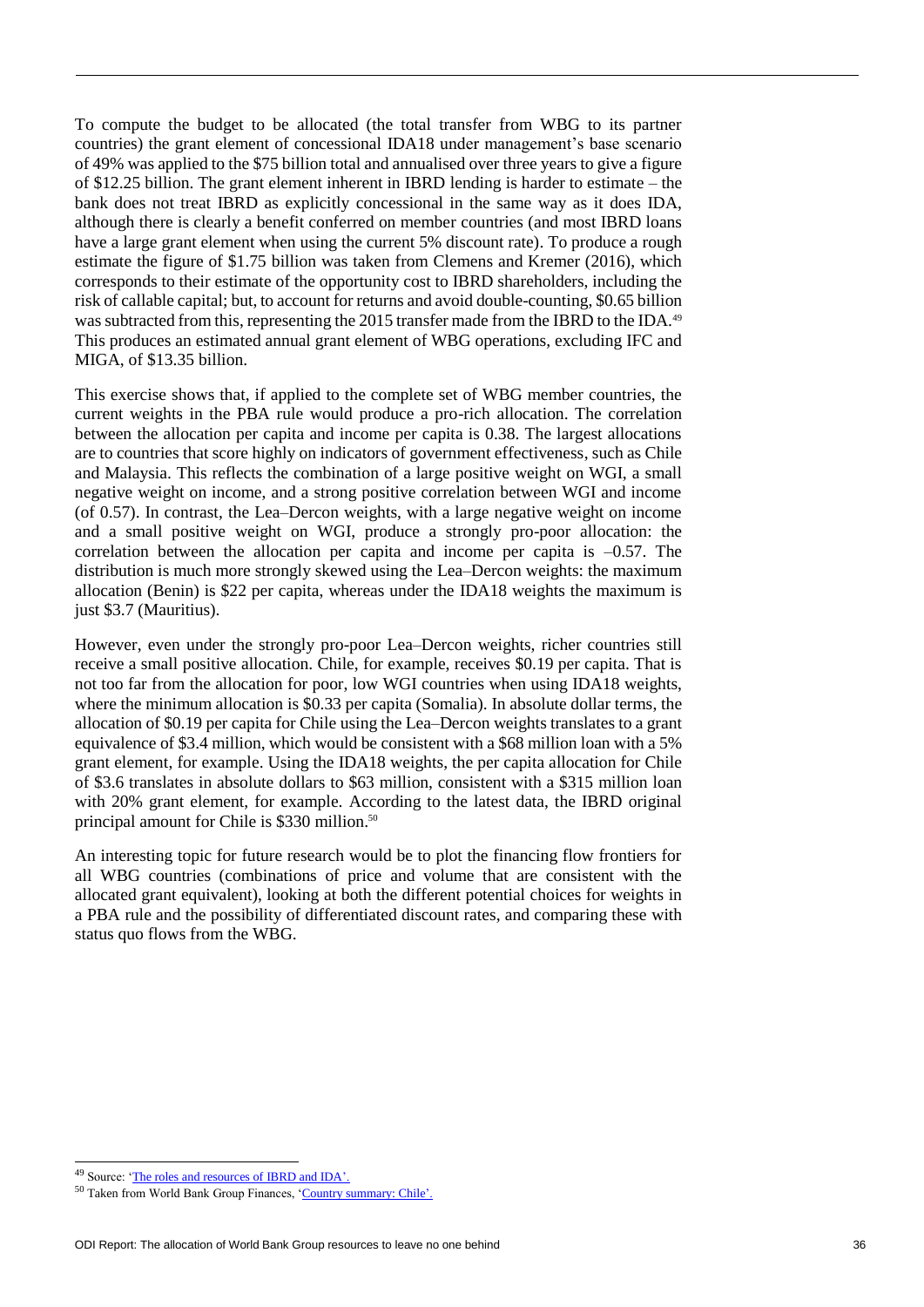To compute the budget to be allocated (the total transfer from WBG to its partner countries) the grant element of concessional IDA18 under management's base scenario of 49% was applied to the \$75 billion total and annualised over three years to give a figure of \$12.25 billion. The grant element inherent in IBRD lending is harder to estimate – the bank does not treat IBRD as explicitly concessional in the same way as it does IDA, although there is clearly a benefit conferred on member countries (and most IBRD loans have a large grant element when using the current 5% discount rate). To produce a rough estimate the figure of \$1.75 billion was taken from Clemens and Kremer (2016), which corresponds to their estimate of the opportunity cost to IBRD shareholders, including the risk of callable capital; but, to account for returns and avoid double-counting, \$0.65 billion was subtracted from this, representing the 2015 transfer made from the IBRD to the IDA.<sup>49</sup> This produces an estimated annual grant element of WBG operations, excluding IFC and MIGA, of \$13.35 billion.

This exercise shows that, if applied to the complete set of WBG member countries, the current weights in the PBA rule would produce a pro-rich allocation. The correlation between the allocation per capita and income per capita is 0.38. The largest allocations are to countries that score highly on indicators of government effectiveness, such as Chile and Malaysia. This reflects the combination of a large positive weight on WGI, a small negative weight on income, and a strong positive correlation between WGI and income (of 0.57). In contrast, the Lea–Dercon weights, with a large negative weight on income and a small positive weight on WGI, produce a strongly pro-poor allocation: the correlation between the allocation per capita and income per capita is –0.57. The distribution is much more strongly skewed using the Lea–Dercon weights: the maximum allocation (Benin) is \$22 per capita, whereas under the IDA18 weights the maximum is just \$3.7 (Mauritius).

However, even under the strongly pro-poor Lea–Dercon weights, richer countries still receive a small positive allocation. Chile, for example, receives \$0.19 per capita. That is not too far from the allocation for poor, low WGI countries when using IDA18 weights, where the minimum allocation is \$0.33 per capita (Somalia). In absolute dollar terms, the allocation of \$0.19 per capita for Chile using the Lea–Dercon weights translates to a grant equivalence of \$3.4 million, which would be consistent with a \$68 million loan with a 5% grant element, for example. Using the IDA18 weights, the per capita allocation for Chile of \$3.6 translates in absolute dollars to \$63 million, consistent with a \$315 million loan with 20% grant element, for example. According to the latest data, the IBRD original principal amount for Chile is \$330 million.<sup>50</sup>

An interesting topic for future research would be to plot the financing flow frontiers for all WBG countries (combinations of price and volume that are consistent with the allocated grant equivalent), looking at both the different potential choices for weights in a PBA rule and the possibility of differentiated discount rates, and comparing these with status quo flows from the WBG.

<sup>49</sup> Source: ['The roles and resources of IBRD and IDA'](http://www.worldbank.org/en/about/annual-report/roles-resources).

<sup>50</sup> Taken from World Bank Group Finances, ['Country summary: Chile'](https://finances.worldbank.org/countries/Chile).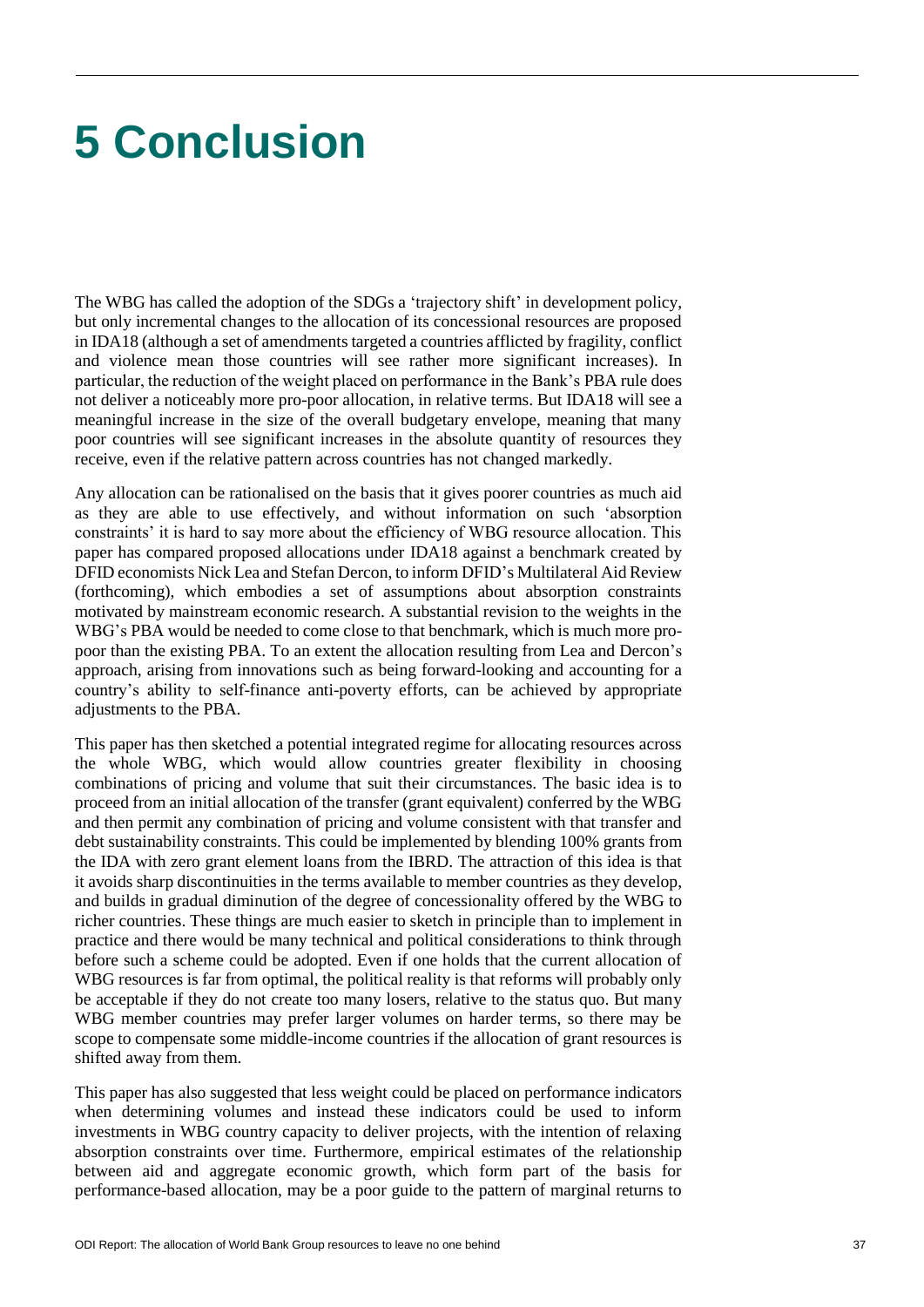# **5 Conclusion**

The WBG has called the adoption of the SDGs a 'trajectory shift' in development policy, but only incremental changes to the allocation of its concessional resources are proposed in IDA18 (although a set of amendments targeted a countries afflicted by fragility, conflict and violence mean those countries will see rather more significant increases). In particular, the reduction of the weight placed on performance in the Bank's PBA rule does not deliver a noticeably more pro-poor allocation, in relative terms. But IDA18 will see a meaningful increase in the size of the overall budgetary envelope, meaning that many poor countries will see significant increases in the absolute quantity of resources they receive, even if the relative pattern across countries has not changed markedly.

Any allocation can be rationalised on the basis that it gives poorer countries as much aid as they are able to use effectively, and without information on such 'absorption constraints' it is hard to say more about the efficiency of WBG resource allocation. This paper has compared proposed allocations under IDA18 against a benchmark created by DFID economists Nick Lea and Stefan Dercon, to inform DFID's Multilateral Aid Review (forthcoming), which embodies a set of assumptions about absorption constraints motivated by mainstream economic research. A substantial revision to the weights in the WBG's PBA would be needed to come close to that benchmark, which is much more propoor than the existing PBA. To an extent the allocation resulting from Lea and Dercon's approach, arising from innovations such as being forward-looking and accounting for a country's ability to self-finance anti-poverty efforts, can be achieved by appropriate adjustments to the PBA.

This paper has then sketched a potential integrated regime for allocating resources across the whole WBG, which would allow countries greater flexibility in choosing combinations of pricing and volume that suit their circumstances. The basic idea is to proceed from an initial allocation of the transfer (grant equivalent) conferred by the WBG and then permit any combination of pricing and volume consistent with that transfer and debt sustainability constraints. This could be implemented by blending 100% grants from the IDA with zero grant element loans from the IBRD. The attraction of this idea is that it avoids sharp discontinuities in the terms available to member countries as they develop, and builds in gradual diminution of the degree of concessionality offered by the WBG to richer countries. These things are much easier to sketch in principle than to implement in practice and there would be many technical and political considerations to think through before such a scheme could be adopted. Even if one holds that the current allocation of WBG resources is far from optimal, the political reality is that reforms will probably only be acceptable if they do not create too many losers, relative to the status quo. But many WBG member countries may prefer larger volumes on harder terms, so there may be scope to compensate some middle-income countries if the allocation of grant resources is shifted away from them.

This paper has also suggested that less weight could be placed on performance indicators when determining volumes and instead these indicators could be used to inform investments in WBG country capacity to deliver projects, with the intention of relaxing absorption constraints over time. Furthermore, empirical estimates of the relationship between aid and aggregate economic growth, which form part of the basis for performance-based allocation, may be a poor guide to the pattern of marginal returns to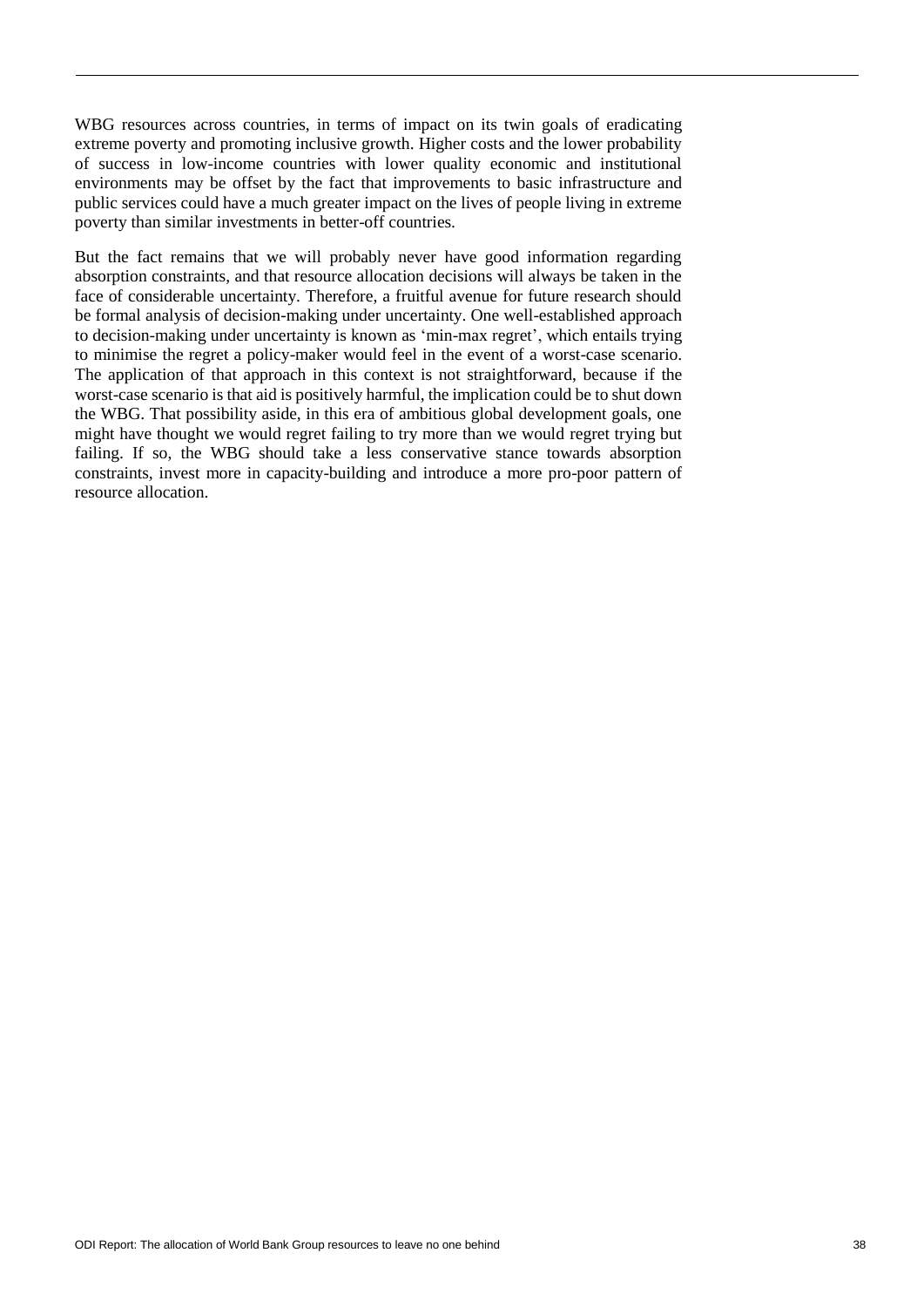WBG resources across countries, in terms of impact on its twin goals of eradicating extreme poverty and promoting inclusive growth. Higher costs and the lower probability of success in low-income countries with lower quality economic and institutional environments may be offset by the fact that improvements to basic infrastructure and public services could have a much greater impact on the lives of people living in extreme poverty than similar investments in better-off countries.

But the fact remains that we will probably never have good information regarding absorption constraints, and that resource allocation decisions will always be taken in the face of considerable uncertainty. Therefore, a fruitful avenue for future research should be formal analysis of decision-making under uncertainty. One well-established approach to decision-making under uncertainty is known as 'min-max regret', which entails trying to minimise the regret a policy-maker would feel in the event of a worst-case scenario. The application of that approach in this context is not straightforward, because if the worst-case scenario is that aid is positively harmful, the implication could be to shut down the WBG. That possibility aside, in this era of ambitious global development goals, one might have thought we would regret failing to try more than we would regret trying but failing. If so, the WBG should take a less conservative stance towards absorption constraints, invest more in capacity-building and introduce a more pro-poor pattern of resource allocation.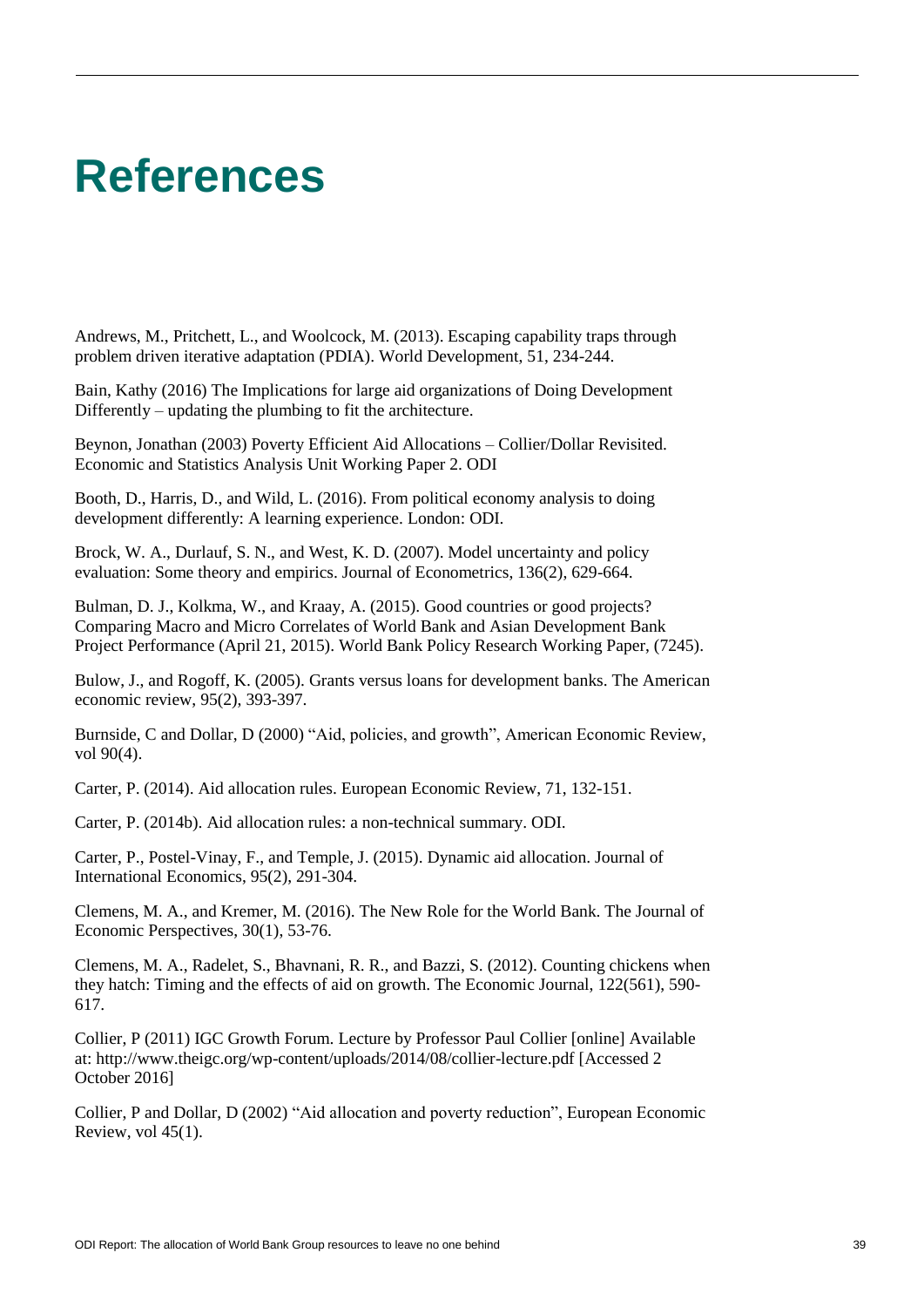# **References**

Andrews, M., Pritchett, L., and Woolcock, M. (2013). Escaping capability traps through problem driven iterative adaptation (PDIA). World Development, 51, 234-244.

Bain, Kathy (2016) The Implications for large aid organizations of Doing Development Differently – updating the plumbing to fit the architecture.

Beynon, Jonathan (2003) Poverty Efficient Aid Allocations – Collier/Dollar Revisited. Economic and Statistics Analysis Unit Working Paper 2. ODI

Booth, D., Harris, D., and Wild, L. (2016). From political economy analysis to doing development differently: A learning experience. London: ODI.

Brock, W. A., Durlauf, S. N., and West, K. D. (2007). Model uncertainty and policy evaluation: Some theory and empirics. Journal of Econometrics, 136(2), 629-664.

Bulman, D. J., Kolkma, W., and Kraay, A. (2015). Good countries or good projects? Comparing Macro and Micro Correlates of World Bank and Asian Development Bank Project Performance (April 21, 2015). World Bank Policy Research Working Paper, (7245).

Bulow, J., and Rogoff, K. (2005). Grants versus loans for development banks. The American economic review, 95(2), 393-397.

Burnside, C and Dollar, D (2000) "Aid, policies, and growth", American Economic Review, vol 90(4).

Carter, P. (2014). Aid allocation rules. European Economic Review, 71, 132-151.

Carter, P. (2014b). Aid allocation rules: a non-technical summary. ODI.

Carter, P., Postel-Vinay, F., and Temple, J. (2015). Dynamic aid allocation. Journal of International Economics, 95(2), 291-304.

Clemens, M. A., and Kremer, M. (2016). The New Role for the World Bank. The Journal of Economic Perspectives, 30(1), 53-76.

Clemens, M. A., Radelet, S., Bhavnani, R. R., and Bazzi, S. (2012). Counting chickens when they hatch: Timing and the effects of aid on growth. The Economic Journal, 122(561), 590- 617.

Collier, P (2011) IGC Growth Forum. Lecture by Professor Paul Collier [online] Available at: http://www.theigc.org/wp-content/uploads/2014/08/collier-lecture.pdf [Accessed 2 October 2016]

Collier, P and Dollar, D (2002) "Aid allocation and poverty reduction", European Economic Review, vol 45(1).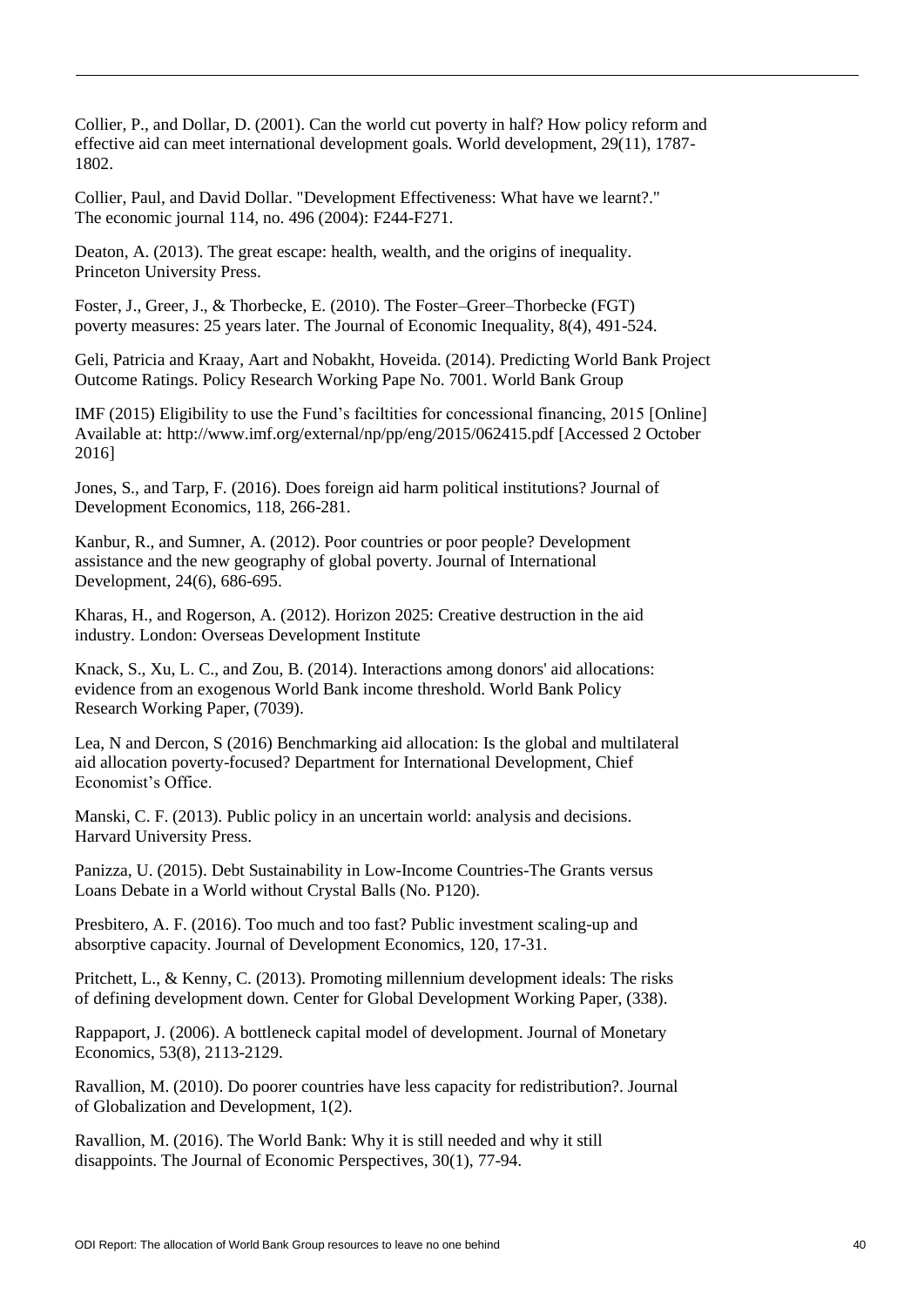Collier, P., and Dollar, D. (2001). Can the world cut poverty in half? How policy reform and effective aid can meet international development goals. World development, 29(11), 1787- 1802.

Collier, Paul, and David Dollar. "Development Effectiveness: What have we learnt?." The economic journal 114, no. 496 (2004): F244-F271.

Deaton, A. (2013). The great escape: health, wealth, and the origins of inequality. Princeton University Press.

Foster, J., Greer, J., & Thorbecke, E. (2010). The Foster–Greer–Thorbecke (FGT) poverty measures: 25 years later. The Journal of Economic Inequality, 8(4), 491-524.

Geli, Patricia and Kraay, Aart and Nobakht, Hoveida. (2014). Predicting World Bank Project Outcome Ratings. Policy Research Working Pape No. 7001. World Bank Group

IMF (2015) Eligibility to use the Fund's faciltities for concessional financing, 2015 [Online] Available at: http://www.imf.org/external/np/pp/eng/2015/062415.pdf [Accessed 2 October 2016]

Jones, S., and Tarp, F. (2016). Does foreign aid harm political institutions? Journal of Development Economics, 118, 266-281.

Kanbur, R., and Sumner, A. (2012). Poor countries or poor people? Development assistance and the new geography of global poverty. Journal of International Development, 24(6), 686-695.

Kharas, H., and Rogerson, A. (2012). Horizon 2025: Creative destruction in the aid industry. London: Overseas Development Institute

Knack, S., Xu, L. C., and Zou, B. (2014). Interactions among donors' aid allocations: evidence from an exogenous World Bank income threshold. World Bank Policy Research Working Paper, (7039).

Lea, N and Dercon, S (2016) Benchmarking aid allocation: Is the global and multilateral aid allocation poverty-focused? Department for International Development, Chief Economist's Office.

Manski, C. F. (2013). Public policy in an uncertain world: analysis and decisions. Harvard University Press.

Panizza, U. (2015). Debt Sustainability in Low-Income Countries-The Grants versus Loans Debate in a World without Crystal Balls (No. P120).

Presbitero, A. F. (2016). Too much and too fast? Public investment scaling-up and absorptive capacity. Journal of Development Economics, 120, 17-31.

Pritchett, L., & Kenny, C. (2013). Promoting millennium development ideals: The risks of defining development down. Center for Global Development Working Paper, (338).

Rappaport, J. (2006). A bottleneck capital model of development. Journal of Monetary Economics, 53(8), 2113-2129.

Ravallion, M. (2010). Do poorer countries have less capacity for redistribution?. Journal of Globalization and Development, 1(2).

Ravallion, M. (2016). The World Bank: Why it is still needed and why it still disappoints. The Journal of Economic Perspectives, 30(1), 77-94.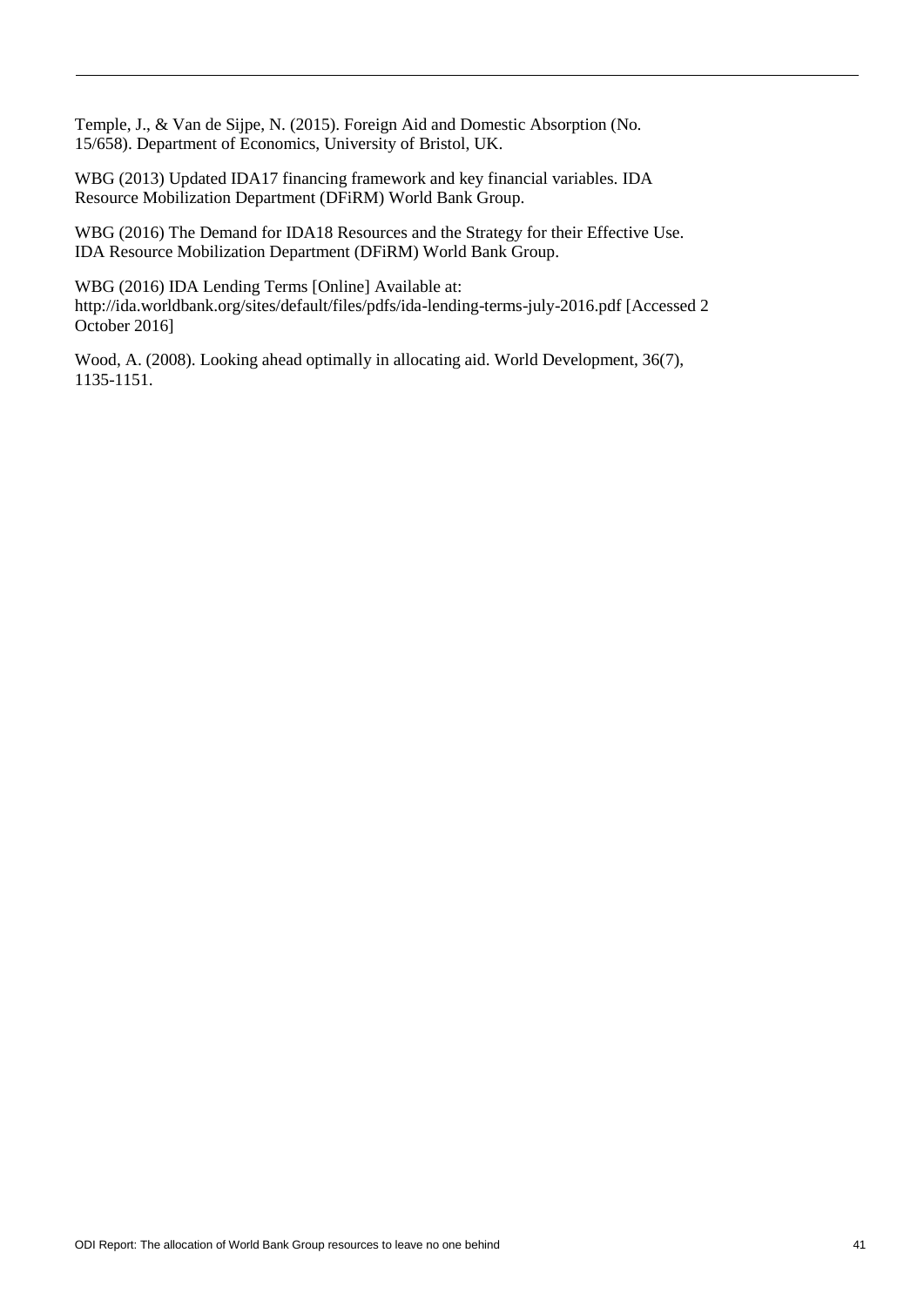Temple, J., & Van de Sijpe, N. (2015). Foreign Aid and Domestic Absorption (No. 15/658). Department of Economics, University of Bristol, UK.

WBG (2013) Updated IDA17 financing framework and key financial variables. IDA Resource Mobilization Department (DFiRM) World Bank Group.

WBG (2016) The Demand for IDA18 Resources and the Strategy for their Effective Use. IDA Resource Mobilization Department (DFiRM) World Bank Group.

WBG (2016) IDA Lending Terms [Online] Available at: http://ida.worldbank.org/sites/default/files/pdfs/ida-lending-terms-july-2016.pdf [Accessed 2 October 2016]

Wood, A. (2008). Looking ahead optimally in allocating aid. World Development, 36(7), 1135-1151.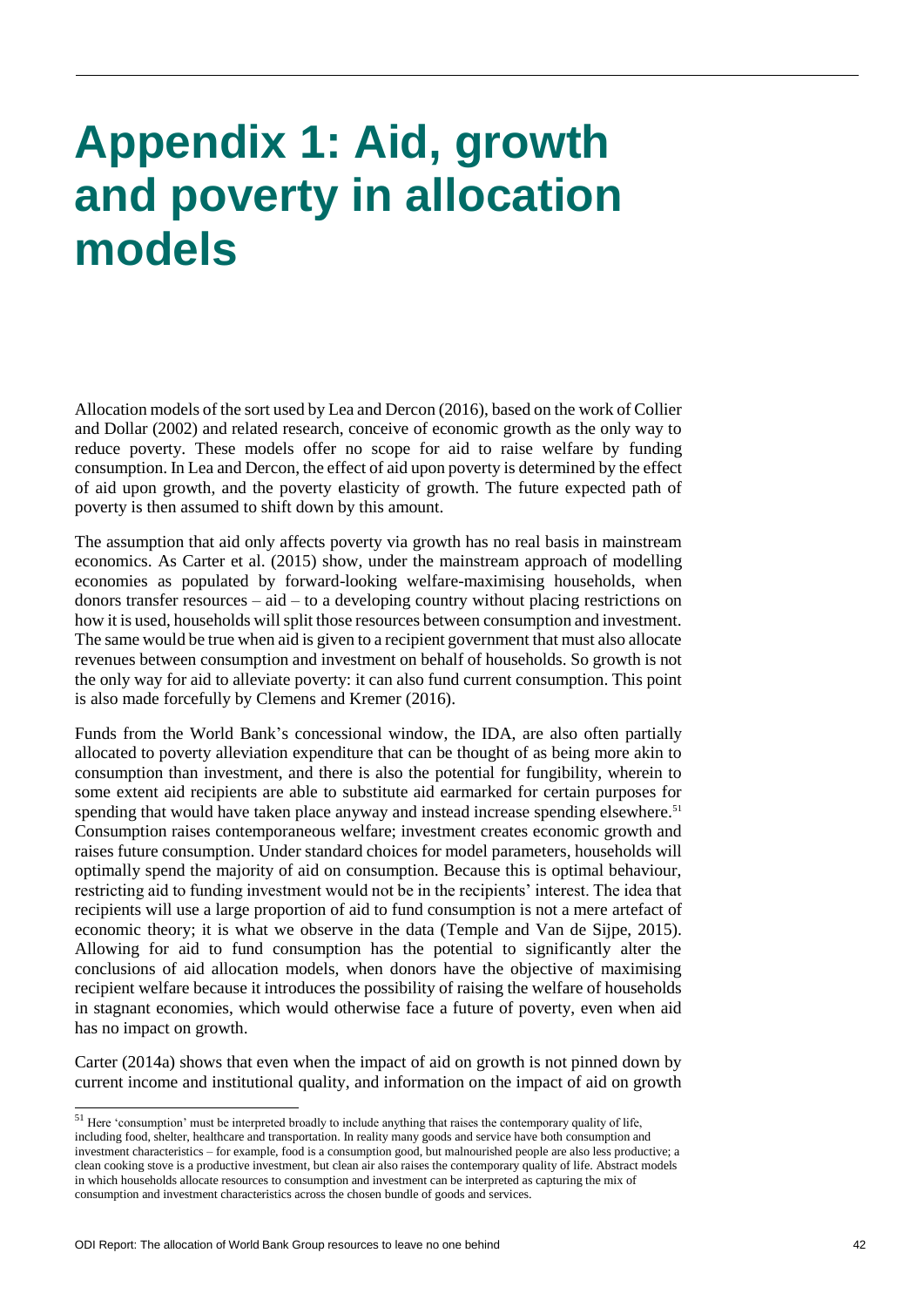# **Appendix 1: Aid, growth and poverty in allocation models**

Allocation models of the sort used by Lea and Dercon (2016), based on the work of Collier and Dollar (2002) and related research, conceive of economic growth as the only way to reduce poverty. These models offer no scope for aid to raise welfare by funding consumption. In Lea and Dercon, the effect of aid upon poverty is determined by the effect of aid upon growth, and the poverty elasticity of growth. The future expected path of poverty is then assumed to shift down by this amount.

The assumption that aid only affects poverty via growth has no real basis in mainstream economics. As Carter et al. (2015) show, under the mainstream approach of modelling economies as populated by forward-looking welfare-maximising households, when donors transfer resources – aid – to a developing country without placing restrictions on how it is used, households will split those resources between consumption and investment. The same would be true when aid is given to a recipient government that must also allocate revenues between consumption and investment on behalf of households. So growth is not the only way for aid to alleviate poverty: it can also fund current consumption. This point is also made forcefully by Clemens and Kremer (2016).

Funds from the World Bank's concessional window, the IDA, are also often partially allocated to poverty alleviation expenditure that can be thought of as being more akin to consumption than investment, and there is also the potential for fungibility, wherein to some extent aid recipients are able to substitute aid earmarked for certain purposes for spending that would have taken place anyway and instead increase spending elsewhere.<sup>51</sup> Consumption raises contemporaneous welfare; investment creates economic growth and raises future consumption. Under standard choices for model parameters, households will optimally spend the majority of aid on consumption. Because this is optimal behaviour, restricting aid to funding investment would not be in the recipients' interest. The idea that recipients will use a large proportion of aid to fund consumption is not a mere artefact of economic theory; it is what we observe in the data (Temple and Van de Sijpe, 2015). Allowing for aid to fund consumption has the potential to significantly alter the conclusions of aid allocation models, when donors have the objective of maximising recipient welfare because it introduces the possibility of raising the welfare of households in stagnant economies, which would otherwise face a future of poverty, even when aid has no impact on growth.

Carter (2014a) shows that even when the impact of aid on growth is not pinned down by current income and institutional quality, and information on the impact of aid on growth

l

 $51$  Here 'consumption' must be interpreted broadly to include anything that raises the contemporary quality of life, including food, shelter, healthcare and transportation. In reality many goods and service have both consumption and investment characteristics – for example, food is a consumption good, but malnourished people are also less productive; a clean cooking stove is a productive investment, but clean air also raises the contemporary quality of life. Abstract models in which households allocate resources to consumption and investment can be interpreted as capturing the mix of consumption and investment characteristics across the chosen bundle of goods and services.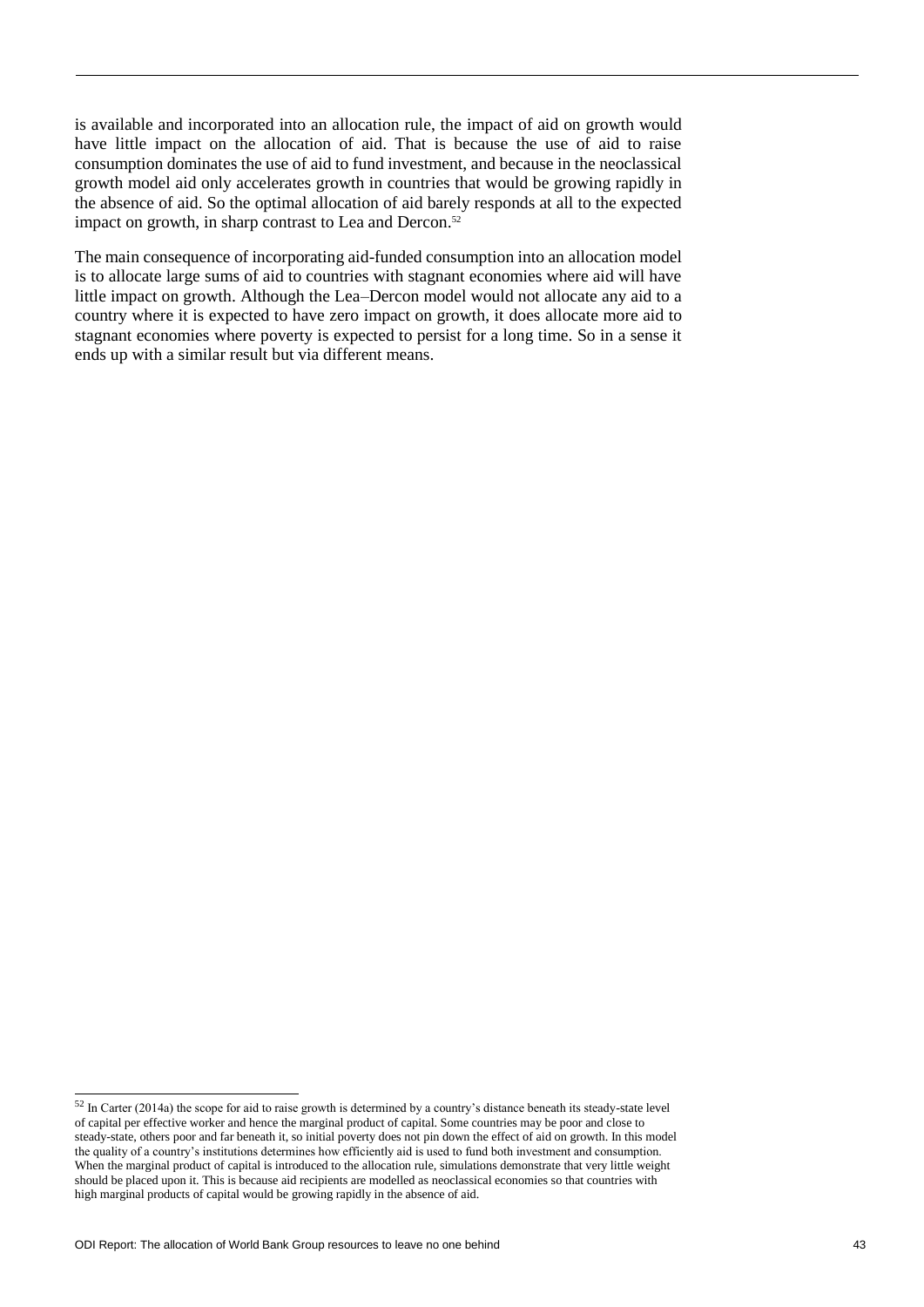is available and incorporated into an allocation rule, the impact of aid on growth would have little impact on the allocation of aid. That is because the use of aid to raise consumption dominates the use of aid to fund investment, and because in the neoclassical growth model aid only accelerates growth in countries that would be growing rapidly in the absence of aid. So the optimal allocation of aid barely responds at all to the expected impact on growth, in sharp contrast to Lea and Dercon.<sup>52</sup>

The main consequence of incorporating aid-funded consumption into an allocation model is to allocate large sums of aid to countries with stagnant economies where aid will have little impact on growth. Although the Lea–Dercon model would not allocate any aid to a country where it is expected to have zero impact on growth, it does allocate more aid to stagnant economies where poverty is expected to persist for a long time. So in a sense it ends up with a similar result but via different means.

1

<sup>&</sup>lt;sup>52</sup> In Carter (2014a) the scope for aid to raise growth is determined by a country's distance beneath its steady-state level of capital per effective worker and hence the marginal product of capital. Some countries may be poor and close to steady-state, others poor and far beneath it, so initial poverty does not pin down the effect of aid on growth. In this model the quality of a country's institutions determines how efficiently aid is used to fund both investment and consumption. When the marginal product of capital is introduced to the allocation rule, simulations demonstrate that very little weight should be placed upon it. This is because aid recipients are modelled as neoclassical economies so that countries with high marginal products of capital would be growing rapidly in the absence of aid.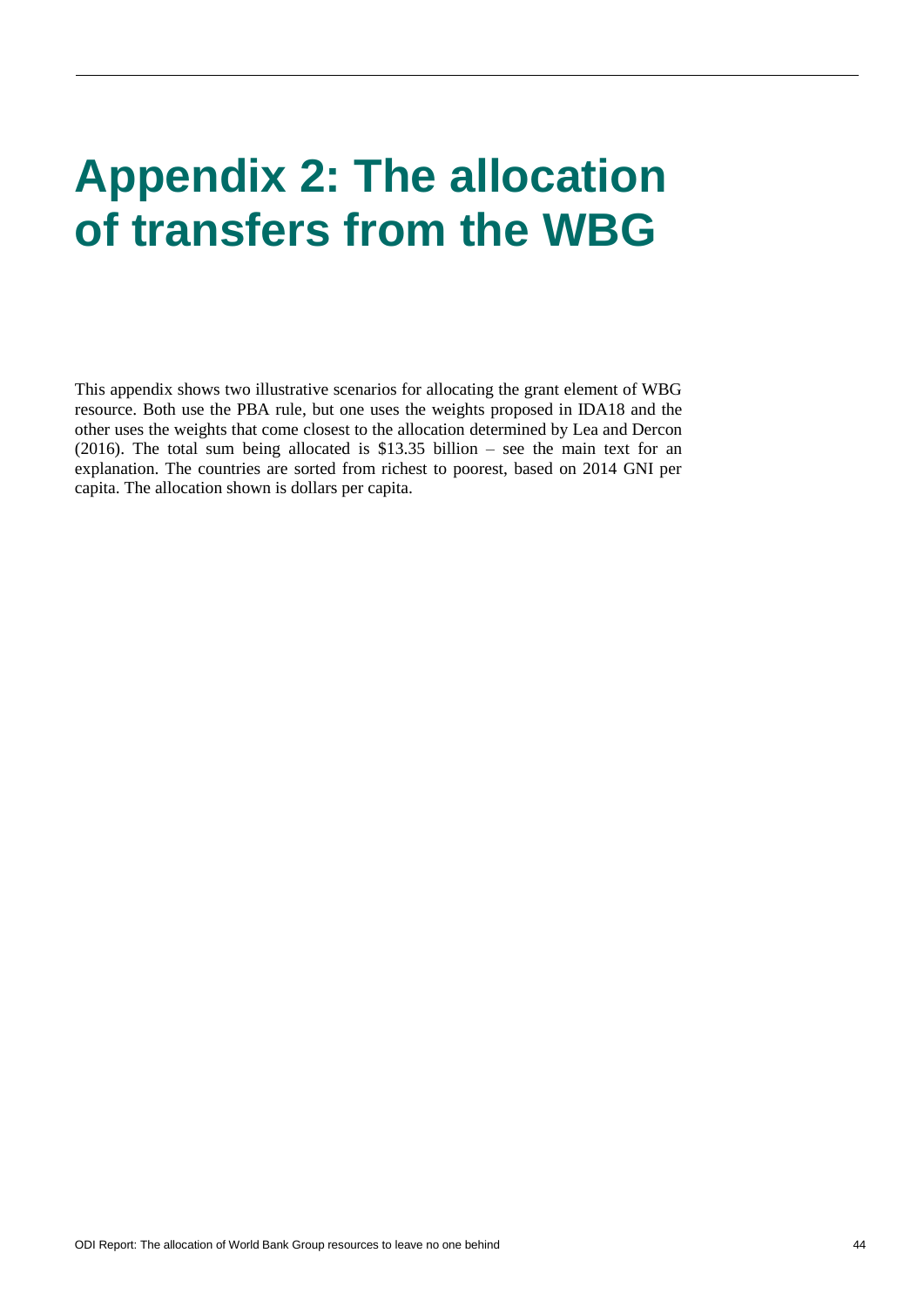# **Appendix 2: The allocation of transfers from the WBG**

This appendix shows two illustrative scenarios for allocating the grant element of WBG resource. Both use the PBA rule, but one uses the weights proposed in IDA18 and the other uses the weights that come closest to the allocation determined by Lea and Dercon (2016). The total sum being allocated is \$13.35 billion – see the main text for an explanation. The countries are sorted from richest to poorest, based on 2014 GNI per capita. The allocation shown is dollars per capita.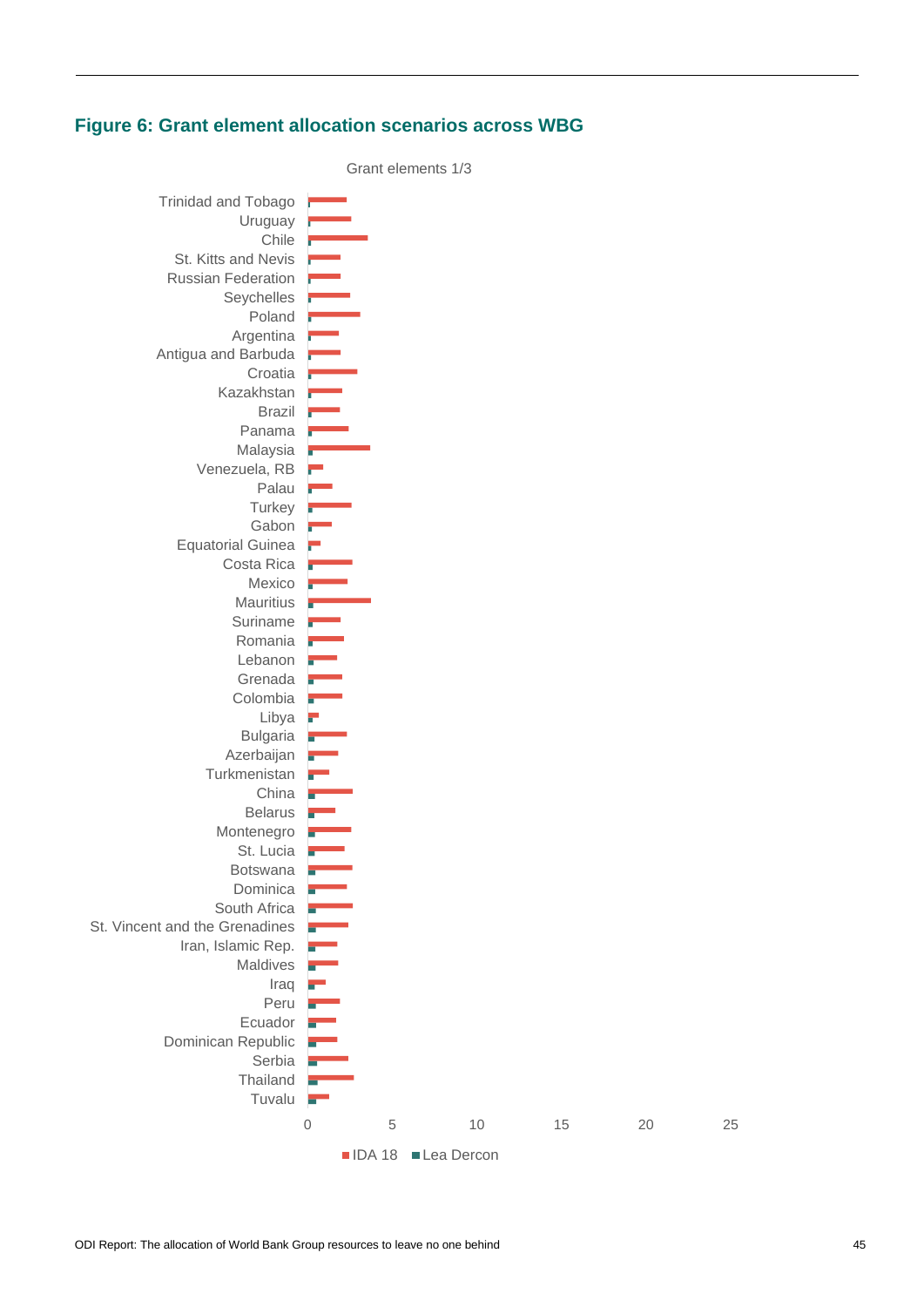#### **Figure 6: Grant element allocation scenarios across WBG**

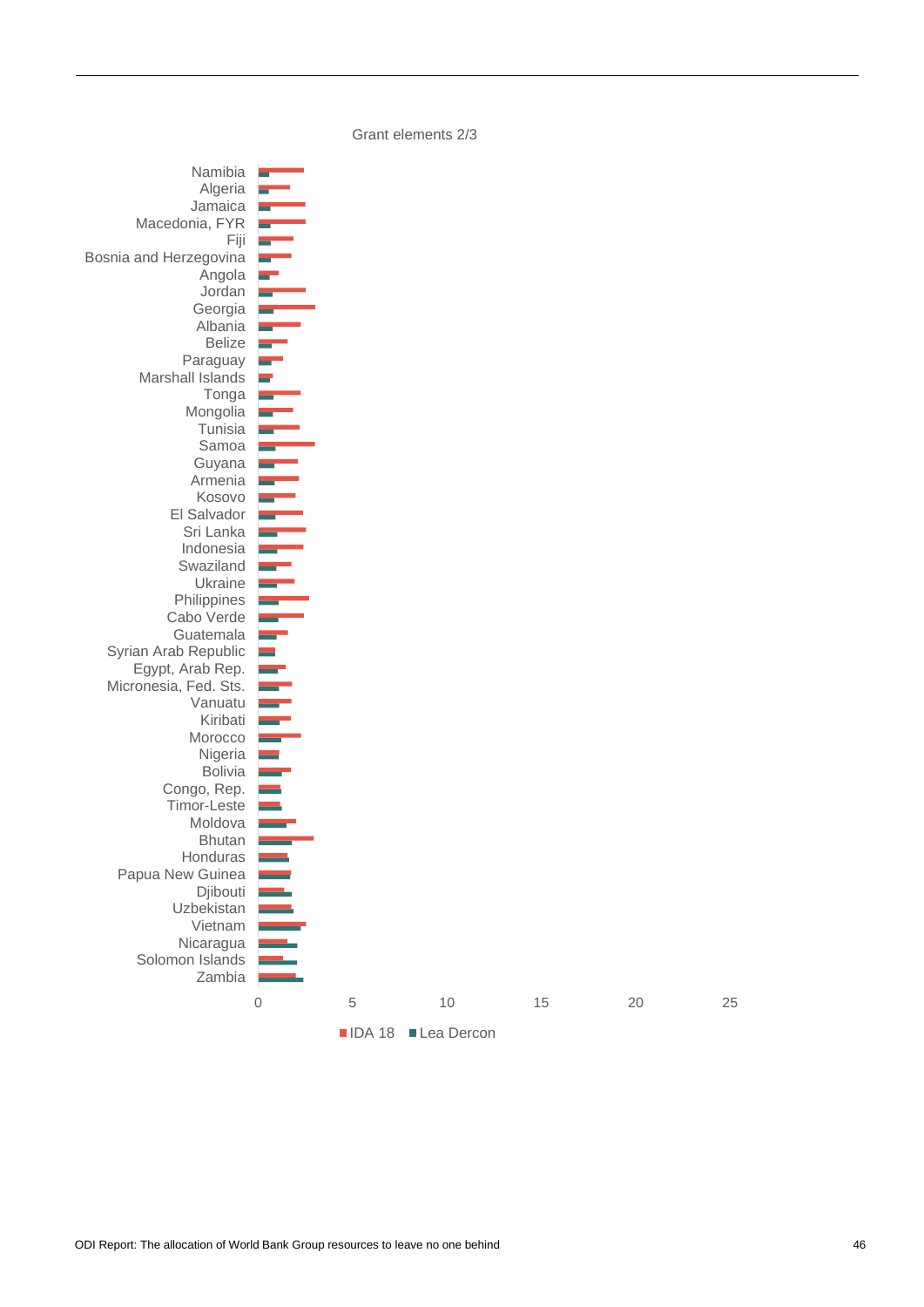Grant elements 2/3

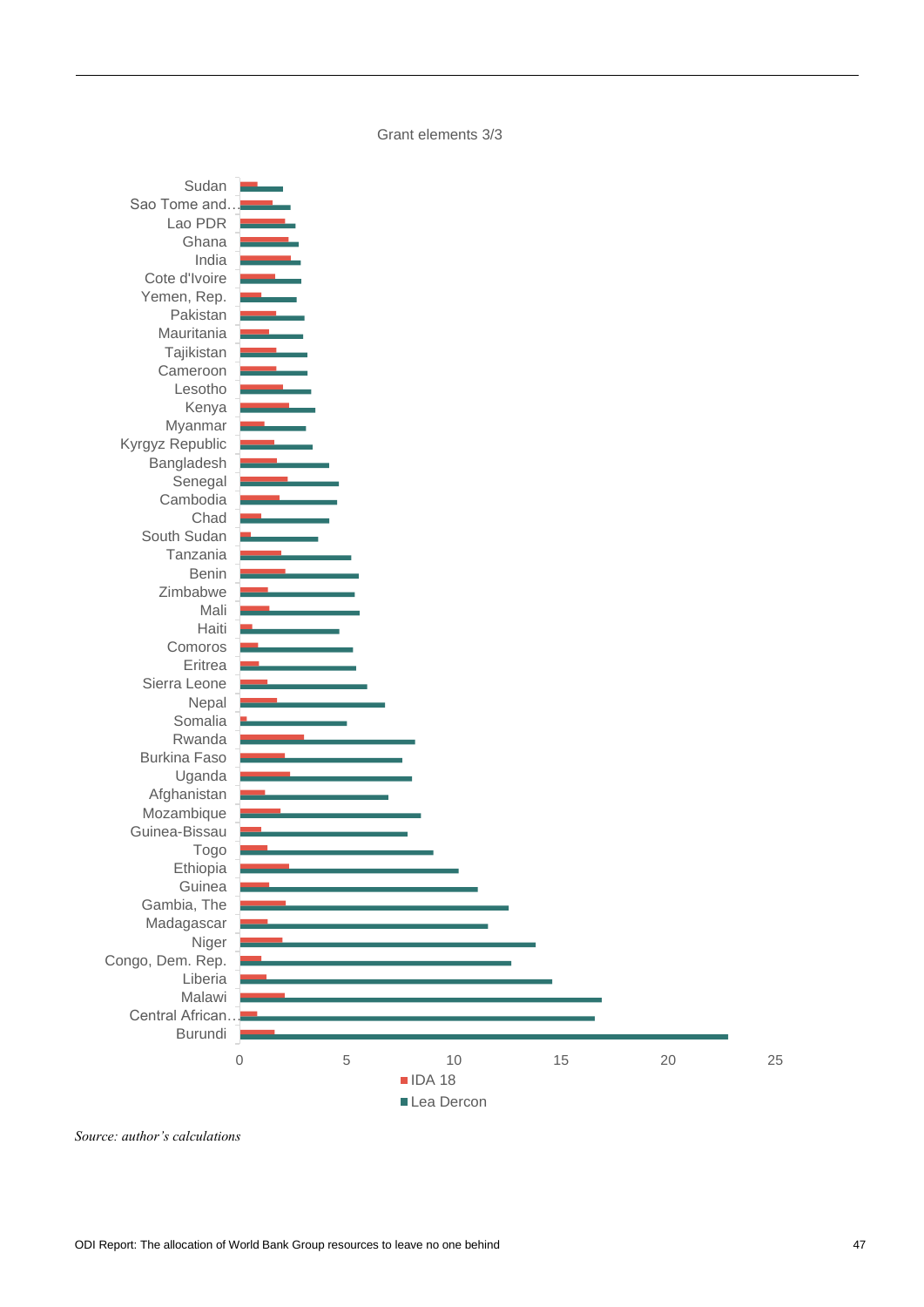Grant elements 3/3



*Source: author's calculations*